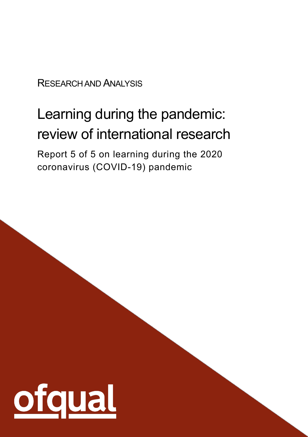RESEARCH AND ANALYSIS

# Learning during the pandemic: review of international research

Report 5 of 5 on learning during the 2020 coronavirus (COVID-19) pandemic

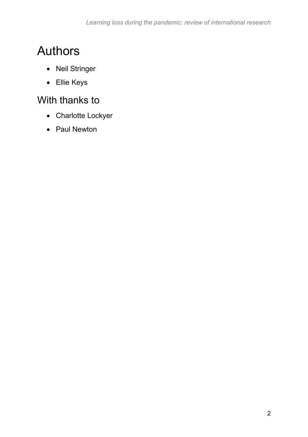## <span id="page-1-0"></span>Authors

- Neil Stringer
- Ellie Keys

## <span id="page-1-1"></span>With thanks to

- Charlotte Lockyer
- Paul Newton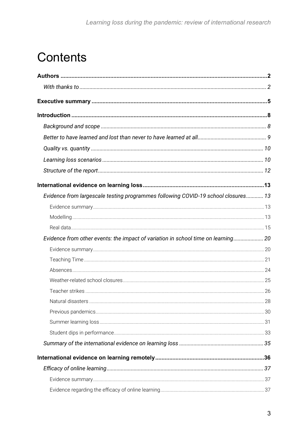## **Contents**

| Evidence from largescale testing programmes following COVID-19 school closures 13 |  |
|-----------------------------------------------------------------------------------|--|
|                                                                                   |  |
|                                                                                   |  |
|                                                                                   |  |
| Evidence from other events: the impact of variation in school time on learning 20 |  |
|                                                                                   |  |
|                                                                                   |  |
|                                                                                   |  |
|                                                                                   |  |
|                                                                                   |  |
|                                                                                   |  |
|                                                                                   |  |
|                                                                                   |  |
|                                                                                   |  |
|                                                                                   |  |
|                                                                                   |  |
|                                                                                   |  |
|                                                                                   |  |
|                                                                                   |  |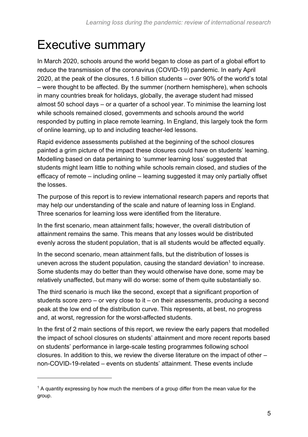## <span id="page-4-0"></span>Executive summary

In March 2020, schools around the world began to close as part of a global effort to reduce the transmission of the coronavirus (COVID-19) pandemic. In early April 2020, at the peak of the closures, 1.6 billion students – over 90% of the world's total – were thought to be affected. By the summer (northern hemisphere), when schools in many countries break for holidays, globally, the average student had missed almost 50 school days – or a quarter of a school year. To minimise the learning lost while schools remained closed, governments and schools around the world responded by putting in place remote learning. In England, this largely took the form of online learning, up to and including teacher-led lessons.

Rapid evidence assessments published at the beginning of the school closures painted a grim picture of the impact these closures could have on students' learning. Modelling based on data pertaining to 'summer learning loss' suggested that students might learn little to nothing while schools remain closed, and studies of the efficacy of remote – including online – learning suggested it may only partially offset the losses.

The purpose of this report is to review international research papers and reports that may help our understanding of the scale and nature of learning loss in England. Three scenarios for learning loss were identified from the literature.

In the first scenario, mean attainment falls; however, the overall distribution of attainment remains the same. This means that any losses would be distributed evenly across the student population, that is all students would be affected equally.

<span id="page-4-1"></span>In the second scenario, mean attainment falls, but the distribution of losses is uneven across the student population, causing the standard deviation<sup>1</sup> to increase. Some students may do better than they would otherwise have done, some may be relatively unaffected, but many will do worse: some of them quite substantially so.

The third scenario is much like the second, except that a significant proportion of students score zero – or very close to it – on their assessments, producing a second peak at the low end of the distribution curve. This represents, at best, no progress and, at worst, regression for the worst-affected students.

In the first of 2 main sections of this report, we review the early papers that modelled the impact of school closures on students' attainment and more recent reports based on students' performance in large-scale testing programmes following school closures. In addition to this, we review the diverse literature on the impact of other – non-COVID-19-related – events on students' attainment. These events include

 $1$  A quantity expressing by how much the members of a group differ from the mean value for the group.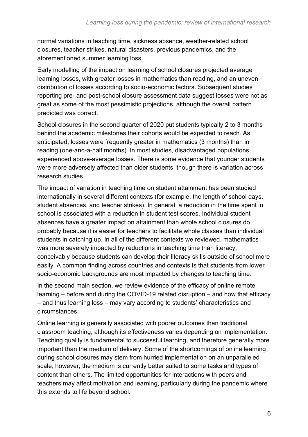normal variations in teaching time, sickness absence, weather-related school closures, teacher strikes, natural disasters, previous pandemics, and the aforementioned summer learning loss.

Early modelling of the impact on learning of school closures projected average learning losses, with greater losses in mathematics than reading, and an uneven distribution of losses according to socio-economic factors. Subsequent studies reporting pre- and post-school closure assessment data suggest losses were not as great as some of the most pessimistic projections, although the overall pattern predicted was correct.

School closures in the second quarter of 2020 put students typically 2 to 3 months behind the academic milestones their cohorts would be expected to reach. As anticipated, losses were frequently greater in mathematics (3 months) than in reading (one-and-a-half months). In most studies, disadvantaged populations experienced above-average losses. There is some evidence that younger students were more adversely affected than older students, though there is variation across research studies.

The impact of variation in teaching time on student attainment has been studied internationally in several different contexts (for example, the length of school days, student absences, and teacher strikes). In general, a reduction in the time spent in school is associated with a reduction in student test scores. Individual student absences have a greater impact on attainment than whole school closures do, probably because it is easier for teachers to facilitate whole classes than individual students in catching up. In all of the different contexts we reviewed, mathematics was more severely impacted by reductions in teaching time than literacy, conceivably because students can develop their literacy skills outside of school more easily. A common finding across countries and contexts is that students from lower socio-economic backgrounds are most impacted by changes to teaching time.

In the second main section, we review evidence of the efficacy of online remote learning – before and during the COVID-19 related disruption – and how that efficacy – and thus learning loss – may vary according to students' characteristics and circumstances.

Online learning is generally associated with poorer outcomes than traditional classroom teaching, although its effectiveness varies depending on implementation. Teaching quality is fundamental to successful learning, and therefore generally more important than the medium of delivery. Some of the shortcomings of online learning during school closures may stem from hurried implementation on an unparalleled scale; however, the medium is currently better suited to some tasks and types of content than others. The limited opportunities for interactions with peers and teachers may affect motivation and learning, particularly during the pandemic where this extends to life beyond school.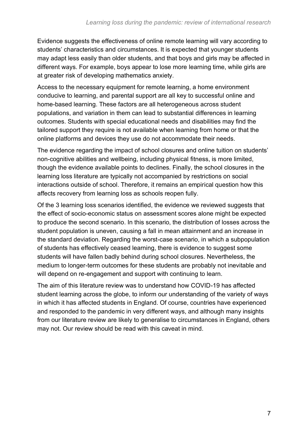Evidence suggests the effectiveness of online remote learning will vary according to students' characteristics and circumstances. It is expected that younger students may adapt less easily than older students, and that boys and girls may be affected in different ways. For example, boys appear to lose more learning time, while girls are at greater risk of developing mathematics anxiety.

Access to the necessary equipment for remote learning, a home environment conducive to learning, and parental support are all key to successful online and home-based learning. These factors are all heterogeneous across student populations, and variation in them can lead to substantial differences in learning outcomes. Students with special educational needs and disabilities may find the tailored support they require is not available when learning from home or that the online platforms and devices they use do not accommodate their needs.

The evidence regarding the impact of school closures and online tuition on students' non-cognitive abilities and wellbeing, including physical fitness, is more limited, though the evidence available points to declines. Finally, the school closures in the learning loss literature are typically not accompanied by restrictions on social interactions outside of school. Therefore, it remains an empirical question how this affects recovery from learning loss as schools reopen fully.

Of the 3 learning loss scenarios identified, the evidence we reviewed suggests that the effect of socio-economic status on assessment scores alone might be expected to produce the second scenario. In this scenario, the distribution of losses across the student population is uneven, causing a fall in mean attainment and an increase in the standard deviation. Regarding the worst-case scenario, in which a subpopulation of students has effectively ceased learning, there is evidence to suggest some students will have fallen badly behind during school closures. Nevertheless, the medium to longer-term outcomes for these students are probably not inevitable and will depend on re-engagement and support with continuing to learn.

The aim of this literature review was to understand how COVID-19 has affected student learning across the globe, to inform our understanding of the variety of ways in which it has affected students in England. Of course, countries have experienced and responded to the pandemic in very different ways, and although many insights from our literature review are likely to generalise to circumstances in England, others may not. Our review should be read with this caveat in mind.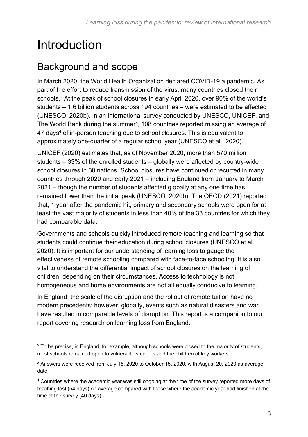## <span id="page-7-0"></span>Introduction

### <span id="page-7-1"></span>Background and scope

In March 2020, the World Health Organization declared COVID-19 a pandemic. As part of the effort to reduce transmission of the virus, many countries closed their schools.<sup>2</sup> At the peak of school closures in early April 2020, over 90% of the world's students – 1.6 billion students across 194 countries – were estimated to be affected (UNESCO, 2020b). In an international survey conducted by UNESCO, UNICEF, and The World Bank during the summer<sup>3</sup>, 108 countries reported missing an average of 47 days<sup>4</sup> of in-person teaching due to school closures. This is equivalent to approximately one-quarter of a regular school year (UNESCO et al., 2020).

UNICEF (2020) estimates that, as of November 2020, more than 570 million students – 33% of the enrolled students – globally were affected by country-wide school closures in 30 nations. School closures have continued or recurred in many countries through 2020 and early 2021 – including England from January to March 2021 – though the number of students affected globally at any one time has remained lower than the initial peak (UNESCO, 2020b). The OECD (2021) reported that, 1 year after the pandemic hit, primary and secondary schools were open for at least the vast majority of students in less than 40% of the 33 countries for which they had comparable data.

Governments and schools quickly introduced remote teaching and learning so that students could continue their education during school closures (UNESCO et al., 2020). It is important for our understanding of learning loss to gauge the effectiveness of remote schooling compared with face-to-face schooling. It is also vital to understand the differential impact of school closures on the learning of children, depending on their circumstances. Access to technology is not homogeneous and home environments are not all equally conducive to learning.

In England, the scale of the disruption and the rollout of remote tuition have no modern precedents; however, globally, events such as natural disasters and war have resulted in comparable levels of disruption. This report is a companion to our report covering research on learning loss from England.

 $2$  To be precise, in England, for example, although schools were closed to the majority of students, most schools remained open to vulnerable students and the children of key workers.

<sup>&</sup>lt;sup>3</sup> Answers were received from July 15, 2020 to October 15, 2020, with August 20, 2020 as average date.

<sup>4</sup> Countries where the academic year was still ongoing at the time of the survey reported more days of teaching lost (54 days) on average compared with those where the academic year had finished at the time of the survey (40 days).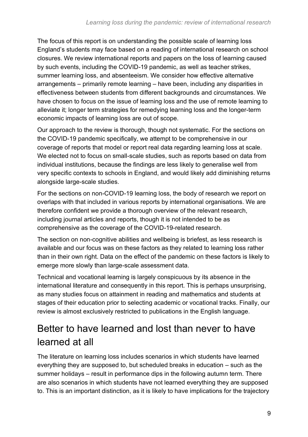The focus of this report is on understanding the possible scale of learning loss England's students may face based on a reading of international research on school closures. We review international reports and papers on the loss of learning caused by such events, including the COVID-19 pandemic, as well as teacher strikes, summer learning loss, and absenteeism. We consider how effective alternative arrangements – primarily remote learning – have been, including any disparities in effectiveness between students from different backgrounds and circumstances. We have chosen to focus on the issue of learning loss and the use of remote learning to alleviate it; longer term strategies for remedying learning loss and the longer-term economic impacts of learning loss are out of scope.

Our approach to the review is thorough, though not systematic. For the sections on the COVID-19 pandemic specifically, we attempt to be comprehensive in our coverage of reports that model or report real data regarding learning loss at scale. We elected not to focus on small-scale studies, such as reports based on data from individual institutions, because the findings are less likely to generalise well from very specific contexts to schools in England, and would likely add diminishing returns alongside large-scale studies.

For the sections on non-COVID-19 learning loss, the body of research we report on overlaps with that included in various reports by international organisations. We are therefore confident we provide a thorough overview of the relevant research, including journal articles and reports, though it is not intended to be as comprehensive as the coverage of the COVID-19-related research.

The section on non-cognitive abilities and wellbeing is briefest, as less research is available and our focus was on these factors as they related to learning loss rather than in their own right. Data on the effect of the pandemic on these factors is likely to emerge more slowly than large-scale assessment data.

Technical and vocational learning is largely conspicuous by its absence in the international literature and consequently in this report. This is perhaps unsurprising, as many studies focus on attainment in reading and mathematics and students at stages of their education prior to selecting academic or vocational tracks. Finally, our review is almost exclusively restricted to publications in the English language.

### <span id="page-8-0"></span>Better to have learned and lost than never to have learned at all

The literature on learning loss includes scenarios in which students have learned everything they are supposed to, but scheduled breaks in education – such as the summer holidays – result in performance dips in the following autumn term. There are also scenarios in which students have not learned everything they are supposed to. This is an important distinction, as it is likely to have implications for the trajectory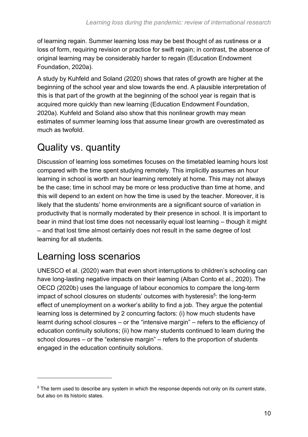of learning regain. Summer learning loss may be best thought of as rustiness or a loss of form, requiring revision or practice for swift regain; in contrast, the absence of original learning may be considerably harder to regain (Education Endowment Foundation, 2020a).

A study by Kuhfeld and Soland (2020) shows that rates of growth are higher at the beginning of the school year and slow towards the end. A plausible interpretation of this is that part of the growth at the beginning of the school year is regain that is acquired more quickly than new learning (Education Endowment Foundation, 2020a). Kuhfeld and Soland also show that this nonlinear growth may mean estimates of summer learning loss that assume linear growth are overestimated as much as twofold.

## <span id="page-9-0"></span>Quality vs. quantity

Discussion of learning loss sometimes focuses on the timetabled learning hours lost compared with the time spent studying remotely. This implicitly assumes an hour learning in school is worth an hour learning remotely at home. This may not always be the case; time in school may be more or less productive than time at home, and this will depend to an extent on how the time is used by the teacher. Moreover, it is likely that the students' home environments are a significant source of variation in productivity that is normally moderated by their presence in school. It is important to bear in mind that lost time does not necessarily equal lost learning – though it might – and that lost time almost certainly does not result in the same degree of lost learning for all students.

## <span id="page-9-1"></span>Learning loss scenarios

UNESCO et al. (2020) warn that even short interruptions to children's schooling can have long-lasting negative impacts on their learning (Alban Conto et al., 2020). The OECD (2020b) uses the language of labour economics to compare the long-term impact of school closures on students' outcomes with hysteresis<sup>5</sup>: the long-term effect of unemployment on a worker's ability to find a job. They argue the potential learning loss is determined by 2 concurring factors: (i) how much students have learnt during school closures – or the "intensive margin" – refers to the efficiency of education continuity solutions; (ii) how many students continued to learn during the school closures – or the "extensive margin" – refers to the proportion of students engaged in the education continuity solutions.

 $5$  The term used to describe any system in which the response depends not only on its current state, but also on its historic states.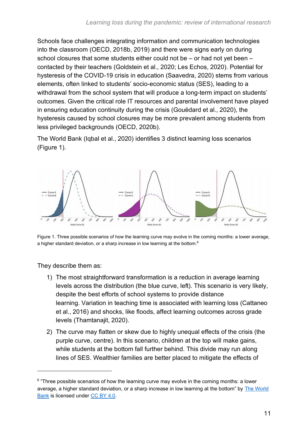Schools face challenges integrating information and communication technologies into the classroom (OECD, 2018b, 2019) and there were signs early on during school closures that some students either could not be – or had not yet been – contacted by their teachers (Goldstein et al., 2020; Les Echos, 2020). Potential for hysteresis of the COVID-19 crisis in education (Saavedra, 2020) stems from various elements, often linked to students' socio-economic status (SES), leading to a withdrawal from the school system that will produce a long-term impact on students' outcomes. Given the critical role IT resources and parental involvement have played in ensuring education continuity during the crisis (Gouëdard et al., 2020), the hysteresis caused by school closures may be more prevalent among students from less privileged backgrounds (OECD, 2020b).

The World Bank (Iqbal et al., 2020) identifies 3 distinct learning loss scenarios [\(Figure 1\)](#page-10-0).



<span id="page-10-0"></span>Figure 1. Three possible scenarios of how the learning curve may evolve in the coming months: a lower average, a higher standard deviation, or a sharp increase in low learning at the bottom.<sup>6</sup>

They describe them as:

- 1) The most straightforward transformation is a reduction in average learning levels across the distribution (the blue curve, left). This scenario is very likely, despite the best efforts of school systems to provide distance learning. Variation in teaching time is associated with learning loss (Cattaneo et al., 2016) and shocks, like floods, affect learning outcomes across grade levels (Thamtanajit, 2020).
- 2) The curve may flatten or skew due to highly unequal effects of the crisis (the purple curve, centre). In this scenario, children at the top will make gains, while students at the bottom fall further behind. This divide may run along lines of SES. Wealthier families are better placed to mitigate the effects of

<sup>&</sup>lt;sup>6</sup> "Three possible scenarios of how the learning curve may evolve in the coming months: a lower average, a higher standard deviation, or a sharp increase in low learning at the bottom" by [The World](https://blogs.worldbank.org/education/we-should-avoid-flattening-curve-education-possible-scenarios-learning-loss-during-school)  [Bank](https://blogs.worldbank.org/education/we-should-avoid-flattening-curve-education-possible-scenarios-learning-loss-during-school) is licensed under [CC BY 4.0.](https://creativecommons.org/licenses/by/4.0/)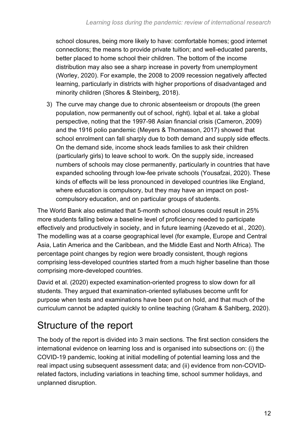school closures, being more likely to have: comfortable homes; good internet connections; the means to provide private tuition; and well-educated parents, better placed to home school their children. The bottom of the income distribution may also see a sharp increase in poverty from unemployment (Worley, 2020). For example, the 2008 to 2009 recession negatively affected learning, particularly in districts with higher proportions of disadvantaged and minority children (Shores & Steinberg, 2018).

3) The curve may change due to chronic absenteeism or dropouts (the green population, now permanently out of school, right). Iqbal et al. take a global perspective, noting that the 1997-98 Asian financial crisis (Cameron, 2009) and the 1916 polio pandemic (Meyers & Thomasson, 2017) showed that school enrolment can fall sharply due to both demand and supply side effects. On the demand side, income shock leads families to ask their children (particularly girls) to leave school to work. On the supply side, increased numbers of schools may close permanently, particularly in countries that have expanded schooling through low-fee private schools (Yousafzai, 2020). These kinds of effects will be less pronounced in developed countries like England, where education is compulsory, but they may have an impact on postcompulsory education, and on particular groups of students.

The World Bank also estimated that 5-month school closures could result in 25% more students falling below a baseline level of proficiency needed to participate effectively and productively in society, and in future learning (Azevedo et al., 2020). The modelling was at a coarse geographical level (for example, Europe and Central Asia, Latin America and the Caribbean, and the Middle East and North Africa). The percentage point changes by region were broadly consistent, though regions comprising less-developed countries started from a much higher baseline than those comprising more-developed countries.

David et al. (2020) expected examination-oriented progress to slow down for all students. They argued that examination-oriented syllabuses become unfit for purpose when tests and examinations have been put on hold, and that much of the curriculum cannot be adapted quickly to online teaching (Graham & Sahlberg, 2020).

## <span id="page-11-0"></span>Structure of the report

The body of the report is divided into 3 main sections. The first section considers the international evidence on learning loss and is organised into subsections on: (i) the COVID-19 pandemic, looking at initial modelling of potential learning loss and the real impact using subsequent assessment data; and (ii) evidence from non-COVIDrelated factors, including variations in teaching time, school summer holidays, and unplanned disruption.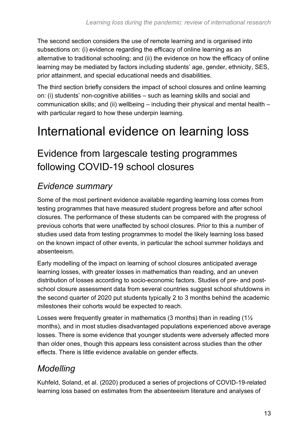The second section considers the use of remote learning and is organised into subsections on: (i) evidence regarding the efficacy of online learning as an alternative to traditional schooling; and (ii) the evidence on how the efficacy of online learning may be mediated by factors including students' age, gender, ethnicity, SES, prior attainment, and special educational needs and disabilities.

The third section briefly considers the impact of school closures and online learning on: (i) students' non-cognitive abilities – such as learning skills and social and communication skills; and (ii) wellbeing – including their physical and mental health – with particular regard to how these underpin learning.

## <span id="page-12-0"></span>International evidence on learning loss

### <span id="page-12-1"></span>Evidence from largescale testing programmes following COVID-19 school closures

#### <span id="page-12-2"></span>*Evidence summary*

Some of the most pertinent evidence available regarding learning loss comes from testing programmes that have measured student progress before and after school closures. The performance of these students can be compared with the progress of previous cohorts that were unaffected by school closures. Prior to this a number of studies used data from testing programmes to model the likely learning loss based on the known impact of other events, in particular the school summer holidays and absenteeism.

Early modelling of the impact on learning of school closures anticipated average learning losses, with greater losses in mathematics than reading, and an uneven distribution of losses according to socio-economic factors. Studies of pre- and postschool closure assessment data from several countries suggest school shutdowns in the second quarter of 2020 put students typically 2 to 3 months behind the academic milestones their cohorts would be expected to reach.

Losses were frequently greater in mathematics (3 months) than in reading (1½ months), and in most studies disadvantaged populations experienced above average losses. There is some evidence that younger students were adversely affected more than older ones, though this appears less consistent across studies than the other effects. There is little evidence available on gender effects.

#### <span id="page-12-3"></span>*Modelling*

Kuhfeld, Soland, et al. (2020) produced a series of projections of COVID-19-related learning loss based on estimates from the absenteeism literature and analyses of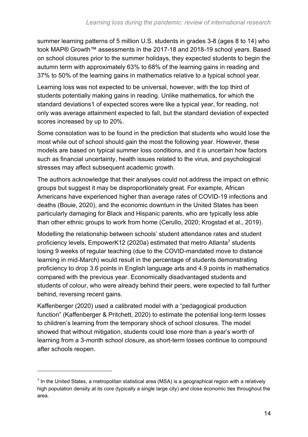summer learning patterns of 5 million U.S. students in grades 3-8 (ages 8 to 14) who took MAP® Growth™ assessments in the 2017-18 and 2018-19 school years. Based on school closures prior to the summer holidays, they expected students to begin the autumn term with approximately 63% to 68% of the learning gains in reading and 37% to 50% of the learning gains in mathematics relative to a typical school year.

Learning loss was not expected to be universal, however, with the top third of students potentially making gains in reading. Unlike mathematics, for which the standard deviation[s1](#page-4-1) of expected scores were like a typical year, for reading, not only was average attainment expected to fall, but the standard deviation of expected scores increased by up to 20%.

Some consolation was to be found in the prediction that students who would lose the most while out of school should gain the most the following year. However, these models are based on typical summer loss conditions, and it is uncertain how factors such as financial uncertainty, health issues related to the virus, and psychological stresses may affect subsequent academic growth.

The authors acknowledge that their analyses could not address the impact on ethnic groups but suggest it may be disproportionately great. For example, African Americans have experienced higher than average rates of COVID-19 infections and deaths (Bouie, 2020), and the economic downturn in the United States has been particularly damaging for Black and Hispanic parents, who are typically less able than other ethnic groups to work from home (Cerullo, 2020; Krogstad et al., 2019).

Modelling the relationship between schools' student attendance rates and student proficiency levels, EmpowerK12 (2020a) estimated that metro Atlanta<sup>7</sup> students losing 9 weeks of regular teaching (due to the COVID-mandated move to distance learning in mid-March) would result in the percentage of students demonstrating proficiency to drop 3.6 points in English language arts and 4.9 points in mathematics compared with the previous year. Economically disadvantaged students and students of colour, who were already behind their peers, were expected to fall further behind, reversing recent gains.

Kaffenberger (2020) used a calibrated model with a "pedagogical production function" (Kaffenberger & Pritchett, 2020) to estimate the potential long-term losses to children's learning from the temporary shock of school closures. The model showed that without mitigation, students could lose more than a year's worth of learning from a 3-month school closure, as short-term losses continue to compound after schools reopen.

<sup>&</sup>lt;sup>7</sup> In the United States, a metropolitan statistical area (MSA) is a geographical region with a relatively high population density at its core (typically a single large city) and close economic ties throughout the area.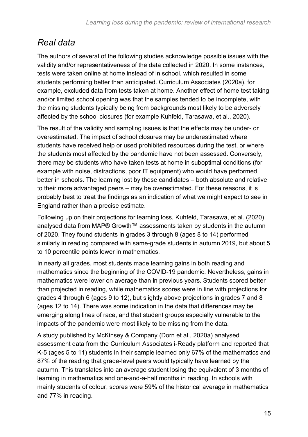#### <span id="page-14-0"></span>*Real data*

The authors of several of the following studies acknowledge possible issues with the validity and/or representativeness of the data collected in 2020. In some instances, tests were taken online at home instead of in school, which resulted in some students performing better than anticipated. Curriculum Associates (2020a), for example, excluded data from tests taken at home. Another effect of home test taking and/or limited school opening was that the samples tended to be incomplete, with the missing students typically being from backgrounds most likely to be adversely affected by the school closures (for example Kuhfeld, Tarasawa, et al., 2020).

The result of the validity and sampling issues is that the effects may be under- or overestimated. The impact of school closures may be underestimated where students have received help or used prohibited resources during the test, or where the students most affected by the pandemic have not been assessed. Conversely, there may be students who have taken tests at home in suboptimal conditions (for example with noise, distractions, poor IT equipment) who would have performed better in schools. The learning lost by these candidates – both absolute and relative to their more advantaged peers – may be overestimated. For these reasons, it is probably best to treat the findings as an indication of what we might expect to see in England rather than a precise estimate.

Following up on their projections for learning loss, Kuhfeld, Tarasawa, et al. (2020) analysed data from MAP® Growth™ assessments taken by students in the autumn of 2020. They found students in grades 3 through 8 (ages 8 to 14) performed similarly in reading compared with same-grade students in autumn 2019, but about 5 to 10 percentile points lower in mathematics.

In nearly all grades, most students made learning gains in both reading and mathematics since the beginning of the COVID-19 pandemic. Nevertheless, gains in mathematics were lower on average than in previous years. Students scored better than projected in reading, while mathematics scores were in line with projections for grades 4 through 6 (ages 9 to 12), but slightly above projections in grades 7 and 8 (ages 12 to 14). There was some indication in the data that differences may be emerging along lines of race, and that student groups especially vulnerable to the impacts of the pandemic were most likely to be missing from the data.

A study published by McKinsey & Company (Dorn et al., 2020a) analysed assessment data from the Curriculum Associates i-Ready platform and reported that K-5 (ages 5 to 11) students in their sample learned only 67% of the mathematics and 87% of the reading that grade-level peers would typically have learned by the autumn. This translates into an average student losing the equivalent of 3 months of learning in mathematics and one-and-a-half months in reading. In schools with mainly students of colour, scores were 59% of the historical average in mathematics and 77% in reading.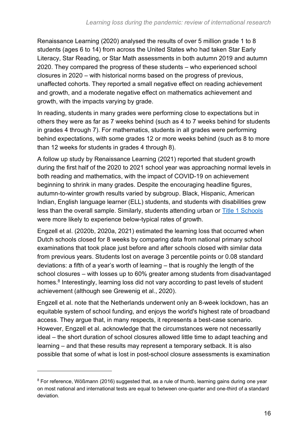Renaissance Learning (2020) analysed the results of over 5 million grade 1 to 8 students (ages 6 to 14) from across the United States who had taken Star Early Literacy, Star Reading, or Star Math assessments in both autumn 2019 and autumn 2020. They compared the progress of these students – who experienced school closures in 2020 – with historical norms based on the progress of previous, unaffected cohorts. They reported a small negative effect on reading achievement and growth, and a moderate negative effect on mathematics achievement and growth, with the impacts varying by grade.

In reading, students in many grades were performing close to expectations but in others they were as far as 7 weeks behind (such as 4 to 7 weeks behind for students in grades 4 through 7). For mathematics, students in all grades were performing behind expectations, with some grades 12 or more weeks behind (such as 8 to more than 12 weeks for students in grades 4 through 8).

A follow up study by Renaissance Learning (2021) reported that student growth during the first half of the 2020 to 2021 school year was approaching normal levels in both reading and mathematics, with the impact of COVID-19 on achievement beginning to shrink in many grades. Despite the encouraging headline figures, autumn-to-winter growth results varied by subgroup. Black, Hispanic, American Indian, English language learner (ELL) students, and students with disabilities grew less than the overall sample. Similarly, students attending urban or [Title 1 Schools](https://www2.ed.gov/programs/titleiparta/index.html#:~:text=Schools%20in%20which%20children%20from,of%20the%20lowest%2Dachieving%20students) were more likely to experience below-typical rates of growth.

Engzell et al. (2020b, 2020a, 2021) estimated the learning loss that occurred when Dutch schools closed for 8 weeks by comparing data from national primary school examinations that took place just before and after schools closed with similar data from previous years. Students lost on average 3 percentile points or 0.08 standard deviations: a fifth of a year's worth of learning – that is roughly the length of the school closures – with losses up to 60% greater among students from disadvantaged homes.<sup>8</sup> Interestingly, learning loss did not vary according to past levels of student achievement (although see Grewenig et al., 2020).

Engzell et al. note that the Netherlands underwent only an 8-week lockdown, has an equitable system of school funding, and enjoys the world's highest rate of broadband access. They argue that, in many respects, it represents a best-case scenario. However, Engzell et al. acknowledge that the circumstances were not necessarily ideal – the short duration of school closures allowed little time to adapt teaching and learning – and that these results may represent a temporary setback. It is also possible that some of what is lost in post-school closure assessments is examination

<sup>&</sup>lt;sup>8</sup> For reference, Wößmann (2016) suggested that, as a rule of thumb, learning gains during one year on most national and international tests are equal to between one-quarter and one-third of a standard deviation.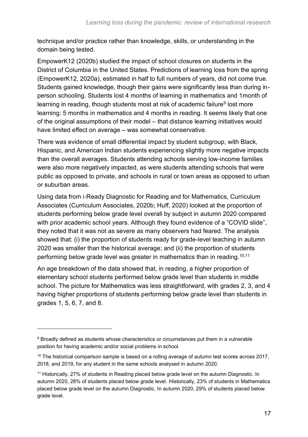technique and/or practice rather than knowledge, skills, or understanding in the domain being tested.

EmpowerK12 (2020b) studied the impact of school closures on students in the District of Columbia in the United States. Predictions of learning loss from the spring (EmpowerK12, 2020a), estimated in half to full numbers of years, did not come true. Students gained knowledge, though their gains were significantly less than during inperson schooling. Students lost 4 months of learning in mathematics and 1month of learning in reading, though students most at risk of academic failure<sup>9</sup> lost more learning: 5 months in mathematics and 4 months in reading. It seems likely that one of the original assumptions of their model – that distance learning initiatives would have limited effect on average – was somewhat conservative.

There was evidence of small differential impact by student subgroup, with Black, Hispanic, and American Indian students experiencing slightly more negative impacts than the overall averages. Students attending schools serving low-income families were also more negatively impacted, as were students attending schools that were public as opposed to private, and schools in rural or town areas as opposed to urban or suburban areas.

Using data from i‑Ready Diagnostic for Reading and for Mathematics, Curriculum Associates (Curriculum Associates, 2020b; Huff, 2020) looked at the proportion of students performing below grade level overall by subject in autumn 2020 compared with prior academic school years. Although they found evidence of a "COVID slide", they noted that it was not as severe as many observers had feared. The analysis showed that: (i) the proportion of students ready for grade-level teaching in autumn 2020 was smaller than the historical average; and (ii) the proportion of students performing below grade level was greater in mathematics than in reading.10,11

An age breakdown of the data showed that, in reading, a higher proportion of elementary school students performed below grade level than students in middle school. The picture for Mathematics was less straightforward, with grades 2, 3, and 4 having higher proportions of students performing below grade level than students in grades 1, 5, 6, 7, and 8.

<sup>&</sup>lt;sup>9</sup> Broadly defined as students whose characteristics or circumstances put them in a vulnerable position for having academic and/or social problems in school.

<sup>&</sup>lt;sup>10</sup> The historical comparison sample is based on a rolling average of autumn test scores across 2017, 2018, and 2019, for any student in the same schools analysed in autumn 2020.

<sup>&</sup>lt;sup>11</sup> Historically, 27% of students in Reading placed below grade level on the autumn Diagnostic. In autumn 2020, 28% of students placed below grade level. Historically, 23% of students in Mathematics placed below grade level on the autumn Diagnostic. In autumn 2020, 29% of students placed below grade level.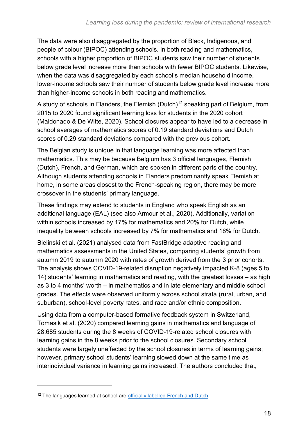The data were also disaggregated by the proportion of Black, Indigenous, and people of colour (BIPOC) attending schools. In both reading and mathematics, schools with a higher proportion of BIPOC students saw their number of students below grade level increase more than schools with fewer BIPOC students. Likewise, when the data was disaggregated by each school's median household income. lower-income schools saw their number of students below grade level increase more than higher-income schools in both reading and mathematics.

A study of schools in Flanders, the Flemish (Dutch)<sup>12</sup> speaking part of Belgium, from 2015 to 2020 found significant learning loss for students in the 2020 cohort (Maldonado & De Witte, 2020). School closures appear to have led to a decrease in school averages of mathematics scores of 0.19 standard deviations and Dutch scores of 0.29 standard deviations compared with the previous cohort.

The Belgian study is unique in that language learning was more affected than mathematics. This may be because Belgium has 3 official languages, Flemish (Dutch), French, and German, which are spoken in different parts of the country. Although students attending schools in Flanders predominantly speak Flemish at home, in some areas closest to the French-speaking region, there may be more crossover in the students' primary language.

These findings may extend to students in England who speak English as an additional language (EAL) (see also Armour et al., 2020). Additionally, variation within schools increased by 17% for mathematics and 20% for Dutch, while inequality between schools increased by 7% for mathematics and 18% for Dutch.

Bielinski et al. (2021) analysed data from FastBridge adaptive reading and mathematics assessments in the United States, comparing students' growth from autumn 2019 to autumn 2020 with rates of growth derived from the 3 prior cohorts. The analysis shows COVID-19-related disruption negatively impacted K-8 (ages 5 to 14) students' learning in mathematics and reading, with the greatest losses – as high as 3 to 4 months' worth – in mathematics and in late elementary and middle school grades. The effects were observed uniformly across school strata (rural, urban, and suburban), school-level poverty rates, and race and/or ethnic composition.

Using data from a computer-based formative feedback system in Switzerland, Tomasik et al. (2020) compared learning gains in mathematics and language of 28,685 students during the 8 weeks of COVID-19-related school closures with learning gains in the 8 weeks prior to the school closures. Secondary school students were largely unaffected by the school closures in terms of learning gains; however, primary school students' learning slowed down at the same time as interindividual variance in learning gains increased. The authors concluded that,

<sup>&</sup>lt;sup>12</sup> The languages learned at school are [officially labelled French and Dutch.](https://www.bbc.co.uk/languages/european_languages/countries/belgium.shtml)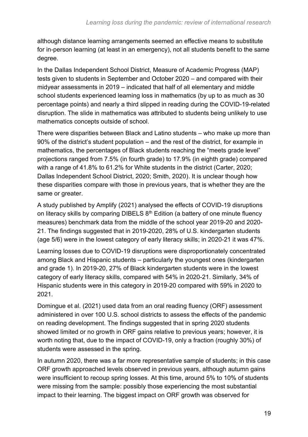although distance learning arrangements seemed an effective means to substitute for in-person learning (at least in an emergency), not all students benefit to the same degree.

In the Dallas Independent School District, Measure of Academic Progress (MAP) tests given to students in September and October 2020 – and compared with their midyear assessments in 2019 – indicated that half of all elementary and middle school students experienced learning loss in mathematics (by up to as much as 30 percentage points) and nearly a third slipped in reading during the COVID-19-related disruption. The slide in mathematics was attributed to students being unlikely to use mathematics concepts outside of school.

There were disparities between Black and Latino students – who make up more than 90% of the district's student population – and the rest of the district, for example in mathematics, the percentages of Black students reaching the "meets grade level" projections ranged from 7.5% (in fourth grade) to 17.9% (in eighth grade) compared with a range of 41.8% to 61.2% for White students in the district (Carter, 2020; Dallas Independent School District, 2020; Smith, 2020). It is unclear though how these disparities compare with those in previous years, that is whether they are the same or greater.

A study published by Amplify (2021) analysed the effects of COVID-19 disruptions on literacy skills by comparing DIBELS 8<sup>th</sup> Edition (a battery of one minute fluency measures) benchmark data from the middle of the school year 2019-20 and 2020- 21. The findings suggested that in 2019-2020, 28% of U.S. kindergarten students (age 5/6) were in the lowest category of early literacy skills; in 2020-21 it was 47%.

Learning losses due to COVID-19 disruptions were disproportionately concentrated among Black and Hispanic students – particularly the youngest ones (kindergarten and grade 1). In 2019-20, 27% of Black kindergarten students were in the lowest category of early literacy skills, compared with 54% in 2020-21. Similarly, 34% of Hispanic students were in this category in 2019-20 compared with 59% in 2020 to 2021.

Domingue et al. (2021) used data from an oral reading fluency (ORF) assessment administered in over 100 U.S. school districts to assess the effects of the pandemic on reading development. The findings suggested that in spring 2020 students showed limited or no growth in ORF gains relative to previous years; however, it is worth noting that, due to the impact of COVID-19, only a fraction (roughly 30%) of students were assessed in the spring.

In autumn 2020, there was a far more representative sample of students; in this case ORF growth approached levels observed in previous years, although autumn gains were insufficient to recoup spring losses. At this time, around 5% to 10% of students were missing from the sample: possibly those experiencing the most substantial impact to their learning. The biggest impact on ORF growth was observed for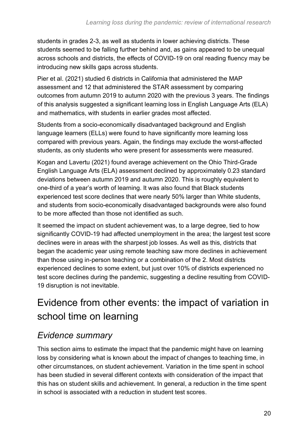students in grades 2-3, as well as students in lower achieving districts. These students seemed to be falling further behind and, as gains appeared to be unequal across schools and districts, the effects of COVID-19 on oral reading fluency may be introducing new skills gaps across students.

Pier et al. (2021) studied 6 districts in California that administered the MAP assessment and 12 that administered the STAR assessment by comparing outcomes from autumn 2019 to autumn 2020 with the previous 3 years. The findings of this analysis suggested a significant learning loss in English Language Arts (ELA) and mathematics, with students in earlier grades most affected.

Students from a socio-economically disadvantaged background and English language learners (ELLs) were found to have significantly more learning loss compared with previous years. Again, the findings may exclude the worst-affected students, as only students who were present for assessments were measured.

Kogan and Lavertu (2021) found average achievement on the Ohio Third-Grade English Language Arts (ELA) assessment declined by approximately 0.23 standard deviations between autumn 2019 and autumn 2020. This is roughly equivalent to one-third of a year's worth of learning. It was also found that Black students experienced test score declines that were nearly 50% larger than White students, and students from socio-economically disadvantaged backgrounds were also found to be more affected than those not identified as such.

It seemed the impact on student achievement was, to a large degree, tied to how significantly COVID-19 had affected unemployment in the area; the largest test score declines were in areas with the sharpest job losses. As well as this, districts that began the academic year using remote teaching saw more declines in achievement than those using in-person teaching or a combination of the 2. Most districts experienced declines to some extent, but just over 10% of districts experienced no test score declines during the pandemic, suggesting a decline resulting from COVID-19 disruption is not inevitable.

## <span id="page-19-0"></span>Evidence from other events: the impact of variation in school time on learning

#### <span id="page-19-1"></span>*Evidence summary*

This section aims to estimate the impact that the pandemic might have on learning loss by considering what is known about the impact of changes to teaching time, in other circumstances, on student achievement. Variation in the time spent in school has been studied in several different contexts with consideration of the impact that this has on student skills and achievement. In general, a reduction in the time spent in school is associated with a reduction in student test scores.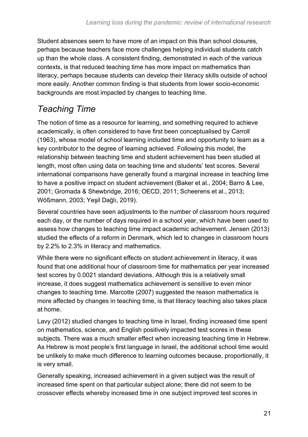Student absences seem to have more of an impact on this than school closures, perhaps because teachers face more challenges helping individual students catch up than the whole class. A consistent finding, demonstrated in each of the various contexts, is that reduced teaching time has more impact on mathematics than literacy, perhaps because students can develop their literacy skills outside of school more easily. Another common finding is that students from lower socio-economic backgrounds are most impacted by changes to teaching time.

#### <span id="page-20-0"></span>*Teaching Time*

The notion of time as a resource for learning, and something required to achieve academically, is often considered to have first been conceptualised by Carroll (1963), whose model of school learning included time and opportunity to learn as a key contributor to the degree of learning achieved. Following this model, the relationship between teaching time and student achievement has been studied at length, most often using data on teaching time and students' test scores. Several international comparisons have generally found a marginal increase in teaching time to have a positive impact on student achievement (Baker et al., 2004; Barro & Lee, 2001; Gromada & Shewbridge, 2016; OECD, 2011; Scheerens et al., 2013; Wößmann, 2003; Yeşil Dağlı, 2019).

Several countries have seen adjustments to the number of classroom hours required each day, or the number of days required in a school year, which have been used to assess how changes to teaching time impact academic achievement. Jensen (2013) studied the effects of a reform in Denmark, which led to changes in classroom hours by 2.2% to 2.3% in literacy and mathematics.

While there were no significant effects on student achievement in literacy, it was found that one additional hour of classroom time for mathematics per year increased test scores by 0.0021 standard deviations. Although this is a relatively small increase, it does suggest mathematics achievement is sensitive to even minor changes to teaching time. Marcotte (2007) suggested the reason mathematics is more affected by changes in teaching time, is that literacy teaching also takes place at home.

Lavy (2012) studied changes to teaching time in Israel, finding increased time spent on mathematics, science, and English positively impacted test scores in these subjects. There was a much smaller effect when increasing teaching time in Hebrew. As Hebrew is most people's first language in Israel, the additional school time would be unlikely to make much difference to learning outcomes because, proportionally, it is very small.

Generally speaking, increased achievement in a given subject was the result of increased time spent on that particular subject alone; there did not seem to be crossover effects whereby increased time in one subject improved test scores in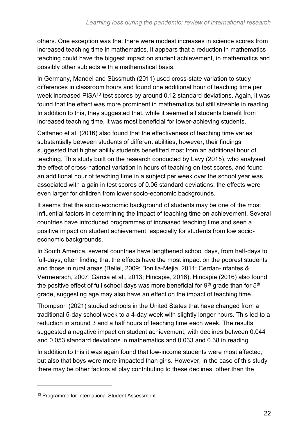others. One exception was that there were modest increases in science scores from increased teaching time in mathematics. It appears that a reduction in mathematics teaching could have the biggest impact on student achievement, in mathematics and possibly other subjects with a mathematical basis.

In Germany, Mandel and Süssmuth (2011) used cross-state variation to study differences in classroom hours and found one additional hour of teaching time per week increased PISA<sup>13</sup> test scores by around 0.12 standard deviations. Again, it was found that the effect was more prominent in mathematics but still sizeable in reading. In addition to this, they suggested that, while it seemed all students benefit from increased teaching time, it was most beneficial for lower-achieving students.

Cattaneo et al. (2016) also found that the effectiveness of teaching time varies substantially between students of different abilities; however, their findings suggested that higher ability students benefitted most from an additional hour of teaching. This study built on the research conducted by Lavy (2015), who analysed the effect of cross-national variation in hours of teaching on test scores, and found an additional hour of teaching time in a subject per week over the school year was associated with a gain in test scores of 0.06 standard deviations; the effects were even larger for children from lower socio-economic backgrounds.

It seems that the socio-economic background of students may be one of the most influential factors in determining the impact of teaching time on achievement. Several countries have introduced programmes of increased teaching time and seen a positive impact on student achievement, especially for students from low socioeconomic backgrounds.

In South America, several countries have lengthened school days, from half-days to full-days, often finding that the effects have the most impact on the poorest students and those in rural areas (Bellei, 2009; Bonilla-Mejia, 2011; Cerdan-Infantes & Vermeersch, 2007; Garcia et al., 2013; Hincapie, 2016). Hincapie (2016) also found the positive effect of full school days was more beneficial for  $9<sup>th</sup>$  grade than for  $5<sup>th</sup>$ grade, suggesting age may also have an effect on the impact of teaching time.

Thompson (2021) studied schools in the United States that have changed from a traditional 5-day school week to a 4-day week with slightly longer hours. This led to a reduction in around 3 and a half hours of teaching time each week. The results suggested a negative impact on student achievement, with declines between 0.044 and 0.053 standard deviations in mathematics and 0.033 and 0.38 in reading.

In addition to this it was again found that low-income students were most affected, but also that boys were more impacted than girls. However, in the case of this study there may be other factors at play contributing to these declines, other than the

<sup>&</sup>lt;sup>13</sup> Programme for International Student Assessment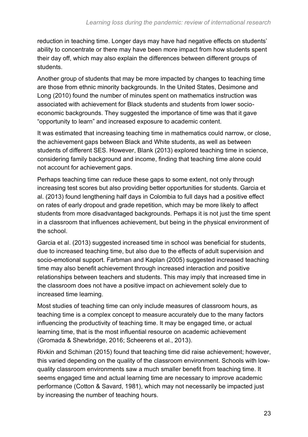reduction in teaching time. Longer days may have had negative effects on students' ability to concentrate or there may have been more impact from how students spent their day off, which may also explain the differences between different groups of students.

Another group of students that may be more impacted by changes to teaching time are those from ethnic minority backgrounds. In the United States, Desimone and Long (2010) found the number of minutes spent on mathematics instruction was associated with achievement for Black students and students from lower socioeconomic backgrounds. They suggested the importance of time was that it gave "opportunity to learn" and increased exposure to academic content.

It was estimated that increasing teaching time in mathematics could narrow, or close, the achievement gaps between Black and White students, as well as between students of different SES. However, Blank (2013) explored teaching time in science, considering family background and income, finding that teaching time alone could not account for achievement gaps.

Perhaps teaching time can reduce these gaps to some extent, not only through increasing test scores but also providing better opportunities for students. Garcia et al. (2013) found lengthening half days in Colombia to full days had a positive effect on rates of early dropout and grade repetition, which may be more likely to affect students from more disadvantaged backgrounds. Perhaps it is not just the time spent in a classroom that influences achievement, but being in the physical environment of the school.

Garcia et al. (2013) suggested increased time in school was beneficial for students, due to increased teaching time, but also due to the effects of adult supervision and socio-emotional support. Farbman and Kaplan (2005) suggested increased teaching time may also benefit achievement through increased interaction and positive relationships between teachers and students. This may imply that increased time in the classroom does not have a positive impact on achievement solely due to increased time learning.

Most studies of teaching time can only include measures of classroom hours, as teaching time is a complex concept to measure accurately due to the many factors influencing the productivity of teaching time. It may be engaged time, or actual learning time, that is the most influential resource on academic achievement (Gromada & Shewbridge, 2016; Scheerens et al., 2013).

Rivkin and Schiman (2015) found that teaching time did raise achievement; however, this varied depending on the quality of the classroom environment. Schools with lowquality classroom environments saw a much smaller benefit from teaching time. It seems engaged time and actual learning time are necessary to improve academic performance (Cotton & Savard, 1981), which may not necessarily be impacted just by increasing the number of teaching hours.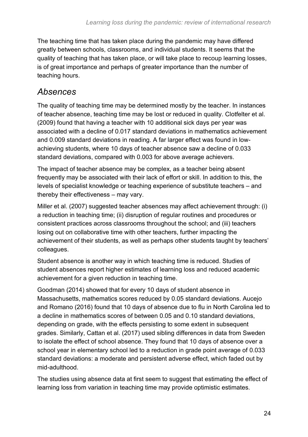The teaching time that has taken place during the pandemic may have differed greatly between schools, classrooms, and individual students. It seems that the quality of teaching that has taken place, or will take place to recoup learning losses, is of great importance and perhaps of greater importance than the number of teaching hours.

#### <span id="page-23-0"></span>*Absences*

The quality of teaching time may be determined mostly by the teacher. In instances of teacher absence, teaching time may be lost or reduced in quality. Clotfelter et al. (2009) found that having a teacher with 10 additional sick days per year was associated with a decline of 0.017 standard deviations in mathematics achievement and 0.009 standard deviations in reading. A far larger effect was found in lowachieving students, where 10 days of teacher absence saw a decline of 0.033 standard deviations, compared with 0.003 for above average achievers.

The impact of teacher absence may be complex, as a teacher being absent frequently may be associated with their lack of effort or skill. In addition to this, the levels of specialist knowledge or teaching experience of substitute teachers – and thereby their effectiveness – may vary.

Miller et al. (2007) suggested teacher absences may affect achievement through: (i) a reduction in teaching time; (ii) disruption of regular routines and procedures or consistent practices across classrooms throughout the school; and (iii) teachers losing out on collaborative time with other teachers, further impacting the achievement of their students, as well as perhaps other students taught by teachers' colleagues.

Student absence is another way in which teaching time is reduced. Studies of student absences report higher estimates of learning loss and reduced academic achievement for a given reduction in teaching time.

Goodman (2014) showed that for every 10 days of student absence in Massachusetts, mathematics scores reduced by 0.05 standard deviations. Aucejo and Romano (2016) found that 10 days of absence due to flu in North Carolina led to a decline in mathematics scores of between 0.05 and 0.10 standard deviations, depending on grade, with the effects persisting to some extent in subsequent grades. Similarly, Cattan et al. (2017) used sibling differences in data from Sweden to isolate the effect of school absence. They found that 10 days of absence over a school year in elementary school led to a reduction in grade point average of 0.033 standard deviations: a moderate and persistent adverse effect, which faded out by mid-adulthood.

The studies using absence data at first seem to suggest that estimating the effect of learning loss from variation in teaching time may provide optimistic estimates.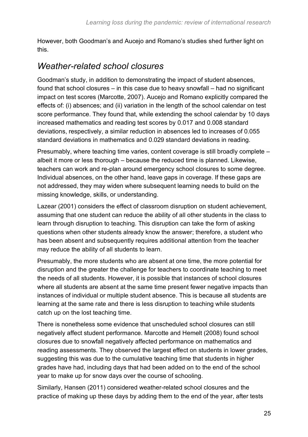However, both Goodman's and Aucejo and Romano's studies shed further light on this.

#### <span id="page-24-0"></span>*Weather-related school closures*

Goodman's study, in addition to demonstrating the impact of student absences, found that school closures – in this case due to heavy snowfall – had no significant impact on test scores (Marcotte, 2007). Aucejo and Romano explicitly compared the effects of: (i) absences; and (ii) variation in the length of the school calendar on test score performance. They found that, while extending the school calendar by 10 days increased mathematics and reading test scores by 0.017 and 0.008 standard deviations, respectively, a similar reduction in absences led to increases of 0.055 standard deviations in mathematics and 0.029 standard deviations in reading.

Presumably, where teaching time varies, content coverage is still broadly complete – albeit it more or less thorough – because the reduced time is planned. Likewise, teachers can work and re-plan around emergency school closures to some degree. Individual absences, on the other hand, leave gaps in coverage. If these gaps are not addressed, they may widen where subsequent learning needs to build on the missing knowledge, skills, or understanding.

Lazear (2001) considers the effect of classroom disruption on student achievement, assuming that one student can reduce the ability of all other students in the class to learn through disruption to teaching. This disruption can take the form of asking questions when other students already know the answer; therefore, a student who has been absent and subsequently requires additional attention from the teacher may reduce the ability of all students to learn.

Presumably, the more students who are absent at one time, the more potential for disruption and the greater the challenge for teachers to coordinate teaching to meet the needs of all students. However, it is possible that instances of school closures where all students are absent at the same time present fewer negative impacts than instances of individual or multiple student absence. This is because all students are learning at the same rate and there is less disruption to teaching while students catch up on the lost teaching time.

There is nonetheless some evidence that unscheduled school closures can still negatively affect student performance. Marcotte and Hemelt (2008) found school closures due to snowfall negatively affected performance on mathematics and reading assessments. They observed the largest effect on students in lower grades, suggesting this was due to the cumulative teaching time that students in higher grades have had, including days that had been added on to the end of the school year to make up for snow days over the course of schooling.

Similarly, Hansen (2011) considered weather-related school closures and the practice of making up these days by adding them to the end of the year, after tests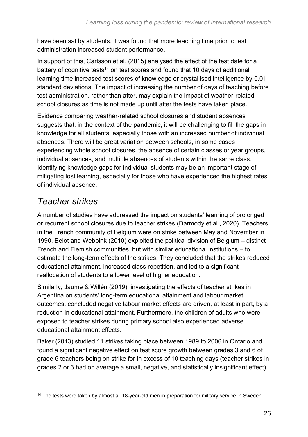have been sat by students. It was found that more teaching time prior to test administration increased student performance.

In support of this, Carlsson et al. (2015) analysed the effect of the test date for a battery of cognitive tests<sup>14</sup> on test scores and found that 10 days of additional learning time increased test scores of knowledge or crystallised intelligence by 0.01 standard deviations. The impact of increasing the number of days of teaching before test administration, rather than after, may explain the impact of weather-related school closures as time is not made up until after the tests have taken place.

Evidence comparing weather-related school closures and student absences suggests that, in the context of the pandemic, it will be challenging to fill the gaps in knowledge for all students, especially those with an increased number of individual absences. There will be great variation between schools, in some cases experiencing whole school closures, the absence of certain classes or year groups, individual absences, and multiple absences of students within the same class. Identifying knowledge gaps for individual students may be an important stage of mitigating lost learning, especially for those who have experienced the highest rates of individual absence.

#### <span id="page-25-0"></span>*Teacher strikes*

A number of studies have addressed the impact on students' learning of prolonged or recurrent school closures due to teacher strikes (Darmody et al., 2020). Teachers in the French community of Belgium were on strike between May and November in 1990. Belot and Webbink (2010) exploited the political division of Belgium – distinct French and Flemish communities, but with similar educational institutions – to estimate the long-term effects of the strikes. They concluded that the strikes reduced educational attainment, increased class repetition, and led to a significant reallocation of students to a lower level of higher education.

Similarly, Jaume & Willén (2019), investigating the effects of teacher strikes in Argentina on students' long-term educational attainment and labour market outcomes, concluded negative labour market effects are driven, at least in part, by a reduction in educational attainment. Furthermore, the children of adults who were exposed to teacher strikes during primary school also experienced adverse educational attainment effects.

Baker (2013) studied 11 strikes taking place between 1989 to 2006 in Ontario and found a significant negative effect on test score growth between grades 3 and 6 of grade 6 teachers being on strike for in excess of 10 teaching days (teacher strikes in grades 2 or 3 had on average a small, negative, and statistically insignificant effect).

<sup>&</sup>lt;sup>14</sup> The tests were taken by almost all 18-year-old men in preparation for military service in Sweden.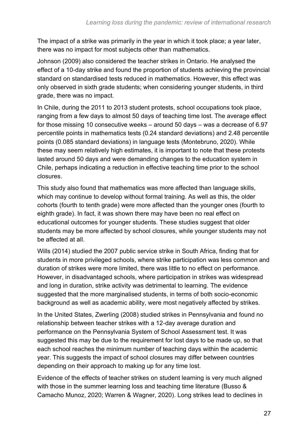The impact of a strike was primarily in the year in which it took place; a year later, there was no impact for most subjects other than mathematics.

Johnson (2009) also considered the teacher strikes in Ontario. He analysed the effect of a 10-day strike and found the proportion of students achieving the provincial standard on standardised tests reduced in mathematics. However, this effect was only observed in sixth grade students; when considering younger students, in third grade, there was no impact.

In Chile, during the 2011 to 2013 student protests, school occupations took place, ranging from a few days to almost 50 days of teaching time lost. The average effect for those missing 10 consecutive weeks – around 50 days – was a decrease of 6.97 percentile points in mathematics tests (0.24 standard deviations) and 2.48 percentile points (0.085 standard deviations) in language tests (Montebruno, 2020). While these may seem relatively high estimates, it is important to note that these protests lasted around 50 days and were demanding changes to the education system in Chile, perhaps indicating a reduction in effective teaching time prior to the school closures.

This study also found that mathematics was more affected than language skills, which may continue to develop without formal training. As well as this, the older cohorts (fourth to tenth grade) were more affected than the younger ones (fourth to eighth grade). In fact, it was shown there may have been no real effect on educational outcomes for younger students. These studies suggest that older students may be more affected by school closures, while younger students may not be affected at all.

Wills (2014) studied the 2007 public service strike in South Africa, finding that for students in more privileged schools, where strike participation was less common and duration of strikes were more limited, there was little to no effect on performance. However, in disadvantaged schools, where participation in strikes was widespread and long in duration, strike activity was detrimental to learning. The evidence suggested that the more marginalised students, in terms of both socio-economic background as well as academic ability, were most negatively affected by strikes.

In the United States, Zwerling (2008) studied strikes in Pennsylvania and found no relationship between teacher strikes with a 12-day average duration and performance on the Pennsylvania System of School Assessment test. It was suggested this may be due to the requirement for lost days to be made up, so that each school reaches the minimum number of teaching days within the academic year. This suggests the impact of school closures may differ between countries depending on their approach to making up for any time lost.

Evidence of the effects of teacher strikes on student learning is very much aligned with those in the summer learning loss and teaching time literature (Busso & Camacho Munoz, 2020; Warren & Wagner, 2020). Long strikes lead to declines in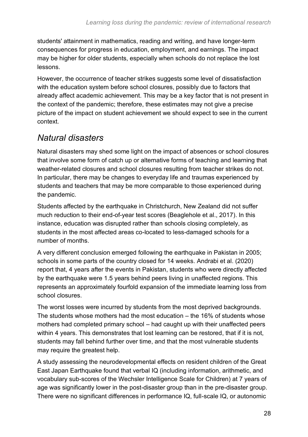students' attainment in mathematics, reading and writing, and have longer-term consequences for progress in education, employment, and earnings. The impact may be higher for older students, especially when schools do not replace the lost lessons.

However, the occurrence of teacher strikes suggests some level of dissatisfaction with the education system before school closures, possibly due to factors that already affect academic achievement. This may be a key factor that is not present in the context of the pandemic; therefore, these estimates may not give a precise picture of the impact on student achievement we should expect to see in the current context.

#### <span id="page-27-0"></span>*Natural disasters*

Natural disasters may shed some light on the impact of absences or school closures that involve some form of catch up or alternative forms of teaching and learning that weather-related closures and school closures resulting from teacher strikes do not. In particular, there may be changes to everyday life and traumas experienced by students and teachers that may be more comparable to those experienced during the pandemic.

Students affected by the earthquake in Christchurch, New Zealand did not suffer much reduction to their end-of-year test scores (Beaglehole et al., 2017). In this instance, education was disrupted rather than schools closing completely, as students in the most affected areas co-located to less-damaged schools for a number of months.

A very different conclusion emerged following the earthquake in Pakistan in 2005; schools in some parts of the country closed for 14 weeks. Andrabi et al. (2020) report that, 4 years after the events in Pakistan, students who were directly affected by the earthquake were 1.5 years behind peers living in unaffected regions. This represents an approximately fourfold expansion of the immediate learning loss from school closures.

The worst losses were incurred by students from the most deprived backgrounds. The students whose mothers had the most education – the 16% of students whose mothers had completed primary school – had caught up with their unaffected peers within 4 years. This demonstrates that lost learning can be restored, that if it is not, students may fall behind further over time, and that the most vulnerable students may require the greatest help.

A study assessing the neurodevelopmental effects on resident children of the Great East Japan Earthquake found that verbal IQ (including information, arithmetic, and vocabulary sub-scores of the Wechsler Intelligence Scale for Children) at 7 years of age was significantly lower in the post-disaster group than in the pre-disaster group. There were no significant differences in performance IQ, full-scale IQ, or autonomic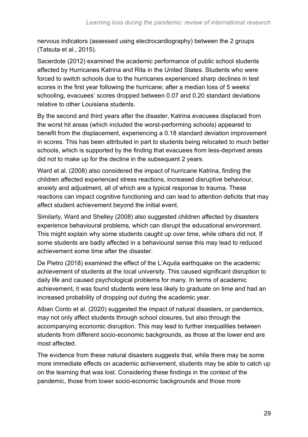nervous indicators (assessed using electrocardiography) between the 2 groups (Tatsuta et al., 2015).

Sacerdote (2012) examined the academic performance of public school students affected by Hurricanes Katrina and Rita in the United States. Students who were forced to switch schools due to the hurricanes experienced sharp declines in test scores in the first year following the hurricane; after a median loss of 5 weeks' schooling, evacuees' scores dropped between 0.07 and 0.20 standard deviations relative to other Louisiana students.

By the second and third years after the disaster, Katrina evacuees displaced from the worst hit areas (which included the worst-performing schools) appeared to benefit from the displacement, experiencing a 0.18 standard deviation improvement in scores. This has been attributed in part to students being relocated to much better schools, which is supported by the finding that evacuees from less-deprived areas did not to make up for the decline in the subsequent 2 years.

Ward et al. (2008) also considered the impact of hurricane Katrina, finding the children affected experienced stress reactions, increased disruptive behaviour, anxiety and adjustment, all of which are a typical response to trauma. These reactions can impact cognitive functioning and can lead to attention deficits that may affect student achievement beyond the initial event.

Similarly, Ward and Shelley (2008) also suggested children affected by disasters experience behavioural problems, which can disrupt the educational environment. This might explain why some students caught up over time, while others did not. If some students are badly affected in a behavioural sense this may lead to reduced achievement some time after the disaster.

De Pietro (2018) examined the effect of the L'Aquila earthquake on the academic achievement of students at the local university. This caused significant disruption to daily life and caused psychological problems for many. In terms of academic achievement, it was found students were less likely to graduate on time and had an increased probability of dropping out during the academic year.

Alban Conto et al. (2020) suggested the impact of natural disasters, or pandemics, may not only affect students through school closures, but also through the accompanying economic disruption. This may lead to further inequalities between students from different socio-economic backgrounds, as those at the lower end are most affected.

The evidence from these natural disasters suggests that, while there may be some more immediate effects on academic achievement, students may be able to catch up on the learning that was lost. Considering these findings in the context of the pandemic, those from lower socio-economic backgrounds and those more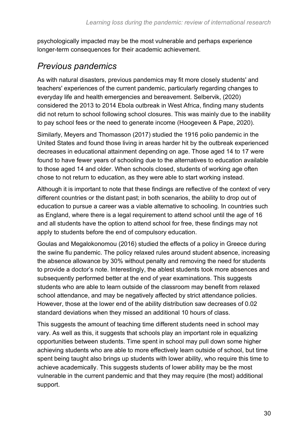psychologically impacted may be the most vulnerable and perhaps experience longer-term consequences for their academic achievement.

#### <span id="page-29-0"></span>*Previous pandemics*

As with natural disasters, previous pandemics may fit more closely students' and teachers' experiences of the current pandemic, particularly regarding changes to everyday life and health emergencies and bereavement. Selbervik, (2020) considered the 2013 to 2014 Ebola outbreak in West Africa, finding many students did not return to school following school closures. This was mainly due to the inability to pay school fees or the need to generate income (Hoogeveen & Pape, 2020).

Similarly, Meyers and Thomasson (2017) studied the 1916 polio pandemic in the United States and found those living in areas harder hit by the outbreak experienced decreases in educational attainment depending on age. Those aged 14 to 17 were found to have fewer years of schooling due to the alternatives to education available to those aged 14 and older. When schools closed, students of working age often chose to not return to education, as they were able to start working instead.

Although it is important to note that these findings are reflective of the context of very different countries or the distant past; in both scenarios, the ability to drop out of education to pursue a career was a viable alternative to schooling. In countries such as England, where there is a legal requirement to attend school until the age of 16 and all students have the option to attend school for free, these findings may not apply to students before the end of compulsory education.

Goulas and Megalokonomou (2016) studied the effects of a policy in Greece during the swine flu pandemic. The policy relaxed rules around student absence, increasing the absence allowance by 30% without penalty and removing the need for students to provide a doctor's note. Interestingly, the ablest students took more absences and subsequently performed better at the end of year examinations. This suggests students who are able to learn outside of the classroom may benefit from relaxed school attendance, and may be negatively affected by strict attendance policies. However, those at the lower end of the ability distribution saw decreases of 0.02 standard deviations when they missed an additional 10 hours of class.

This suggests the amount of teaching time different students need in school may vary. As well as this, it suggests that schools play an important role in equalizing opportunities between students. Time spent in school may pull down some higher achieving students who are able to more effectively learn outside of school, but time spent being taught also brings up students with lower ability, who require this time to achieve academically. This suggests students of lower ability may be the most vulnerable in the current pandemic and that they may require (the most) additional support.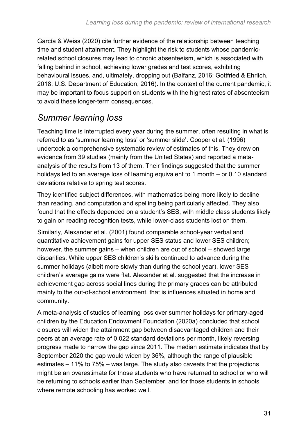García & Weiss (2020) cite further evidence of the relationship between teaching time and student attainment. They highlight the risk to students whose pandemicrelated school closures may lead to chronic absenteeism, which is associated with falling behind in school, achieving lower grades and test scores, exhibiting behavioural issues, and, ultimately, dropping out (Balfanz, 2016; Gottfried & Ehrlich, 2018; U.S. Department of Education, 2016). In the context of the current pandemic, it may be important to focus support on students with the highest rates of absenteeism to avoid these longer-term consequences.

#### <span id="page-30-0"></span>*Summer learning loss*

Teaching time is interrupted every year during the summer, often resulting in what is referred to as 'summer learning loss' or 'summer slide'. Cooper et al. (1996) undertook a comprehensive systematic review of estimates of this. They drew on evidence from 39 studies (mainly from the United States) and reported a metaanalysis of the results from 13 of them. Their findings suggested that the summer holidays led to an average loss of learning equivalent to 1 month – or 0.10 standard deviations relative to spring test scores.

They identified subject differences, with mathematics being more likely to decline than reading, and computation and spelling being particularly affected. They also found that the effects depended on a student's SES, with middle class students likely to gain on reading recognition tests, while lower-class students lost on them.

Similarly, Alexander et al. (2001) found comparable school-year verbal and quantitative achievement gains for upper SES status and lower SES children; however, the summer gains – when children are out of school – showed large disparities. While upper SES children's skills continued to advance during the summer holidays (albeit more slowly than during the school year), lower SES children's average gains were flat. Alexander et al. suggested that the increase in achievement gap across social lines during the primary grades can be attributed mainly to the out-of-school environment, that is influences situated in home and community.

A meta-analysis of studies of learning loss over summer holidays for primary-aged children by the Education Endowment Foundation (2020a) concluded that school closures will widen the attainment gap between disadvantaged children and their peers at an average rate of 0.022 standard deviations per month, likely reversing progress made to narrow the gap since 2011. The median estimate indicates that by September 2020 the gap would widen by 36%, although the range of plausible estimates – 11% to 75% – was large. The study also caveats that the projections might be an overestimate for those students who have returned to school or who will be returning to schools earlier than September, and for those students in schools where remote schooling has worked well.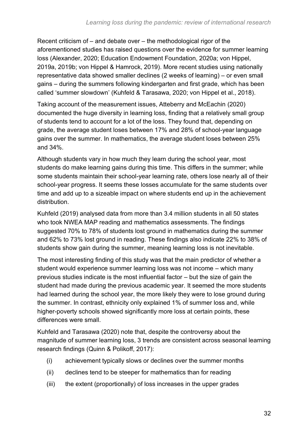Recent criticism of – and debate over – the methodological rigor of the aforementioned studies has raised questions over the evidence for summer learning loss (Alexander, 2020; Education Endowment Foundation, 2020a; von Hippel, 2019a, 2019b; von Hippel & Hamrock, 2019). More recent studies using nationally representative data showed smaller declines (2 weeks of learning) – or even small gains – during the summers following kindergarten and first grade, which has been called 'summer slowdown' (Kuhfeld & Tarasawa, 2020; von Hippel et al., 2018).

Taking account of the measurement issues, Atteberry and McEachin (2020) documented the huge diversity in learning loss, finding that a relatively small group of students tend to account for a lot of the loss. They found that, depending on grade, the average student loses between 17% and 28% of school-year language gains over the summer. In mathematics, the average student loses between 25% and 34%.

Although students vary in how much they learn during the school year, most students do make learning gains during this time. This differs in the summer; while some students maintain their school-year learning rate, others lose nearly all of their school-year progress. It seems these losses accumulate for the same students over time and add up to a sizeable impact on where students end up in the achievement distribution.

Kuhfeld (2019) analysed data from more than 3.4 million students in all 50 states who took NWEA MAP reading and mathematics assessments. The findings suggested 70% to 78% of students lost ground in mathematics during the summer and 62% to 73% lost ground in reading. These findings also indicate 22% to 38% of students show gain during the summer, meaning learning loss is not inevitable.

The most interesting finding of this study was that the main predictor of whether a student would experience summer learning loss was not income – which many previous studies indicate is the most influential factor – but the size of gain the student had made during the previous academic year. It seemed the more students had learned during the school year, the more likely they were to lose ground during the summer. In contrast, ethnicity only explained 1% of summer loss and, while higher-poverty schools showed significantly more loss at certain points, these differences were small.

Kuhfeld and Tarasawa (2020) note that, despite the controversy about the magnitude of summer learning loss, 3 trends are consistent across seasonal learning research findings (Quinn & Polikoff, 2017):

- (i) achievement typically slows or declines over the summer months
- (ii) declines tend to be steeper for mathematics than for reading
- (iii) the extent (proportionally) of loss increases in the upper grades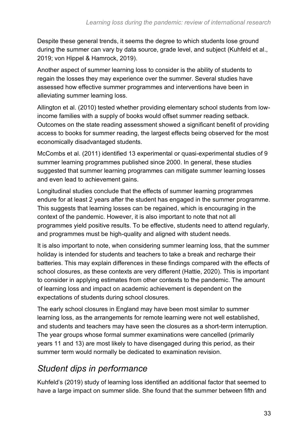Despite these general trends, it seems the degree to which students lose ground during the summer can vary by data source, grade level, and subject (Kuhfeld et al., 2019; von Hippel & Hamrock, 2019).

Another aspect of summer learning loss to consider is the ability of students to regain the losses they may experience over the summer. Several studies have assessed how effective summer programmes and interventions have been in alleviating summer learning loss.

Allington et al. (2010) tested whether providing elementary school students from lowincome families with a supply of books would offset summer reading setback. Outcomes on the state reading assessment showed a significant benefit of providing access to books for summer reading, the largest effects being observed for the most economically disadvantaged students.

McCombs et al. (2011) identified 13 experimental or quasi-experimental studies of 9 summer learning programmes published since 2000. In general, these studies suggested that summer learning programmes can mitigate summer learning losses and even lead to achievement gains.

Longitudinal studies conclude that the effects of summer learning programmes endure for at least 2 years after the student has engaged in the summer programme. This suggests that learning losses can be regained, which is encouraging in the context of the pandemic. However, it is also important to note that not all programmes yield positive results. To be effective, students need to attend regularly, and programmes must be high-quality and aligned with student needs.

It is also important to note, when considering summer learning loss, that the summer holiday is intended for students and teachers to take a break and recharge their batteries. This may explain differences in these findings compared with the effects of school closures, as these contexts are very different (Hattie, 2020). This is important to consider in applying estimates from other contexts to the pandemic. The amount of learning loss and impact on academic achievement is dependent on the expectations of students during school closures.

The early school closures in England may have been most similar to summer learning loss, as the arrangements for remote learning were not well established, and students and teachers may have seen the closures as a short-term interruption. The year groups whose formal summer examinations were cancelled (primarily years 11 and 13) are most likely to have disengaged during this period, as their summer term would normally be dedicated to examination revision.

#### <span id="page-32-0"></span>*Student dips in performance*

Kuhfeld's (2019) study of learning loss identified an additional factor that seemed to have a large impact on summer slide. She found that the summer between fifth and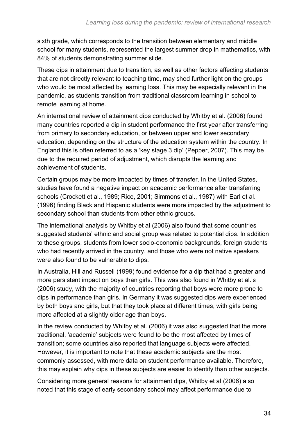sixth grade, which corresponds to the transition between elementary and middle school for many students, represented the largest summer drop in mathematics, with 84% of students demonstrating summer slide.

These dips in attainment due to transition, as well as other factors affecting students that are not directly relevant to teaching time, may shed further light on the groups who would be most affected by learning loss. This may be especially relevant in the pandemic, as students transition from traditional classroom learning in school to remote learning at home.

An international review of attainment dips conducted by Whitby et al. (2006) found many countries reported a dip in student performance the first year after transferring from primary to secondary education, or between upper and lower secondary education, depending on the structure of the education system within the country. In England this is often referred to as a 'key stage 3 dip' (Pepper, 2007). This may be due to the required period of adjustment, which disrupts the learning and achievement of students.

Certain groups may be more impacted by times of transfer. In the United States, studies have found a negative impact on academic performance after transferring schools (Crockett et al., 1989; Rice, 2001; Simmons et al., 1987) with Earl et al. (1996) finding Black and Hispanic students were more impacted by the adjustment to secondary school than students from other ethnic groups.

The international analysis by Whitby et al (2006) also found that some countries suggested students' ethnic and social group was related to potential dips. In addition to these groups, students from lower socio-economic backgrounds, foreign students who had recently arrived in the country, and those who were not native speakers were also found to be vulnerable to dips.

In Australia, Hill and Russell (1999) found evidence for a dip that had a greater and more persistent impact on boys than girls. This was also found in Whitby et al.'s (2006) study, with the majority of countries reporting that boys were more prone to dips in performance than girls. In Germany it was suggested dips were experienced by both boys and girls, but that they took place at different times, with girls being more affected at a slightly older age than boys.

In the review conducted by Whitby et al. (2006) it was also suggested that the more traditional, 'academic' subjects were found to be the most affected by times of transition; some countries also reported that language subjects were affected. However, it is important to note that these academic subjects are the most commonly assessed, with more data on student performance available. Therefore, this may explain why dips in these subjects are easier to identify than other subjects.

Considering more general reasons for attainment dips, Whitby et al (2006) also noted that this stage of early secondary school may affect performance due to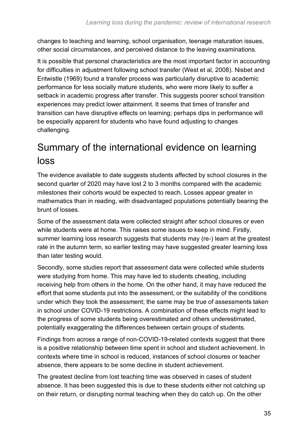changes to teaching and learning, school organisation, teenage maturation issues, other social circumstances, and perceived distance to the leaving examinations.

It is possible that personal characteristics are the most important factor in accounting for difficulties in adjustment following school transfer (West et al, 2008). Nisbet and Entwistle (1969) found a transfer process was particularly disruptive to academic performance for less socially mature students, who were more likely to suffer a setback in academic progress after transfer. This suggests poorer school transition experiences may predict lower attainment. It seems that times of transfer and transition can have disruptive effects on learning; perhaps dips in performance will be especially apparent for students who have found adjusting to changes challenging.

## <span id="page-34-0"></span>Summary of the international evidence on learning loss

The evidence available to date suggests students affected by school closures in the second quarter of 2020 may have lost 2 to 3 months compared with the academic milestones their cohorts would be expected to reach. Losses appear greater in mathematics than in reading, with disadvantaged populations potentially bearing the brunt of losses.

Some of the assessment data were collected straight after school closures or even while students were at home. This raises some issues to keep in mind. Firstly, summer learning loss research suggests that students may (re-) learn at the greatest rate in the autumn term, so earlier testing may have suggested greater learning loss than later testing would.

Secondly, some studies report that assessment data were collected while students were studying from home. This may have led to students cheating, including receiving help from others in the home. On the other hand, it may have reduced the effort that some students put into the assessment, or the suitability of the conditions under which they took the assessment; the same may be true of assessments taken in school under COVID-19 restrictions. A combination of these effects might lead to the progress of some students being overestimated and others underestimated, potentially exaggerating the differences between certain groups of students.

Findings from across a range of non-COVID-19-related contexts suggest that there is a positive relationship between time spent in school and student achievement. In contexts where time in school is reduced, instances of school closures or teacher absence, there appears to be some decline in student achievement.

The greatest decline from lost teaching time was observed in cases of student absence. It has been suggested this is due to these students either not catching up on their return, or disrupting normal teaching when they do catch up. On the other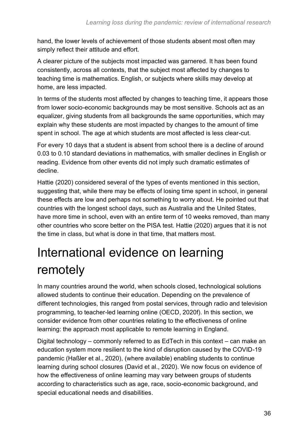hand, the lower levels of achievement of those students absent most often may simply reflect their attitude and effort.

A clearer picture of the subjects most impacted was garnered. It has been found consistently, across all contexts, that the subject most affected by changes to teaching time is mathematics. English, or subjects where skills may develop at home, are less impacted.

In terms of the students most affected by changes to teaching time, it appears those from lower socio-economic backgrounds may be most sensitive. Schools act as an equalizer, giving students from all backgrounds the same opportunities, which may explain why these students are most impacted by changes to the amount of time spent in school. The age at which students are most affected is less clear-cut.

For every 10 days that a student is absent from school there is a decline of around 0.03 to 0.10 standard deviations in mathematics, with smaller declines in English or reading. Evidence from other events did not imply such dramatic estimates of decline.

Hattie (2020) considered several of the types of events mentioned in this section, suggesting that, while there may be effects of losing time spent in school, in general these effects are low and perhaps not something to worry about. He pointed out that countries with the longest school days, such as Australia and the United States, have more time in school, even with an entire term of 10 weeks removed, than many other countries who score better on the PISA test. Hattie (2020) argues that it is not the time in class, but what is done in that time, that matters most.

## <span id="page-35-0"></span>International evidence on learning remotely

In many countries around the world, when schools closed, technological solutions allowed students to continue their education. Depending on the prevalence of different technologies, this ranged from postal services, through radio and television programming, to teacher-led learning online (OECD, 2020f). In this section, we consider evidence from other countries relating to the effectiveness of online learning: the approach most applicable to remote learning in England.

Digital technology – commonly referred to as EdTech in this context – can make an education system more resilient to the kind of disruption caused by the COVID-19 pandemic (Haßler et al., 2020), (where available) enabling students to continue learning during school closures (David et al., 2020). We now focus on evidence of how the effectiveness of online learning may vary between groups of students according to characteristics such as age, race, socio-economic background, and special educational needs and disabilities.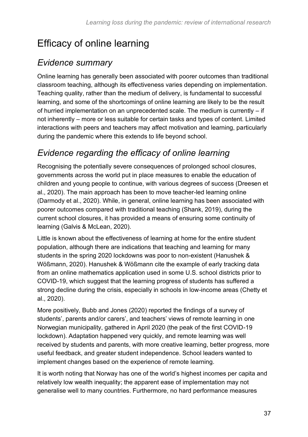## Efficacy of online learning

#### *Evidence summary*

Online learning has generally been associated with poorer outcomes than traditional classroom teaching, although its effectiveness varies depending on implementation. Teaching quality, rather than the medium of delivery, is fundamental to successful learning, and some of the shortcomings of online learning are likely to be the result of hurried implementation on an unprecedented scale. The medium is currently – if not inherently – more or less suitable for certain tasks and types of content. Limited interactions with peers and teachers may affect motivation and learning, particularly during the pandemic where this extends to life beyond school.

#### *Evidence regarding the efficacy of online learning*

Recognising the potentially severe consequences of prolonged school closures, governments across the world put in place measures to enable the education of children and young people to continue, with various degrees of success (Dreesen et al., 2020). The main approach has been to move teacher-led learning online (Darmody et al., 2020). While, in general, online learning has been associated with poorer outcomes compared with traditional teaching (Shank, 2019), during the current school closures, it has provided a means of ensuring some continuity of learning (Galvis & McLean, 2020).

Little is known about the effectiveness of learning at home for the entire student population, although there are indications that teaching and learning for many students in the spring 2020 lockdowns was poor to non-existent (Hanushek & Wößmann, 2020). Hanushek & Wößmann cite the example of early tracking data from an online mathematics application used in some U.S. school districts prior to COVID-19, which suggest that the learning progress of students has suffered a strong decline during the crisis, especially in schools in low-income areas (Chetty et al., 2020).

More positively, Bubb and Jones (2020) reported the findings of a survey of students', parents and/or carers', and teachers' views of remote learning in one Norwegian municipality, gathered in April 2020 (the peak of the first COVID-19 lockdown). Adaptation happened very quickly, and remote learning was well received by students and parents, with more creative learning, better progress, more useful feedback, and greater student independence. School leaders wanted to implement changes based on the experience of remote learning.

It is worth noting that Norway has one of the world's highest incomes per capita and relatively low wealth inequality; the apparent ease of implementation may not generalise well to many countries. Furthermore, no hard performance measures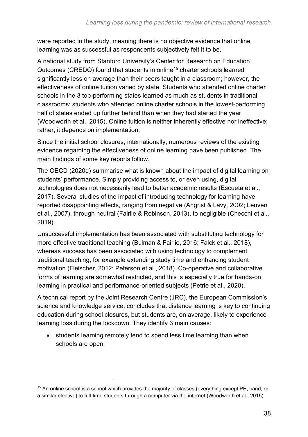were reported in the study, meaning there is no objective evidence that online learning was as successful as respondents subjectively felt it to be.

A national study from Stanford University's Center for Research on Education Outcomes (CREDO) found that students in online<sup>15</sup> charter schools learned significantly less on average than their peers taught in a classroom; however, the effectiveness of online tuition varied by state. Students who attended online charter schools in the 3 top-performing states learned as much as students in traditional classrooms; students who attended online charter schools in the lowest-performing half of states ended up further behind than when they had started the year (Woodworth et al., 2015). Online tuition is neither inherently effective nor ineffective; rather, it depends on implementation.

Since the initial school closures, internationally, numerous reviews of the existing evidence regarding the effectiveness of online learning have been published. The main findings of some key reports follow.

The OECD (2020d) summarise what is known about the impact of digital learning on students' performance. Simply providing access to, or even using, digital technologies does not necessarily lead to better academic results (Escueta et al., 2017). Several studies of the impact of introducing technology for learning have reported disappointing effects, ranging from negative (Angrist & Lavy, 2002; Leuven et al., 2007), through neutral (Fairlie & Robinson, 2013), to negligible (Checchi et al., 2019).

Unsuccessful implementation has been associated with substituting technology for more effective traditional teaching (Bulman & Fairlie, 2016; Falck et al., 2018), whereas success has been associated with using technology to complement traditional teaching, for example extending study time and enhancing student motivation (Fleischer, 2012; Peterson et al., 2018). Co-operative and collaborative forms of learning are somewhat restricted, and this is especially true for hands-on learning in practical and performance-oriented subjects (Petrie et al., 2020).

A technical report by the Joint Research Centre (JRC), the European Commission's science and knowledge service, concludes that distance learning is key to continuing education during school closures, but students are, on average, likely to experience learning loss during the lockdown. They identify 3 main causes:

• students learning remotely tend to spend less time learning than when schools are open

<sup>&</sup>lt;sup>15</sup> An online school is a school which provides the majority of classes (everything except PE, band, or a similar elective) to full-time students through a computer via the internet (Woodworth et al., 2015).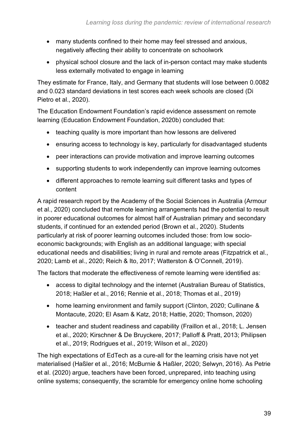- many students confined to their home may feel stressed and anxious, negatively affecting their ability to concentrate on schoolwork
- physical school closure and the lack of in-person contact may make students less externally motivated to engage in learning

They estimate for France, Italy, and Germany that students will lose between 0.0082 and 0.023 standard deviations in test scores each week schools are closed (Di Pietro et al., 2020).

The Education Endowment Foundation's rapid evidence assessment on remote learning (Education Endowment Foundation, 2020b) concluded that:

- teaching quality is more important than how lessons are delivered
- ensuring access to technology is key, particularly for disadvantaged students
- peer interactions can provide motivation and improve learning outcomes
- supporting students to work independently can improve learning outcomes
- different approaches to remote learning suit different tasks and types of content

A rapid research report by the Academy of the Social Sciences in Australia (Armour et al., 2020) concluded that remote learning arrangements had the potential to result in poorer educational outcomes for almost half of Australian primary and secondary students, if continued for an extended period (Brown et al., 2020). Students particularly at risk of poorer learning outcomes included those: from low socioeconomic backgrounds; with English as an additional language; with special educational needs and disabilities; living in rural and remote areas (Fitzpatrick et al., 2020; Lamb et al., 2020; Reich & Ito, 2017; Watterston & O'Connell, 2019).

The factors that moderate the effectiveness of remote learning were identified as:

- access to digital technology and the internet (Australian Bureau of Statistics, 2018; Haßler et al., 2016; Rennie et al., 2018; Thomas et al., 2019)
- home learning environment and family support (Clinton, 2020; Cullinane & Montacute, 2020; El Asam & Katz, 2018; Hattie, 2020; Thomson, 2020)
- teacher and student readiness and capability (Fraillon et al., 2018; L. Jensen et al., 2020; Kirschner & De Bruyckere, 2017; Palloff & Pratt, 2013; Philipsen et al., 2019; Rodrigues et al., 2019; Wilson et al., 2020)

The high expectations of EdTech as a cure-all for the learning crisis have not yet materialised (Haßler et al., 2016; McBurnie & Haßler, 2020; Selwyn, 2016). As Petrie et al. (2020) argue, teachers have been forced, unprepared, into teaching using online systems; consequently, the scramble for emergency online home schooling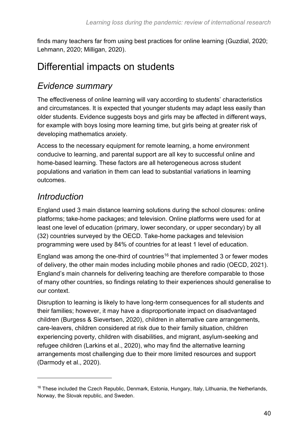finds many teachers far from using best practices for online learning (Guzdial, 2020; Lehmann, 2020; Milligan, 2020).

#### Differential impacts on students

#### *Evidence summary*

The effectiveness of online learning will vary according to students' characteristics and circumstances. It is expected that younger students may adapt less easily than older students. Evidence suggests boys and girls may be affected in different ways, for example with boys losing more learning time, but girls being at greater risk of developing mathematics anxiety.

Access to the necessary equipment for remote learning, a home environment conducive to learning, and parental support are all key to successful online and home-based learning. These factors are all heterogeneous across student populations and variation in them can lead to substantial variations in learning outcomes.

#### *Introduction*

England used 3 main distance learning solutions during the school closures: online platforms; take-home packages; and television. Online platforms were used for at least one level of education (primary, lower secondary, or upper secondary) by all (32) countries surveyed by the OECD. Take-home packages and television programming were used by 84% of countries for at least 1 level of education.

England was among the one-third of countries<sup>16</sup> that implemented 3 or fewer modes of delivery, the other main modes including mobile phones and radio (OECD, 2021). England's main channels for delivering teaching are therefore comparable to those of many other countries, so findings relating to their experiences should generalise to our context.

Disruption to learning is likely to have long-term consequences for all students and their families; however, it may have a disproportionate impact on disadvantaged children (Burgess & Sievertsen, 2020), children in alternative care arrangements, care-leavers, children considered at risk due to their family situation, children experiencing poverty, children with disabilities, and migrant, asylum-seeking and refugee children (Larkins et al., 2020), who may find the alternative learning arrangements most challenging due to their more limited resources and support (Darmody et al., 2020).

<sup>&</sup>lt;sup>16</sup> These included the Czech Republic, Denmark, Estonia, Hungary, Italy, Lithuania, the Netherlands, Norway, the Slovak republic, and Sweden.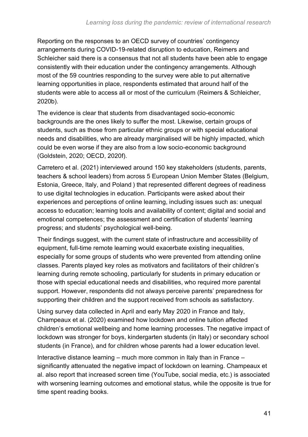Reporting on the responses to an OECD survey of countries' contingency arrangements during COVID-19-related disruption to education, Reimers and Schleicher said there is a consensus that not all students have been able to engage consistently with their education under the contingency arrangements. Although most of the 59 countries responding to the survey were able to put alternative learning opportunities in place, respondents estimated that around half of the students were able to access all or most of the curriculum (Reimers & Schleicher, 2020b).

The evidence is clear that students from disadvantaged socio-economic backgrounds are the ones likely to suffer the most. Likewise, certain groups of students, such as those from particular ethnic groups or with special educational needs and disabilities, who are already marginalised will be highly impacted, which could be even worse if they are also from a low socio-economic background (Goldstein, 2020; OECD, 2020f).

Carretero et al. (2021) interviewed around 150 key stakeholders (students, parents, teachers & school leaders) from across 5 European Union Member States (Belgium, Estonia, Greece, Italy, and Poland ) that represented different degrees of readiness to use digital technologies in education. Participants were asked about their experiences and perceptions of online learning, including issues such as: unequal access to education; learning tools and availability of content; digital and social and emotional competences; the assessment and certification of students' learning progress; and students' psychological well-being.

Their findings suggest, with the current state of infrastructure and accessibility of equipment, full-time remote learning would exacerbate existing inequalities, especially for some groups of students who were prevented from attending online classes. Parents played key roles as motivators and facilitators of their children's learning during remote schooling, particularly for students in primary education or those with special educational needs and disabilities, who required more parental support. However, respondents did not always perceive parents' preparedness for supporting their children and the support received from schools as satisfactory.

Using survey data collected in April and early May 2020 in France and Italy, Champeaux et al. (2020) examined how lockdown and online tuition affected children's emotional wellbeing and home learning processes. The negative impact of lockdown was stronger for boys, kindergarten students (in Italy) or secondary school students (in France), and for children whose parents had a lower education level.

Interactive distance learning – much more common in Italy than in France – significantly attenuated the negative impact of lockdown on learning. Champeaux et al. also report that increased screen time (YouTube, social media, etc.) is associated with worsening learning outcomes and emotional status, while the opposite is true for time spent reading books.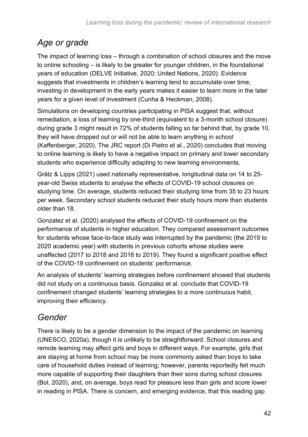#### *Age or grade*

The impact of learning loss – through a combination of school closures and the move to online schooling – is likely to be greater for younger children, in the foundational years of education (DELVE Initiative, 2020; United Nations, 2020). Evidence suggests that investments in children's learning tend to accumulate over time; investing in development in the early years makes it easier to learn more in the later years for a given level of investment (Cunha & Heckman, 2008).

Simulations on developing countries participating in PISA suggest that, without remediation, a loss of learning by one-third (equivalent to a 3-month school closure) during grade 3 might result in 72% of students falling so far behind that, by grade 10, they will have dropped out or will not be able to learn anything in school (Kaffenberger, 2020). The JRC report (Di Pietro et al., 2020) concludes that moving to online learning is likely to have a negative impact on primary and lower secondary students who experience difficulty adapting to new learning environments.

Grätz & Lipps (2021) used nationally representative, longitudinal data on 14 to 25 year-old Swiss students to analyse the effects of COVID-19 school closures on studying time. On average, students reduced their studying time from 35 to 23 hours per week. Secondary school students reduced their study hours more than students older than 18.

Gonzalez et al. (2020) analysed the effects of COVID-19 confinement on the performance of students in higher education. They compared assessment outcomes for students whose face-to-face study was interrupted by the pandemic (the 2019 to 2020 academic year) with students in previous cohorts whose studies were unaffected (2017 to 2018 and 2018 to 2019). They found a significant positive effect of the COVID-19 confinement on students' performance.

An analysis of students' learning strategies before confinement showed that students did not study on a continuous basis. Gonzalez et al. conclude that COVID-19 confinement changed students' learning strategies to a more continuous habit, improving their efficiency.

### *Gender*

There is likely to be a gender dimension to the impact of the pandemic on learning (UNESCO, 2020a), though it is unlikely to be straightforward. School closures and remote learning may affect girls and boys in different ways. For example, girls that are staying at home from school may be more commonly asked than boys to take care of household duties instead of learning; however, parents reportedly felt much more capable of supporting their daughters than their sons during school closures (Bol, 2020), and, on average, boys read for pleasure less than girls and score lower in reading in PISA. There is concern, and emerging evidence, that this reading gap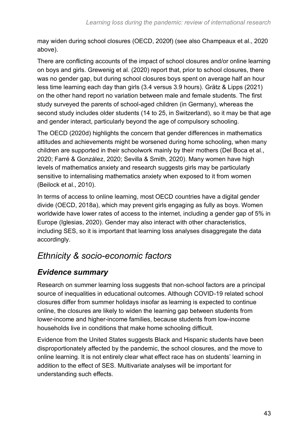may widen during school closures (OECD, 2020f) (see also Champeaux et al., 2020 above).

There are conflicting accounts of the impact of school closures and/or online learning on boys and girls. Grewenig et al. (2020) report that, prior to school closures, there was no gender gap, but during school closures boys spent on average half an hour less time learning each day than girls (3.4 versus 3.9 hours). Grätz & Lipps (2021) on the other hand report no variation between male and female students. The first study surveyed the parents of school-aged children (in Germany), whereas the second study includes older students (14 to 25, in Switzerland), so it may be that age and gender interact, particularly beyond the age of compulsory schooling.

The OECD (2020d) highlights the concern that gender differences in mathematics attitudes and achievements might be worsened during home schooling, when many children are supported in their schoolwork mainly by their mothers (Del Boca et al., 2020; Farré & González, 2020; Sevilla & Smith, 2020). Many women have high levels of mathematics anxiety and research suggests girls may be particularly sensitive to internalising mathematics anxiety when exposed to it from women (Beilock et al., 2010).

In terms of access to online learning, most OECD countries have a digital gender divide (OECD, 2018a), which may prevent girls engaging as fully as boys. Women worldwide have lower rates of access to the internet, including a gender gap of 5% in Europe (Iglesias, 2020). Gender may also interact with other characteristics, including SES, so it is important that learning loss analyses disaggregate the data accordingly.

#### *Ethnicity & socio-economic factors*

#### *Evidence summary*

Research on summer learning loss suggests that non-school factors are a principal source of inequalities in educational outcomes. Although COVID-19 related school closures differ from summer holidays insofar as learning is expected to continue online, the closures are likely to widen the learning gap between students from lower-income and higher-income families, because students from low-income households live in conditions that make home schooling difficult.

Evidence from the United States suggests Black and Hispanic students have been disproportionately affected by the pandemic, the school closures, and the move to online learning. It is not entirely clear what effect race has on students' learning in addition to the effect of SES. Multivariate analyses will be important for understanding such effects.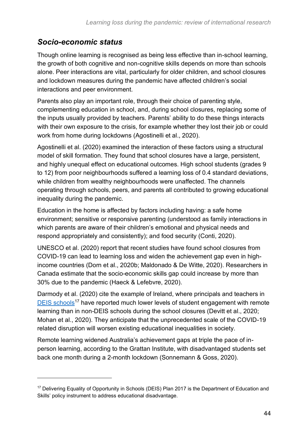#### *Socio-economic status*

Though online learning is recognised as being less effective than in-school learning, the growth of both cognitive and non-cognitive skills depends on more than schools alone. Peer interactions are vital, particularly for older children, and school closures and lockdown measures during the pandemic have affected children's social interactions and peer environment.

Parents also play an important role, through their choice of parenting style, complementing education in school, and, during school closures, replacing some of the inputs usually provided by teachers. Parents' ability to do these things interacts with their own exposure to the crisis, for example whether they lost their job or could work from home during lockdowns (Agostinelli et al., 2020).

Agostinelli et al. (2020) examined the interaction of these factors using a structural model of skill formation. They found that school closures have a large, persistent, and highly unequal effect on educational outcomes. High school students (grades 9 to 12) from poor neighbourhoods suffered a learning loss of 0.4 standard deviations, while children from wealthy neighbourhoods were unaffected. The channels operating through schools, peers, and parents all contributed to growing educational inequality during the pandemic.

Education in the home is affected by factors including having: a safe home environment; sensitive or responsive parenting (understood as family interactions in which parents are aware of their children's emotional and physical needs and respond appropriately and consistently); and food security (Conti, 2020).

UNESCO et al. (2020) report that recent studies have found school closures from COVID-19 can lead to learning loss and widen the achievement gap even in highincome countries (Dorn et al., 2020b; Maldonado & De Witte, 2020). Researchers in Canada estimate that the socio-economic skills gap could increase by more than 30% due to the pandemic (Haeck & Lefebvre, 2020).

Darmody et al. (2020) cite the example of Ireland, where principals and teachers in [DEIS schools](https://www.education.ie/en/schools-colleges/services/deis-delivering-equality-of-opportunity-in-schools-/)<sup>17</sup> have reported much lower levels of student engagement with remote learning than in non-DEIS schools during the school closures (Devitt et al., 2020; Mohan et al., 2020). They anticipate that the unprecedented scale of the COVID-19 related disruption will worsen existing educational inequalities in society.

Remote learning widened Australia's achievement gaps at triple the pace of inperson learning, according to the Grattan Institute, with disadvantaged students set back one month during a 2-month lockdown (Sonnemann & Goss, 2020).

<sup>&</sup>lt;sup>17</sup> Delivering Equality of Opportunity in Schools (DEIS) Plan 2017 is the Department of Education and Skills' policy instrument to address educational disadvantage.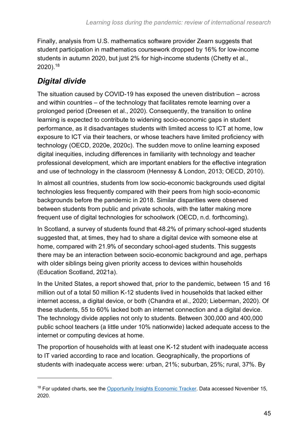Finally, analysis from U.S. mathematics software provider Zearn suggests that student participation in mathematics coursework dropped by 16% for low-income students in autumn 2020, but just 2% for high-income students (Chetty et al., 2020). 18

#### *Digital divide*

The situation caused by COVID-19 has exposed the uneven distribution – across and within countries – of the technology that facilitates remote learning over a prolonged period (Dreesen et al., 2020). Consequently, the transition to online learning is expected to contribute to widening socio-economic gaps in student performance, as it disadvantages students with limited access to ICT at home, low exposure to ICT via their teachers, or whose teachers have limited proficiency with technology (OECD, 2020e, 2020c). The sudden move to online learning exposed digital inequities, including differences in familiarity with technology and teacher professional development, which are important enablers for the effective integration and use of technology in the classroom (Hennessy & London, 2013; OECD, 2010).

In almost all countries, students from low socio-economic backgrounds used digital technologies less frequently compared with their peers from high socio-economic backgrounds before the pandemic in 2018. Similar disparities were observed between students from public and private schools, with the latter making more frequent use of digital technologies for schoolwork (OECD, n.d. forthcoming).

In Scotland, a survey of students found that 48.2% of primary school-aged students suggested that, at times, they had to share a digital device with someone else at home, compared with 21.9% of secondary school-aged students. This suggests there may be an interaction between socio-economic background and age, perhaps with older siblings being given priority access to devices within households (Education Scotland, 2021a).

In the United States, a report showed that, prior to the pandemic, between 15 and 16 million out of a total 50 million K-12 students lived in households that lacked either internet access, a digital device, or both (Chandra et al., 2020; Lieberman, 2020). Of these students, 55 to 60% lacked both an internet connection and a digital device. The technology divide applies not only to students. Between 300,000 and 400,000 public school teachers (a little under 10% nationwide) lacked adequate access to the internet or computing devices at home.

The proportion of households with at least one K-12 student with inadequate access to IT varied according to race and location. Geographically, the proportions of students with inadequate access were: urban, 21%; suburban, 25%; rural, 37%. By

<sup>&</sup>lt;sup>18</sup> For updated charts, see the [Opportunity Insights Economic Tracker.](https://tracktherecovery.org/) Data accessed November 15, 2020.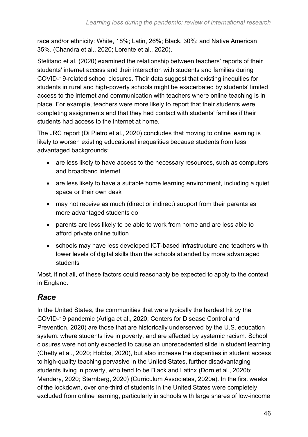race and/or ethnicity: White, 18%; Latin, 26%; Black, 30%; and Native American 35%. (Chandra et al., 2020; Lorente et al., 2020).

Stelitano et al. (2020) examined the relationship between teachers' reports of their students' internet access and their interaction with students and families during COVID-19-related school closures. Their data suggest that existing inequities for students in rural and high-poverty schools might be exacerbated by students' limited access to the internet and communication with teachers where online teaching is in place. For example, teachers were more likely to report that their students were completing assignments and that they had contact with students' families if their students had access to the internet at home.

The JRC report (Di Pietro et al., 2020) concludes that moving to online learning is likely to worsen existing educational inequalities because students from less advantaged backgrounds:

- are less likely to have access to the necessary resources, such as computers and broadband internet
- are less likely to have a suitable home learning environment, including a quiet space or their own desk
- may not receive as much (direct or indirect) support from their parents as more advantaged students do
- parents are less likely to be able to work from home and are less able to afford private online tuition
- schools may have less developed ICT-based infrastructure and teachers with lower levels of digital skills than the schools attended by more advantaged students

Most, if not all, of these factors could reasonably be expected to apply to the context in England.

#### *Race*

In the United States, the communities that were typically the hardest hit by the COVID-19 pandemic (Artiga et al., 2020; Centers for Disease Control and Prevention, 2020) are those that are historically underserved by the U.S. education system: where students live in poverty, and are affected by systemic racism. School closures were not only expected to cause an unprecedented slide in student learning (Chetty et al., 2020; Hobbs, 2020), but also increase the disparities in student access to high-quality teaching pervasive in the United States, further disadvantaging students living in poverty, who tend to be Black and Latinx (Dorn et al., 2020b; Mandery, 2020; Sternberg, 2020) (Curriculum Associates, 2020a). In the first weeks of the lockdown, over one-third of students in the United States were completely excluded from online learning, particularly in schools with large shares of low-income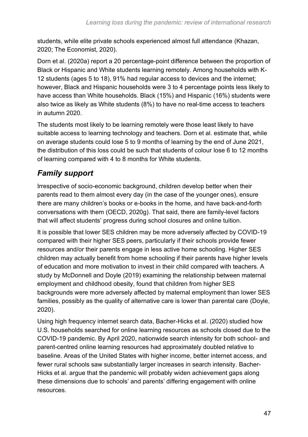students, while elite private schools experienced almost full attendance (Khazan, 2020; The Economist, 2020).

Dorn et al. (2020a) report a 20 percentage-point difference between the proportion of Black or Hispanic and White students learning remotely. Among households with K-12 students (ages 5 to 18), 91% had regular access to devices and the internet; however, Black and Hispanic households were 3 to 4 percentage points less likely to have access than White households. Black (15%) and Hispanic (16%) students were also twice as likely as White students (8%) to have no real-time access to teachers in autumn 2020.

The students most likely to be learning remotely were those least likely to have suitable access to learning technology and teachers. Dorn et al. estimate that, while on average students could lose 5 to 9 months of learning by the end of June 2021, the distribution of this loss could be such that students of colour lose 6 to 12 months of learning compared with 4 to 8 months for White students.

#### *Family support*

Irrespective of socio-economic background, children develop better when their parents read to them almost every day (in the case of the younger ones), ensure there are many children's books or e-books in the home, and have back-and-forth conversations with them (OECD, 2020g). That said, there are family-level factors that will affect students' progress during school closures and online tuition.

It is possible that lower SES children may be more adversely affected by COVID-19 compared with their higher SES peers, particularly if their schools provide fewer resources and/or their parents engage in less active home schooling. Higher SES children may actually benefit from home schooling if their parents have higher levels of education and more motivation to invest in their child compared with teachers. A study by McDonnell and Doyle (2019) examining the relationship between maternal employment and childhood obesity, found that children from higher SES backgrounds were more adversely affected by maternal employment than lower SES families, possibly as the quality of alternative care is lower than parental care (Doyle, 2020).

Using high frequency internet search data, Bacher-Hicks et al. (2020) studied how U.S. households searched for online learning resources as schools closed due to the COVID-19 pandemic. By April 2020, nationwide search intensity for both school- and parent-centred online learning resources had approximately doubled relative to baseline. Areas of the United States with higher income, better internet access, and fewer rural schools saw substantially larger increases in search intensity. Bacher-Hicks et al. argue that the pandemic will probably widen achievement gaps along these dimensions due to schools' and parents' differing engagement with online resources.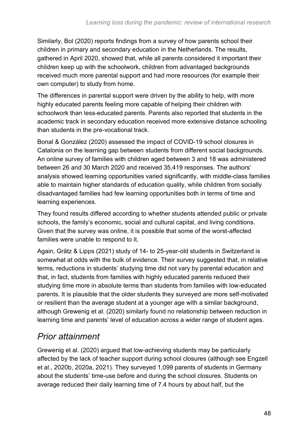Similarly, Bol (2020) reports findings from a survey of how parents school their children in primary and secondary education in the Netherlands. The results, gathered in April 2020, showed that, while all parents considered it important their children keep up with the schoolwork, children from advantaged backgrounds received much more parental support and had more resources (for example their own computer) to study from home.

The differences in parental support were driven by the ability to help, with more highly educated parents feeling more capable of helping their children with schoolwork than less-educated parents. Parents also reported that students in the academic track in secondary education received more extensive distance schooling than students in the pre-vocational track.

Bonal & González (2020) assessed the impact of COVID-19 school closures in Catalonia on the learning gap between students from different social backgrounds. An online survey of families with children aged between 3 and 18 was administered between 26 and 30 March 2020 and received 35,419 responses. The authors' analysis showed learning opportunities varied significantly, with middle-class families able to maintain higher standards of education quality, while children from socially disadvantaged families had few learning opportunities both in terms of time and learning experiences.

They found results differed according to whether students attended public or private schools, the family's economic, social and cultural capital, and living conditions. Given that the survey was online, it is possible that some of the worst-affected families were unable to respond to it.

Again, Grätz & Lipps (2021) study of 14- to 25-year-old students in Switzerland is somewhat at odds with the bulk of evidence. Their survey suggested that, in relative terms, reductions in students' studying time did not vary by parental education and that, in fact, students from families with highly educated parents reduced their studying time more in absolute terms than students from families with low-educated parents. It is plausible that the older students they surveyed are more self-motivated or resilient than the average student at a younger age with a similar background, although Grewenig et al. (2020) similarly found no relationship between reduction in learning time and parents' level of education across a wider range of student ages.

#### *Prior attainment*

Grewenig et al. (2020) argued that low-achieving students may be particularly affected by the lack of teacher support during school closures (although see Engzell et al., 2020b, 2020a, 2021). They surveyed 1,099 parents of students in Germany about the students' time-use before and during the school closures. Students on average reduced their daily learning time of 7.4 hours by about half, but the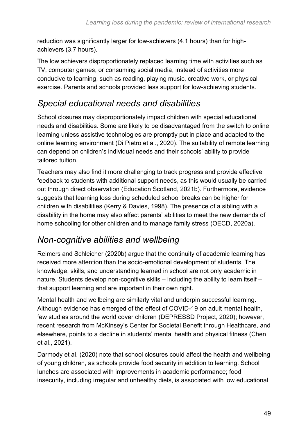reduction was significantly larger for low-achievers (4.1 hours) than for highachievers (3.7 hours).

The low achievers disproportionately replaced learning time with activities such as TV, computer games, or consuming social media, instead of activities more conducive to learning, such as reading, playing music, creative work, or physical exercise. Parents and schools provided less support for low-achieving students.

#### *Special educational needs and disabilities*

School closures may disproportionately impact children with special educational needs and disabilities. Some are likely to be disadvantaged from the switch to online learning unless assistive technologies are promptly put in place and adapted to the online learning environment (Di Pietro et al., 2020). The suitability of remote learning can depend on children's individual needs and their schools' ability to provide tailored tuition.

Teachers may also find it more challenging to track progress and provide effective feedback to students with additional support needs, as this would usually be carried out through direct observation (Education Scotland, 2021b). Furthermore, evidence suggests that learning loss during scheduled school breaks can be higher for children with disabilities (Kerry & Davies, 1998). The presence of a sibling with a disability in the home may also affect parents' abilities to meet the new demands of home schooling for other children and to manage family stress (OECD, 2020a).

#### *Non-cognitive abilities and wellbeing*

Reimers and Schleicher (2020b) argue that the continuity of academic learning has received more attention than the socio-emotional development of students. The knowledge, skills, and understanding learned in school are not only academic in nature. Students develop non-cognitive skills – including the ability to learn itself – that support learning and are important in their own right.

Mental health and wellbeing are similarly vital and underpin successful learning. Although evidence has emerged of the effect of COVID-19 on adult mental health, few studies around the world cover children (DEPRESSD Project, 2020); however, recent research from McKinsey's Center for Societal Benefit through Healthcare, and elsewhere, points to a decline in students' mental health and physical fitness (Chen et al., 2021).

Darmody et al. (2020) note that school closures could affect the health and wellbeing of young children, as schools provide food security in addition to learning. School lunches are associated with improvements in academic performance; food insecurity, including irregular and unhealthy diets, is associated with low educational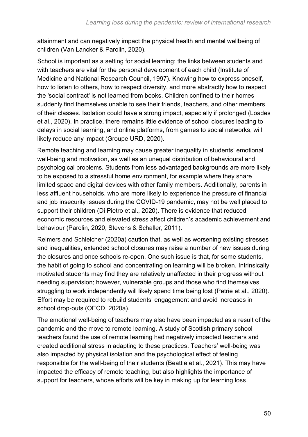attainment and can negatively impact the physical health and mental wellbeing of children (Van Lancker & Parolin, 2020).

School is important as a setting for social learning: the links between students and with teachers are vital for the personal development of each child (Institute of Medicine and National Research Council, 1997). Knowing how to express oneself, how to listen to others, how to respect diversity, and more abstractly how to respect the 'social contract' is not learned from books. Children confined to their homes suddenly find themselves unable to see their friends, teachers, and other members of their classes. Isolation could have a strong impact, especially if prolonged (Loades et al., 2020). In practice, there remains little evidence of school closures leading to delays in social learning, and online platforms, from games to social networks, will likely reduce any impact (Groupe URD, 2020).

Remote teaching and learning may cause greater inequality in students' emotional well-being and motivation, as well as an unequal distribution of behavioural and psychological problems. Students from less advantaged backgrounds are more likely to be exposed to a stressful home environment, for example where they share limited space and digital devices with other family members. Additionally, parents in less affluent households, who are more likely to experience the pressure of financial and job insecurity issues during the COVID-19 pandemic, may not be well placed to support their children (Di Pietro et al., 2020). There is evidence that reduced economic resources and elevated stress affect children's academic achievement and behaviour (Parolin, 2020; Stevens & Schaller, 2011).

Reimers and Schleicher (2020a) caution that, as well as worsening existing stresses and inequalities, extended school closures may raise a number of new issues during the closures and once schools re-open. One such issue is that, for some students, the habit of going to school and concentrating on learning will be broken. Intrinsically motivated students may find they are relatively unaffected in their progress without needing supervision; however, vulnerable groups and those who find themselves struggling to work independently will likely spend time being lost (Petrie et al., 2020). Effort may be required to rebuild students' engagement and avoid increases in school drop-outs (OECD, 2020a).

The emotional well-being of teachers may also have been impacted as a result of the pandemic and the move to remote learning. A study of Scottish primary school teachers found the use of remote learning had negatively impacted teachers and created additional stress in adapting to these practices. Teachers' well-being was also impacted by physical isolation and the psychological effect of feeling responsible for the well-being of their students (Beattie et al., 2021). This may have impacted the efficacy of remote teaching, but also highlights the importance of support for teachers, whose efforts will be key in making up for learning loss.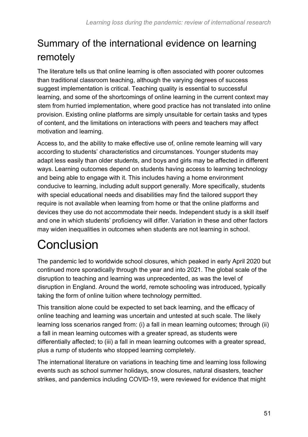## Summary of the international evidence on learning remotely

The literature tells us that online learning is often associated with poorer outcomes than traditional classroom teaching, although the varying degrees of success suggest implementation is critical. Teaching quality is essential to successful learning, and some of the shortcomings of online learning in the current context may stem from hurried implementation, where good practice has not translated into online provision. Existing online platforms are simply unsuitable for certain tasks and types of content, and the limitations on interactions with peers and teachers may affect motivation and learning.

Access to, and the ability to make effective use of, online remote learning will vary according to students' characteristics and circumstances. Younger students may adapt less easily than older students, and boys and girls may be affected in different ways. Learning outcomes depend on students having access to learning technology and being able to engage with it. This includes having a home environment conducive to learning, including adult support generally. More specifically, students with special educational needs and disabilities may find the tailored support they require is not available when learning from home or that the online platforms and devices they use do not accommodate their needs. Independent study is a skill itself and one in which students' proficiency will differ. Variation in these and other factors may widen inequalities in outcomes when students are not learning in school.

# **Conclusion**

The pandemic led to worldwide school closures, which peaked in early April 2020 but continued more sporadically through the year and into 2021. The global scale of the disruption to teaching and learning was unprecedented, as was the level of disruption in England. Around the world, remote schooling was introduced, typically taking the form of online tuition where technology permitted.

This transition alone could be expected to set back learning, and the efficacy of online teaching and learning was uncertain and untested at such scale. The likely learning loss scenarios ranged from: (i) a fall in mean learning outcomes; through (ii) a fall in mean learning outcomes with a greater spread, as students were differentially affected; to (iii) a fall in mean learning outcomes with a greater spread, plus a rump of students who stopped learning completely.

The international literature on variations in teaching time and learning loss following events such as school summer holidays, snow closures, natural disasters, teacher strikes, and pandemics including COVID-19, were reviewed for evidence that might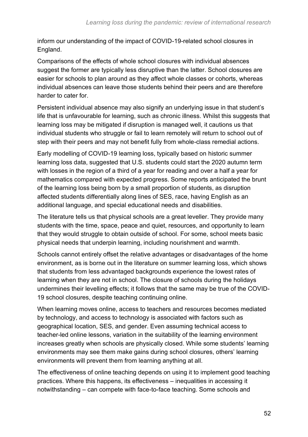inform our understanding of the impact of COVID-19-related school closures in England.

Comparisons of the effects of whole school closures with individual absences suggest the former are typically less disruptive than the latter. School closures are easier for schools to plan around as they affect whole classes or cohorts, whereas individual absences can leave those students behind their peers and are therefore harder to cater for.

Persistent individual absence may also signify an underlying issue in that student's life that is unfavourable for learning, such as chronic illness. Whilst this suggests that learning loss may be mitigated if disruption is managed well, it cautions us that individual students who struggle or fail to learn remotely will return to school out of step with their peers and may not benefit fully from whole-class remedial actions.

Early modelling of COVID-19 learning loss, typically based on historic summer learning loss data, suggested that U.S. students could start the 2020 autumn term with losses in the region of a third of a year for reading and over a half a year for mathematics compared with expected progress. Some reports anticipated the brunt of the learning loss being born by a small proportion of students, as disruption affected students differentially along lines of SES, race, having English as an additional language, and special educational needs and disabilities.

The literature tells us that physical schools are a great leveller. They provide many students with the time, space, peace and quiet, resources, and opportunity to learn that they would struggle to obtain outside of school. For some, school meets basic physical needs that underpin learning, including nourishment and warmth.

Schools cannot entirely offset the relative advantages or disadvantages of the home environment, as is borne out in the literature on summer learning loss, which shows that students from less advantaged backgrounds experience the lowest rates of learning when they are not in school. The closure of schools during the holidays undermines their levelling effects; it follows that the same may be true of the COVID-19 school closures, despite teaching continuing online.

When learning moves online, access to teachers and resources becomes mediated by technology, and access to technology is associated with factors such as geographical location, SES, and gender. Even assuming technical access to teacher-led online lessons, variation in the suitability of the learning environment increases greatly when schools are physically closed. While some students' learning environments may see them make gains during school closures, others' learning environments will prevent them from learning anything at all.

The effectiveness of online teaching depends on using it to implement good teaching practices. Where this happens, its effectiveness – inequalities in accessing it notwithstanding – can compete with face-to-face teaching. Some schools and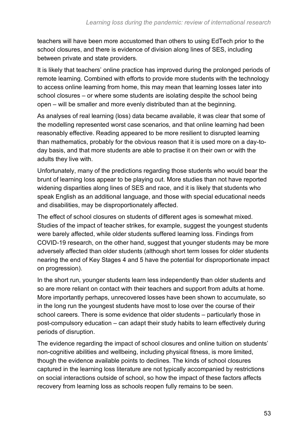teachers will have been more accustomed than others to using EdTech prior to the school closures, and there is evidence of division along lines of SES, including between private and state providers.

It is likely that teachers' online practice has improved during the prolonged periods of remote learning. Combined with efforts to provide more students with the technology to access online learning from home, this may mean that learning losses later into school closures – or where some students are isolating despite the school being open – will be smaller and more evenly distributed than at the beginning.

As analyses of real learning (loss) data became available, it was clear that some of the modelling represented worst case scenarios, and that online learning had been reasonably effective. Reading appeared to be more resilient to disrupted learning than mathematics, probably for the obvious reason that it is used more on a day-today basis, and that more students are able to practise it on their own or with the adults they live with.

Unfortunately, many of the predictions regarding those students who would bear the brunt of learning loss appear to be playing out. More studies than not have reported widening disparities along lines of SES and race, and it is likely that students who speak English as an additional language, and those with special educational needs and disabilities, may be disproportionately affected.

The effect of school closures on students of different ages is somewhat mixed. Studies of the impact of teacher strikes, for example, suggest the youngest students were barely affected, while older students suffered learning loss. Findings from COVID-19 research, on the other hand, suggest that younger students may be more adversely affected than older students (although short term losses for older students nearing the end of Key Stages 4 and 5 have the potential for disproportionate impact on progression).

In the short run, younger students learn less independently than older students and so are more reliant on contact with their teachers and support from adults at home. More importantly perhaps, unrecovered losses have been shown to accumulate, so in the long run the youngest students have most to lose over the course of their school careers. There is some evidence that older students – particularly those in post-compulsory education – can adapt their study habits to learn effectively during periods of disruption.

The evidence regarding the impact of school closures and online tuition on students' non-cognitive abilities and wellbeing, including physical fitness, is more limited, though the evidence available points to declines. The kinds of school closures captured in the learning loss literature are not typically accompanied by restrictions on social interactions outside of school, so how the impact of these factors affects recovery from learning loss as schools reopen fully remains to be seen.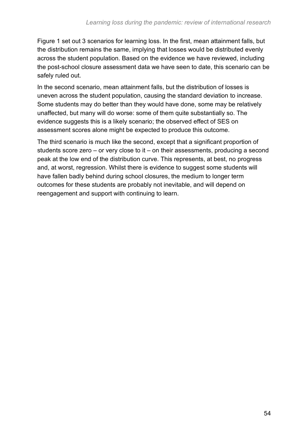[Figure 1](#page-10-0) set out 3 scenarios for learning loss. In the first, mean attainment falls, but the distribution remains the same, implying that losses would be distributed evenly across the student population. Based on the evidence we have reviewed, including the post-school closure assessment data we have seen to date, this scenario can be safely ruled out.

In the second scenario, mean attainment falls, but the distribution of losses is uneven across the student population, causing the standard deviation to increase. Some students may do better than they would have done, some may be relatively unaffected, but many will do worse: some of them quite substantially so. The evidence suggests this is a likely scenario; the observed effect of SES on assessment scores alone might be expected to produce this outcome.

The third scenario is much like the second, except that a significant proportion of students score zero – or very close to it – on their assessments, producing a second peak at the low end of the distribution curve. This represents, at best, no progress and, at worst, regression. Whilst there is evidence to suggest some students will have fallen badly behind during school closures, the medium to longer term outcomes for these students are probably not inevitable, and will depend on reengagement and support with continuing to learn.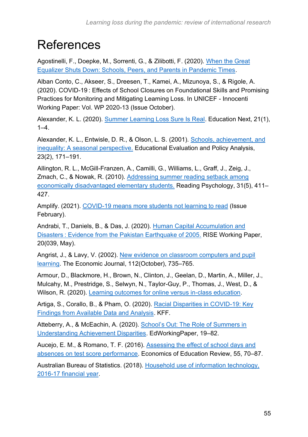## **References**

Agostinelli, F., Doepke, M., Sorrenti, G., & Zilibotti, F. (2020). [When the Great](https://doi.org/10.3386/w28264)  [Equalizer Shuts Down: Schools, Peers, and Parents in Pandemic Times.](https://doi.org/10.3386/w28264)

Alban Conto, C., Akseer, S., Dreesen, T., Kamei, A., Mizunoya, S., & Rigole, A. (2020). COVID-19 : Effects of School Closures on Foundational Skills and Promising Practices for Monitoring and Mitigating Learning Loss. In UNICEF - Innocenti Working Paper: Vol. WP 2020-13 (Issue October).

Alexander, K. L. (2020). [Summer Learning Loss Sure Is Real.](https://www.educationnext.org/summer-learning-loss-sure-is-real-response/) Education Next, 21(1),  $1-4.$ 

Alexander, K. L., Entwisle, D. R., & Olson, L. S. (2001). [Schools, achievement, and](https://doi.org/10.3102/01623737023002171)  [inequality: A seasonal perspective.](https://doi.org/10.3102/01623737023002171) Educational Evaluation and Policy Analysis, 23(2), 171–191.

Allington, R. L., McGill-Franzen, A., Camilli, G., Williams, L., Graff, J., Zeig, J., Zmach, C., & Nowak, R. (2010). [Addressing summer reading setback among](https://doi.org/10.1080/02702711.2010.505165)  [economically disadvantaged elementary students.](https://doi.org/10.1080/02702711.2010.505165) Reading Psychology, 31(5), 411– 427.

Amplify. (2021). [COVID-19 means more students not learning to read](https://go.info.amplify.com/download-whitepaper-fy21_general_moydata_national_readingresearch) (Issue February).

Andrabi, T., Daniels, B., & Das, J. (2020). [Human Capital Accumulation and](https://doi.org/10.35489/BSG-RISE-WP_2020/039)  Disasters [: Evidence from the Pakistan Earthquake of 2005.](https://doi.org/10.35489/BSG-RISE-WP_2020/039) RISE Working Paper, 20(039, May).

Angrist, J., & Lavy, V. (2002). [New evidence on classroom computers and pupil](https://economics.mit.edu/files/22)  [learning.](https://economics.mit.edu/files/22) The Economic Journal, 112(October), 735–765.

Armour, D., Blackmore, H., Brown, N., Clinton, J., Geelan, D., Martin, A., Miller, J., Mulcahy, M., Prestridge, S., Selwyn, N., Taylor-Guy, P., Thomas, J., West, D., & Wilson, R. (2020). [Learning outcomes for online versus in-class education.](https://www.science.org.au/covid19/learning-outcomes-online-vs-inclass-education)

Artiga, S., Corallo, B., & Pham, O. (2020). [Racial Disparities in COVID-19: Key](https://www.kff.org/racial-equity-and-health-policy/issue-brief/racial-disparities-covid-19-key-findings-available-data-analysis/)  [Findings from Available Data and Analysis.](https://www.kff.org/racial-equity-and-health-policy/issue-brief/racial-disparities-covid-19-key-findings-available-data-analysis/) KFF.

Atteberry, A., & McEachin, A. (2020). [School's Out: The Role of Summers in](https://doi.org/10.3102/0002831220937285) [Understanding Achievement Disparities.](https://doi.org/10.3102/0002831220937285) EdWorkingPaper, 19–82.

Aucejo, E. M., & Romano, T. F. (2016). [Assessing the effect of school days and](https://doi.org/10.1016/j.econedurev.2016.08.007)  [absences on test score performance.](https://doi.org/10.1016/j.econedurev.2016.08.007) Economics of Education Review, 55, 70–87.

Australian Bureau of Statistics. (2018). [Household use of information technology,](https://www.abs.gov.au/statistics/industry/technology-and-innovation/household-use-information-technology/latest-release)  [2016-17 financial year.](https://www.abs.gov.au/statistics/industry/technology-and-innovation/household-use-information-technology/latest-release)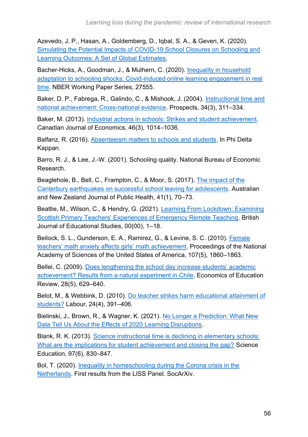Azevedo, J. P., Hasan, A., Goldemberg, D., Iqbal, S. A., & Geven, K. (2020). [Simulating the Potential Impacts of COVID-19 School Closures on Schooling and](https://doi.org/10.1596/1813-9450-9284)  [Learning Outcomes: A Set of](https://doi.org/10.1596/1813-9450-9284) Global Estimates.

Bacher-Hicks, A., Goodman, J., & Mulhern, C. (2020). [Inequality in household](https://www.nber.org/papers/w27555)  [adaptation to schooling shocks: Covid-induced online learning engagement in real](https://www.nber.org/papers/w27555)  [time.](https://www.nber.org/papers/w27555) NBER Working Paper Series, 27555.

Baker, D. P., Fabrega, R., Galindo, C., & Mishook, J. (2004). [Instructional time and](https://doi.org/10.1007/s11125-004-5310-1)  [national achievement: Cross-national evidence.](https://doi.org/10.1007/s11125-004-5310-1) Prospects, 34(3), 311–334.

Baker, M. (2013). [Industrial actions in schools: Strikes and student achievement.](https://doi.org/10.1111/caje.12035) Canadian Journal of Economics, 46(3), 1014–1036.

Balfanz, R. (2016). [Absenteeism matters to schools and students.](https://kappanonline.org/absenteeism-school-matters/) In Phi Delta Kappan.

Barro, R. J., & Lee, J.-W. (2001). Schooling quality. National Bureau of Economic Research.

Beaglehole, B., Bell, C., Frampton, C., & Moor, S. (2017). [The impact of the](https://doi.org/10.1111/1753-6405.12625)  [Canterbury earthquakes on successful school leaving for adolescents.](https://doi.org/10.1111/1753-6405.12625) Australian and New Zealand Journal of Public Health, 41(1), 70–73.

Beattie, M., Wilson, C., & Hendry, G. (2021). [Learning From Lockdown: Examining](https://doi.org/10.1080/00071005.2021.1915958)  [Scottish Primary Teachers' Experiences of Emergency Remote Teaching.](https://doi.org/10.1080/00071005.2021.1915958) British Journal of Educational Studies, 00(00), 1–18.

Beilock, S. L., Gunderson, E. A., Ramirez, G., & Levine, S. C. (2010). [Female](https://doi.org/10.1073/pnas.0910967107)  [teachers' math anxiety affects girls' math achievement.](https://doi.org/10.1073/pnas.0910967107) Proceedings of the National Academy of Sciences of the United States of America, 107(5), 1860–1863.

Bellei, C. (2009). [Does lengthening the school day increase students' academic](https://doi.org/10.1016/j.econedurev.2009.01.008)  [achievement? Results from a natural experiment in Chile.](https://doi.org/10.1016/j.econedurev.2009.01.008) Economics of Education Review, 28(5), 629–640.

Belot, M., & Webbink, D. (2010). [Do teacher strikes harm educational attainment of](https://doi.org/10.1111/j.1467-9914.2010.00494.x)  [students?](https://doi.org/10.1111/j.1467-9914.2010.00494.x) Labour, 24(4), 391–406.

Bielinski, J., Brown, R., & Wagner, K. (2021). [No Longer a Prediction: What New](https://www.illuminateed.com/download/no-longer-a-prediction-what-new-data-tell-us-about-the-effects-of-2020-learning-disruptions/)  [Data Tell Us About the Effects of 2020 Learning Disruptions.](https://www.illuminateed.com/download/no-longer-a-prediction-what-new-data-tell-us-about-the-effects-of-2020-learning-disruptions/)

Blank, R. K. (2013). [Science instructional time is declining in elementary schools:](https://doi.org/10.1002/sce.21078)  [What are the implications for student achievement and closing the gap?](https://doi.org/10.1002/sce.21078) Science Education, 97(6), 830–847.

Bol, T. (2020). [Inequality in homeschooling during the Corona crisis in the](https://doi.org/10.31235/osf.io/hf32q)  [Netherlands.](https://doi.org/10.31235/osf.io/hf32q) First results from the LISS Panel. SocArXiv.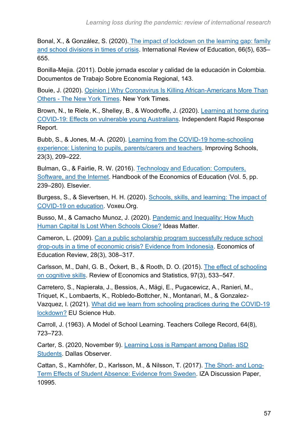Bonal, X., & González, S. (2020). [The impact of lockdown on the learning gap: family](https://doi.org/10.1007/s11159-020-09860-z)  [and school divisions in times of crisis.](https://doi.org/10.1007/s11159-020-09860-z) International Review of Education, 66(5), 635– 655.

Bonilla-Mejia. (2011). Doble jornada escolar y calidad de la educación in Colombia. Documentos de Trabajo Sobre Economía Regional, 143.

Bouie, J. (2020). [Opinion | Why Coronavirus Is Killing African-Americans More Than](https://www.nytimes.com/2020/04/14/opinion/sunday/coronavirus-racism-african-americans.html)  Others - [The New York Times.](https://www.nytimes.com/2020/04/14/opinion/sunday/coronavirus-racism-african-americans.html) New York Times.

Brown, N., te Riele, K., Shelley, B., & Woodroffe, J. (2020). [Learning at home during](http://creativecommons.org/licenses/by/3.0/au/deed.en.Thefulllicencetermsareavailablefromhttp:/creativecommons.org/licenses/by/3.0/au/legalcode.)  [COVID-19: Effects on vulnerable young Australians.](http://creativecommons.org/licenses/by/3.0/au/deed.en.Thefulllicencetermsareavailablefromhttp:/creativecommons.org/licenses/by/3.0/au/legalcode.) Independent Rapid Response Report.

Bubb, S., & Jones, M.-A. (2020). [Learning from the COVID-19 home-schooling](https://doi.org/10.1177/1365480220958797)  [experience: Listening to pupils, parents/carers and teachers.](https://doi.org/10.1177/1365480220958797) Improving Schools, 23(3), 209–222.

Bulman, G., & Fairlie, R. W. (2016). [Technology and Education: Computers,](https://doi.org/10.1016/B978-0-444-63459-7.00005-1)  [Software, and the Internet.](https://doi.org/10.1016/B978-0-444-63459-7.00005-1) Handbook of the Economics of Education (Vol. 5, pp. 239–280). Elsevier.

Burgess, S., & Sievertsen, H. H. (2020). [Schools, skills, and learning: The impact of](https://voxeu.org/article/impact-covid-19-education)  [COVID-19 on education.](https://voxeu.org/article/impact-covid-19-education) Voxeu.Org.

Busso, M., & Camacho Munoz, J. (2020). [Pandemic and Inequality: How Much](https://blogs.iadb.org/ideas-matter/en/pandemic-and-inequality-how-much-human-capital-is-lost-when-schools-close/)  [Human Capital Is Lost When Schools Close?](https://blogs.iadb.org/ideas-matter/en/pandemic-and-inequality-how-much-human-capital-is-lost-when-schools-close/) Ideas Matter.

Cameron, L. (2009). [Can a public scholarship program successfully reduce school](https://doi.org/10.1016/j.econedurev.2007.09.013)  [drop-outs in a time of economic crisis? Evidence from Indonesia.](https://doi.org/10.1016/j.econedurev.2007.09.013) Economics of Education Review, 28(3), 308–317.

Carlsson, M., Dahl, G. B., Öckert, B., & Rooth, D. O. (2015). [The effect of schooling](https://doi.org/10.1162/REST_a_00501)  [on cognitive skills.](https://doi.org/10.1162/REST_a_00501) Review of Economics and Statistics, 97(3), 533–547.

Carretero, S., Napierała, J., Bessios, A., Mägi, E., Pugacewicz, A., Ranieri, M., Triquet, K., Lombaerts, K., Robledo-Bottcher, N., Montanari, M., & Gonzalez-Vazquez, I. (2021). [What did we learn from schooling practices during the COVID-19](https://ec.europa.eu/jrc/en/publication/eur-scientific-and-technical-research-reports/what-did-we-learn-schooling-practices-during-covid-19-lockdown)  [lockdown?](https://ec.europa.eu/jrc/en/publication/eur-scientific-and-technical-research-reports/what-did-we-learn-schooling-practices-during-covid-19-lockdown) EU Science Hub.

Carroll, J. (1963). A Model of School Learning. Teachers College Record, 64(8), 723–723.

Carter, S. (2020, November 9). [Learning Loss is Rampant among Dallas ISD](https://www.dallasobserver.com/news/learning-loss-is-rampant-among-dallas-isd-students-11959897)  [Students.](https://www.dallasobserver.com/news/learning-loss-is-rampant-among-dallas-isd-students-11959897) Dallas Observer.

Cattan, S., Kamhöfer, D., Karlsson, M., & Nilsson, T. (2017). [The Short-](http://ftp.iza.org/dp10995.pdf) and Long-[Term Effects of Student Absence: Evidence from Sweden.](http://ftp.iza.org/dp10995.pdf) IZA Discussion Paper, 10995.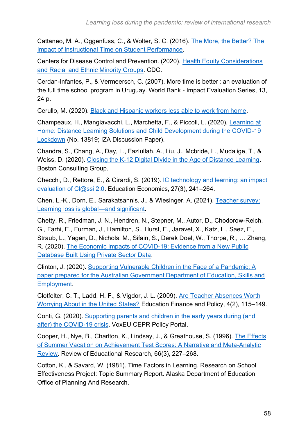Cattaneo, M. A., Oggenfuss, C., & Wolter, S. C. (2016). [The More, the Better? The](http://ftp.iza.org/dp9797.pdf)  [Impact of Instructional Time on Student Performance.](http://ftp.iza.org/dp9797.pdf)

Centers for Disease Control and Prevention. (2020). [Health Equity Considerations](https://www.cdc.gov/coronavirus/2019-ncov/community/health-equity/race-ethnicity.html)  [and Racial and Ethnic Minority Groups.](https://www.cdc.gov/coronavirus/2019-ncov/community/health-equity/race-ethnicity.html) CDC.

Cerdan-Infantes, P., & Vermeersch, C. (2007). More time is better : an evaluation of the full time school program in Uruguay. World Bank - Impact Evaluation Series, 13, 24 p.

Cerullo, M. (2020). [Black and Hispanic workers less able to work from home.](https://www.cbsnews.com/news/work-from-home-black-hispanic-workers/)

Champeaux, H., Mangiavacchi, L., Marchetta, F., & Piccoli, L. (2020). [Learning at](https://covid-19.iza.org/publications/dp13819/)  [Home: Distance Learning Solutions and Child Development during the COVID-19](https://covid-19.iza.org/publications/dp13819/)  [Lockdown](https://covid-19.iza.org/publications/dp13819/) (No. 13819; IZA Discussion Paper).

Chandra, S., Chang, A., Day, L., Fazlullah, A., Liu, J., Mcbride, L., Mudalige, T., & Weiss, D. (2020). [Closing the K-12 Digital Divide in the Age of Distance Learning.](https://www.commonsensemedia.org/sites/default/files/uploads/pdfs/common_sense_media_report_final_7_1_3pm_web.pdf) Boston Consulting Group.

Checchi, D., Rettore, E., & Girardi, S. (2019). [IC technology and learning: an impact](https://doi.org/10.1080/09645292.2018.1549654)  [evaluation of Cl@ssi 2.0.](https://doi.org/10.1080/09645292.2018.1549654) Education Economics, 27(3), 241-264.

Chen, L.-K., Dorn, E., Sarakatsannis, J., & Wiesinger, A. (2021). [Teacher survey:](https://www.mckinsey.com/industries/public-and-social-sector/our-insights/teacher-survey-learning-loss-is-global-and-significant)  [Learning loss is global—and significant.](https://www.mckinsey.com/industries/public-and-social-sector/our-insights/teacher-survey-learning-loss-is-global-and-significant)

Chetty, R., Friedman, J. N., Hendren, N., Stepner, M., Autor, D., Chodorow-Reich, G., Farhi, E., Furman, J., Hamilton, S., Hurst, E., Jaravel, X., Katz, L., Saez, E., Straub, L., Yagan, D., Nichols, M., Sifain, S., Derek Doel, W., Thorpe, R., … Zhang, R. (2020). [The Economic Impacts of COVID-19: Evidence from a New Public](https://opportunityinsights.org/wp-content/uploads/2020/05/tracker_paper.pdf)  [Database Built Using Private Sector Data.](https://opportunityinsights.org/wp-content/uploads/2020/05/tracker_paper.pdf)

Clinton, J. (2020). [Supporting Vulnerable Children in the Face of a Pandemic: A](https://apo.org.au/sites/default/files/resource-files/apo-nid303563.pdf)  [paper prepared for the Australian Government Department of Education, Skills and](https://apo.org.au/sites/default/files/resource-files/apo-nid303563.pdf)  [Employment.](https://apo.org.au/sites/default/files/resource-files/apo-nid303563.pdf)

Clotfelter, C. T., Ladd, H. F., & Vigdor, J. L. (2009). [Are Teacher Absences Worth](https://doi.org/10.1162/edfp.2009.4.2.115)  [Worrying About in the United States?](https://doi.org/10.1162/edfp.2009.4.2.115) Education Finance and Policy, 4(2), 115–149.

Conti, G. (2020). [Supporting parents and children in the early years during \(and](https://voxeu.org/article/supporting-parents-and-children-early-years-during-and-after-covid-19-crisis)  [after\) the COVID-19 crisis.](https://voxeu.org/article/supporting-parents-and-children-early-years-during-and-after-covid-19-crisis) VoxEU CEPR Policy Portal.

Cooper, H., Nye, B., Charlton, K., Lindsay, J., & Greathouse, S. (1996). [The Effects](https://doi.org/10.3102/00346543066003227)  [of Summer Vacation on Achievement Test Scores: A Narrative and Meta-Analytic](https://doi.org/10.3102/00346543066003227)  [Review.](https://doi.org/10.3102/00346543066003227) Review of Educational Research, 66(3), 227–268.

Cotton, K., & Savard, W. (1981). Time Factors in Learning. Research on School Effectiveness Project: Topic Summary Report. Alaska Department of Education Office of Planning And Research.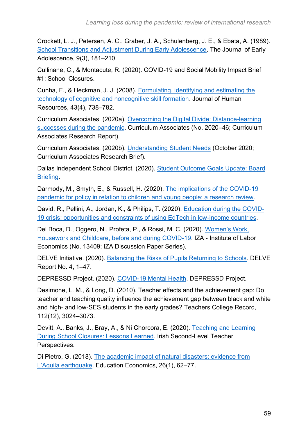Crockett, L. J., Petersen, A. C., Graber, J. A., Schulenberg, J. E., & Ebata, A. (1989). [School Transitions and Adjustment During Early Adolescence.](https://doi.org/10.1177/0272431689093002) The Journal of Early Adolescence, 9(3), 181–210.

Cullinane, C., & Montacute, R. (2020). COVID-19 and Social Mobility Impact Brief #1: School Closures.

Cunha, F., & Heckman, J. J. (2008). [Formulating, identifying and estimating the](https://doi.org/10.3368/jhr.43.4.738)  [technology of cognitive and noncognitive skill formation.](https://doi.org/10.3368/jhr.43.4.738) Journal of Human Resources, 43(4), 738–782.

Curriculum Associates. (2020a). [Overcoming the Digital Divide: Distance-learning](https://www.curriculumassociates.com/products/i-ready/overcoming-the-digital-divide)  [successes during the pandemic.](https://www.curriculumassociates.com/products/i-ready/overcoming-the-digital-divide) Curriculum Associates (No. 2020–46; Curriculum Associates Research Report).

Curriculum Associates. (2020b). [Understanding Student Needs](https://www.curriculumassociates.com/-/media/mainsite/files/i-ready/iready-diagnostic-results-understanding-student-needs-paper-2020.pdf) (October 2020; Curriculum Associates Research Brief).

Dallas Independent School District. (2020). [Student Outcome Goals Update: Board](https://go.boarddocs.com/tx/disd/Board.nsf/files/BV2KW653AF42/$file/2020-11%20Student%20Outcome%20Goals%20Update%20vF.pdf)  [Briefing.](https://go.boarddocs.com/tx/disd/Board.nsf/files/BV2KW653AF42/$file/2020-11%20Student%20Outcome%20Goals%20Update%20vF.pdf)

Darmody, M., Smyth, E., & Russell, H. (2020). [The implications of the COVID-19](https://doi.org/10.26504/sustat94)  [pandemic for policy in relation to children and young people: a research review.](https://doi.org/10.26504/sustat94)

David, R., Pellini, A., Jordan, K., & Philips, T. (2020). [Education during the COVID-](https://www.bsg.ox.ac.uk/sites/default/files/2020-04/Education-during-covid-19-crisis.pdf)[19 crisis: opportunities and constraints of using EdTech in low-income countries.](https://www.bsg.ox.ac.uk/sites/default/files/2020-04/Education-during-covid-19-crisis.pdf)

Del Boca, D., Oggero, N., Profeta, P., & Rossi, M. C. (2020). [Women's Work,](https://www.iza.org/publications/dp/13409/womens-work-housework-and-childcare-before-and-during-covid-19)  [Housework and Childcare, before and during COVID-19.](https://www.iza.org/publications/dp/13409/womens-work-housework-and-childcare-before-and-during-covid-19) IZA - Institute of Labor Economics (No. 13409; IZA Discussion Paper Series).

DELVE Initiative. (2020). [Balancing the Risks of Pupils Returning to Schools.](https://rs-delve.github.io/reports/2020/07/24/balancing-the-risk-of-pupils-returning-to-schools.html) DELVE Report No. 4, 1–47.

DEPRESSD Project. (2020). [COVID-19 Mental Health.](https://www.depressd.ca/covid-19-mental-health) DEPRESSD Project.

Desimone, L. M., & Long, D. (2010). Teacher effects and the achievement gap: Do teacher and teaching quality influence the achievement gap between black and white and high- and low-SES students in the early grades? Teachers College Record, 112(12), 3024–3073.

Devitt, A., Banks, J., Bray, A., & Ni Chorcora, E. (2020). [Teaching and Learning](http://www.tara.tcd.ie/handle/2262/92883)  [During School Closures: Lessons Learned.](http://www.tara.tcd.ie/handle/2262/92883) Irish Second-Level Teacher Perspectives.

Di Pietro, G. (2018). [The academic impact of natural disasters: evidence from](https://doi.org/10.1080/09645292.2017.1394984)  [L'Aquila earthquake.](https://doi.org/10.1080/09645292.2017.1394984) Education Economics, 26(1), 62–77.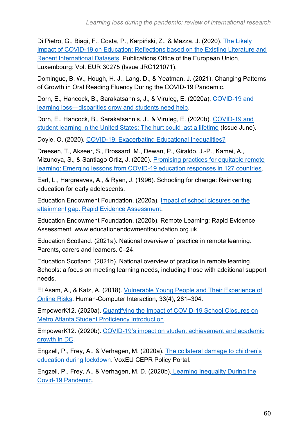Di Pietro, G., Biagi, F., Costa, P., Karpiński, Z., & Mazza, J. (2020). [The Likely](https://doi.org/10.2760/126686)  [Impact of COVID-19 on Education: Reflections based on the Existing Literature and](https://doi.org/10.2760/126686)  [Recent International Datasets.](https://doi.org/10.2760/126686) Publications Office of the European Union, Luxembourg: Vol. EUR 30275 (Issue JRC121071).

Domingue, B. W., Hough, H. J., Lang, D., & Yeatman, J. (2021). Changing Patterns of Growth in Oral Reading Fluency During the COVID-19 Pandemic.

Dorn, E., Hancock, B., Sarakatsannis, J., & Viruleg, E. (2020a). [COVID-19 and](https://www.mckinsey.com/industries/public-and-social-sector/our-insights/covid-19-and-learning-loss-disparities-grow-and-students-need-help)  [learning loss—disparities grow and students need help.](https://www.mckinsey.com/industries/public-and-social-sector/our-insights/covid-19-and-learning-loss-disparities-grow-and-students-need-help)

Dorn, E., Hancock, B., Sarakatsannis, J., & Viruleg, E. (2020b). [COVID-19 and](https://www.mckinsey.com/industries/public-and-social-sector/our-insights/covid-19-and-student-learning-in-the-united-states-the-hurt-could-last-a-lifetime)  [student learning in the United States: The hurt could last a lifetime](https://www.mckinsey.com/industries/public-and-social-sector/our-insights/covid-19-and-student-learning-in-the-united-states-the-hurt-could-last-a-lifetime) (Issue June).

Doyle, O. (2020). [COVID-19: Exacerbating Educational Inequalities?](https://publicpolicy.ie/papers/covid-19-exacerbating-educational-inequalities/)

Dreesen, T., Akseer, S., Brossard, M., Dewan, P., Giraldo, J.-P., Kamei, A., Mizunoya, S., & Santiago Ortiz, J. (2020). [Promising practices for equitable remote](https://doi.org/10.1787/9789264280700-3-en)  [learning: Emerging lessons from COVID-19 education responses in 127 countries.](https://doi.org/10.1787/9789264280700-3-en)

Earl, L., Hargreaves, A., & Ryan, J. (1996). Schooling for change: Reinventing education for early adolescents.

Education Endowment Foundation. (2020a). [Impact of school closures on the](https://educationendowmentfoundation.org.uk/covid-19-resources/best-evidence-on-impact-of-school-closures-on-the-attainment-gap)  [attainment gap: Rapid Evidence Assessment.](https://educationendowmentfoundation.org.uk/covid-19-resources/best-evidence-on-impact-of-school-closures-on-the-attainment-gap)

Education Endowment Foundation. (2020b). Remote Learning: Rapid Evidence Assessment. www.educationendowmentfoundation.org.uk

Education Scotland. (2021a). National overview of practice in remote learning. Parents, carers and learners. 0–24.

Education Scotland. (2021b). National overview of practice in remote learning. Schools: a focus on meeting learning needs, including those with additional support needs.

El Asam, A., & Katz, A. (2018). [Vulnerable Young People and Their Experience of](https://doi.org/10.1080/07370024.2018.1437544)  [Online Risks.](https://doi.org/10.1080/07370024.2018.1437544) Human-Computer Interaction, 33(4), 281–304.

EmpowerK12. (2020a). [Quantifying the Impact of COVID-19 School Closures on](https://l4lmetroatlanta.org/wp-content/uploads/2020/06/COVID-19-Impact-on-Atlanta-Student-Achievement_FINAL.pdf)  [Metro Atlanta Student Proficiency Introduction.](https://l4lmetroatlanta.org/wp-content/uploads/2020/06/COVID-19-Impact-on-Atlanta-Student-Achievement_FINAL.pdf)

EmpowerK12. (2020b). [COVID-19's impact on student achievement and academic](https://static1.squarespace.com/static/5f9857f027d55d2170cd92ac/t/5fdb6d5dc70d2641e55ff244/1608215913800/COVID-19%27s+Impact+on+DC+Student+Achievement+-+EmpowerK12+Initial+Findings+Dec+2020.pdf)  [growth in DC.](https://static1.squarespace.com/static/5f9857f027d55d2170cd92ac/t/5fdb6d5dc70d2641e55ff244/1608215913800/COVID-19%27s+Impact+on+DC+Student+Achievement+-+EmpowerK12+Initial+Findings+Dec+2020.pdf)

Engzell, P., Frey, A., & Verhagen, M. (2020a). [The collateral damage to children's](https://voxeu.org/article/collateral-damage-children-s-education-during-lockdown)  [education during lockdown.](https://voxeu.org/article/collateral-damage-children-s-education-during-lockdown) VoxEU CEPR Policy Portal.

Engzell, P., Frey, A., & Verhagen, M. D. (2020b). [Learning Inequality During the](https://doi.org/10.31235/OSF.IO/VE4Z7)  [Covid-19 Pandemic.](https://doi.org/10.31235/OSF.IO/VE4Z7)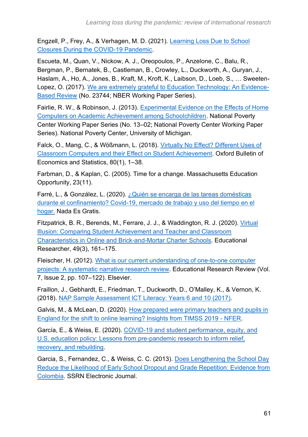Engzell, P., Frey, A., & Verhagen, M. D. (2021). [Learning Loss Due to School](https://doi.org/10.31235/OSF.IO/VE4Z7)  [Closures During the COVID-19 Pandemic.](https://doi.org/10.31235/OSF.IO/VE4Z7)

Escueta, M., Quan, V., Nickow, A. J., Oreopoulos, P., Anzelone, C., Balu, R., Bergman, P., Bernatek, B., Castleman, B., Crowley, L., Duckworth, A., Guryan, J., Haslam, A., Ho, A., Jones, B., Kraft, M., Kroft, K., Laibson, D., Loeb, S., … Sweeten-Lopez, O. (2017). [We are extremely grateful to Education Technology: An Evidence-](http://www.nber.org/papers/w23744)[Based Review](http://www.nber.org/papers/w23744) (No. 23744; NBER Working Paper Series).

Fairlie, R. W., & Robinson, J. (2013). [Experimental Evidence on the Effects of Home](http://files.eric.ed.gov/fulltext/ED539512.pdf)  [Computers on Academic Achievement among Schoolchildren.](http://files.eric.ed.gov/fulltext/ED539512.pdf) National Poverty Center Working Paper Series (No. 13–02; National Poverty Center Working Paper Series). National Poverty Center, University of Michigan.

Falck, O., Mang, C., & Wößmann, L. (2018). [Virtually No Effect? Different Uses of](https://doi.org/10.1111/obes.12192)  [Classroom Computers and their Effect on Student Achievement.](https://doi.org/10.1111/obes.12192) Oxford Bulletin of Economics and Statistics, 80(1), 1–38.

Farbman, D., & Kaplan, C. (2005). Time for a change. Massachusetts Education Opportunity, 23(11).

Farré, L., & González, L. (2020). ¿Quién se encarga de las tareas domésticas [durante el confinamiento? Covid-19, mercado de trabajo y uso del tiempo en el](https://nadaesgratis.es/admin/quien-se-encarga-de-las-tareas-domesticas)  [hogar.](https://nadaesgratis.es/admin/quien-se-encarga-de-las-tareas-domesticas) Nada Es Gratis.

Fitzpatrick, B. R., Berends, M., Ferrare, J. J., & Waddington, R. J. (2020). [Virtual](https://doi.org/10.3102/0013189X20909814)  [Illusion: Comparing Student Achievement and Teacher and Classroom](https://doi.org/10.3102/0013189X20909814)  [Characteristics in Online and Brick-and-Mortar Charter Schools.](https://doi.org/10.3102/0013189X20909814) Educational Researcher, 49(3), 161–175.

Fleischer, H. (2012). [What is our current understanding of one-to-one computer](https://doi.org/10.1016/j.edurev.2011.11.004)  [projects: A systematic narrative research review.](https://doi.org/10.1016/j.edurev.2011.11.004) Educational Research Review (Vol. 7, Issue 2, pp. 107–122). Elsevier.

Fraillon, J., Gebhardt, E., Friedman, T., Duckworth, D., O'Malley, K., & Vernon, K. (2018). [NAP Sample Assessment ICT Literacy: Years 6 and 10 \(2017\).](https://www.nap.edu.au/docs/default-source/default-document-library/2017napictlreport_final.pdf?sfvrsn=b5696d5e_2)

Galvis, M., & McLean, D. (2020). [How prepared were primary teachers and](https://www.nfer.ac.uk/how-prepared-were-primary-teachers-and-pupils-in-england-for-the-shift-to-online-learning-insights-from-timss-2019/) pupils in [England for the shift to online learning? Insights from TIMSS 2019 -](https://www.nfer.ac.uk/how-prepared-were-primary-teachers-and-pupils-in-england-for-the-shift-to-online-learning-insights-from-timss-2019/) NFER.

García, E., & Weiss, E. (2020). [COVID-19 and student performance, equity, and](https://www.epi.org/publication/the-consequences-of-the-covid-19-pandemic-for-education-performance-and-equity-in-the-united-states-what-can-we-learn-from-pre-pandemic-research-to-inform-relief-recovery-and-rebuilding/)  [U.S. education policy: Lessons from pre-pandemic research to inform relief,](https://www.epi.org/publication/the-consequences-of-the-covid-19-pandemic-for-education-performance-and-equity-in-the-united-states-what-can-we-learn-from-pre-pandemic-research-to-inform-relief-recovery-and-rebuilding/)  [recovery, and rebuilding.](https://www.epi.org/publication/the-consequences-of-the-covid-19-pandemic-for-education-performance-and-equity-in-the-united-states-what-can-we-learn-from-pre-pandemic-research-to-inform-relief-recovery-and-rebuilding/)

Garcia, S., Fernandez, C., & Weiss, C. C. (2013). [Does Lengthening the School Day](https://doi.org/10.2139/ssrn.2926193)  [Reduce the Likelihood of Early School Dropout and Grade Repetition: Evidence from](https://doi.org/10.2139/ssrn.2926193)  [Colombia.](https://doi.org/10.2139/ssrn.2926193) SSRN Electronic Journal.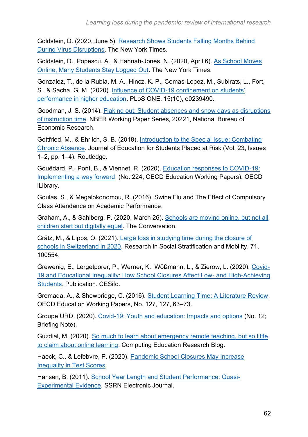Goldstein, D. (2020, June 5). [Research Shows Students Falling Months Behind](https://www.nytimes.com/2020/06/05/us/coronavirus-education-lost-learning.html?action=click&module=Top%20Stories&pgtype=Homepage)  [During Virus Disruptions.](https://www.nytimes.com/2020/06/05/us/coronavirus-education-lost-learning.html?action=click&module=Top%20Stories&pgtype=Homepage) The New York Times.

Goldstein, D., Popescu, A., & Hannah-Jones, N. (2020, April 6). [As School Moves](https://www.nytimes.com/2020/04/06/us/coronavirus-schools-attendance-absent.html)  [Online, Many Students Stay Logged Out.](https://www.nytimes.com/2020/04/06/us/coronavirus-schools-attendance-absent.html) The New York Times.

Gonzalez, T., de la Rubia, M. A., Hincz, K. P., Comas-Lopez, M., Subirats, L., Fort, S., & Sacha, G. M. (2020). [Influence of COVID-19 confinement on students'](https://doi.org/10.1371/journal.pone.0239490)  [performance in higher education.](https://doi.org/10.1371/journal.pone.0239490) PLoS ONE, 15(10), e0239490.

Goodman, J. S. (2014). [Flaking out: Student absences and snow days as disruptions](https://doi.org/10.3386/w20221)  [of instruction time.](https://doi.org/10.3386/w20221) NBER Working Paper Series, 20221, National Bureau of Economic Research.

Gottfried, M., & Ehrlich, S. B. (2018). [Introduction to the Special Issue: Combating](https://doi.org/10.1080/10824669.2018.1439753)  [Chronic Absence.](https://doi.org/10.1080/10824669.2018.1439753) Journal of Education for Students Placed at Risk (Vol. 23, Issues 1–2, pp. 1–4). Routledge.

Gouëdard, P., Pont, B., & Viennet, R. (2020). [Education responses to COVID-19:](https://www.oecd-ilibrary.org/education/education-responses-to-covid-19-implementing-a-way-forward_8e95f977-en)  [Implementing a way forward.](https://www.oecd-ilibrary.org/education/education-responses-to-covid-19-implementing-a-way-forward_8e95f977-en) (No. 224; OECD Education Working Papers). OECD iLibrary.

Goulas, S., & Megalokonomou, R. (2016). Swine Flu and The Effect of Compulsory Class Attendance on Academic Performance.

Graham, A., & Sahlberg, P. (2020, March 26). [Schools are moving online, but not all](https://theconversation.com/schools-are-moving-online-but-not-all-children-start-out-digitally-equal-134650)  [children start out digitally equal.](https://theconversation.com/schools-are-moving-online-but-not-all-children-start-out-digitally-equal-134650) The Conversation.

Grätz, M., & Lipps, O. (2021). [Large loss in studying time during the closure of](https://doi.org/10.1016/j.rssm.2020.100554)  [schools in Switzerland in 2020.](https://doi.org/10.1016/j.rssm.2020.100554) Research in Social Stratification and Mobility, 71, 100554.

Grewenig, E., Lergetporer, P., Werner, K., Wößmann, L., & Zierow, L. (2020). [Covid-](https://www.cesifo.org/en/publikationen/2020/working-paper/covid-19-and-educational-inequality-how-school-closures-affect-low)[19 and Educational Inequality: How School Closures Affect Low-](https://www.cesifo.org/en/publikationen/2020/working-paper/covid-19-and-educational-inequality-how-school-closures-affect-low) and High-Achieving [Students.](https://www.cesifo.org/en/publikationen/2020/working-paper/covid-19-and-educational-inequality-how-school-closures-affect-low) Publication. CESifo.

Gromada, A., & Shewbridge, C. (2016). [Student Learning Time: A Literature Review.](http://linkinghub.elsevier.com/retrieve/pii/B9780080982854000042) OECD Education Working Papers, No. 127, 127, 63–73.

Groupe URD. (2020). [Covid-19: Youth and education: Impacts and options](https://reliefweb.int/report/world/covid-19-youth-and-education-impacts-and-options-briefing-note-n-12) (No. 12; Briefing Note).

Guzdial, M. (2020). [So much to learn about emergency remote teaching, but so little](https://computinged.wordpress.com/2020/03/30/so-much-to-learn-about-emergency-remote-teaching-but-so-little-to-claim-about-online-learning/)  [to claim about online learning.](https://computinged.wordpress.com/2020/03/30/so-much-to-learn-about-emergency-remote-teaching-but-so-little-to-claim-about-online-learning/) Computing Education Research Blog.

Haeck, C., & Lefebvre, P. (2020). [Pandemic School Closures May Increase](https://grch.esg.uqam.ca/en/working-papers-series/)  [Inequality in Test Scores.](https://grch.esg.uqam.ca/en/working-papers-series/)

Hansen, B. (2011). [School Year Length and Student Performance: Quasi-](https://doi.org/10.2139/ssrn.2269846)[Experimental](https://doi.org/10.2139/ssrn.2269846) Evidence. SSRN Electronic Journal.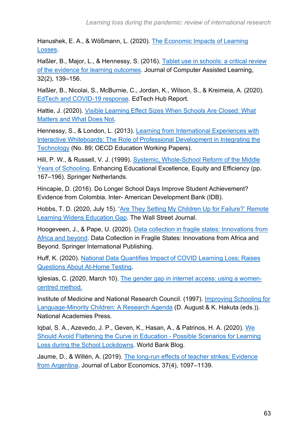Hanushek, E. A., & Wößmann, L. (2020). [The Economic Impacts of Learning](https://www.oecd.org/education/The-economic-impacts-of-coronavirus-covid-19-learning-losses.pdf)  [Losses.](https://www.oecd.org/education/The-economic-impacts-of-coronavirus-covid-19-learning-losses.pdf)

Haßler, B., Major, L., & Hennessy, S. (2016). [Tablet use in schools: a critical review](https://doi.org/10.1111/jcal.12123)  [of the evidence for learning outcomes.](https://doi.org/10.1111/jcal.12123) Journal of Computer Assisted Learning, 32(2), 139–156.

Haßler, B., Nicolai, S., McBurnie, C., Jordan, K., Wilson, S., & Kreimeia, A. (2020). [EdTech and COVID-19 response.](https://docs.edtechhub.org/lib/SXDQAPB6) EdTech Hub Report.

Hattie, J. (2020). [Visible Learning Effect Sizes When Schools Are Closed: What](https://opsoa.org/application/files/2215/8689/0389/Infuences-during-Corona-JH-article.pdf)  [Matters and What Does Not.](https://opsoa.org/application/files/2215/8689/0389/Infuences-during-Corona-JH-article.pdf)

Hennessy, S., & London, L. (2013). [Learning from International Experiences with](https://www.oecd-ilibrary.org/education/learning-from-international-experiences-with-interactive-whiteboards_5k49chbsnmls-en)  [Interactive Whiteboards: The Role of Professional Development in Integrating the](https://www.oecd-ilibrary.org/education/learning-from-international-experiences-with-interactive-whiteboards_5k49chbsnmls-en)  [Technology](https://www.oecd-ilibrary.org/education/learning-from-international-experiences-with-interactive-whiteboards_5k49chbsnmls-en) (No. 89; OECD Education Working Papers).

Hill, P. W., & Russell, V. J. (1999). Systemic, Whole-School Reform of the Middle [Years of Schooling.](https://doi.org/10.1007/978-94-011-4253-3_8) Enhancing Educational Excellence, Equity and Efficiency (pp. 167–196). Springer Netherlands.

Hincapie, D. (2016). Do Longer School Days Improve Student Achievement? Evidence from Colombia. Inter- American Development Bank (IDB).

Hobbs, T. D. (2020, July 15). ['Are They Setting My Children Up for Failure?' Remote](https://www.wsj.com/articles/remote-learning-pushes-americas-most-vulnerable-students-further-behind-11594826905)  [Learning Widens Education Gap.](https://www.wsj.com/articles/remote-learning-pushes-americas-most-vulnerable-students-further-behind-11594826905) The Wall Street Journal.

Hoogeveen, J., & Pape, U. (2020). [Data collection in fragile states: Innovations from](https://doi.org/10.1007/978-3-030-25120-8)  [Africa and beyond.](https://doi.org/10.1007/978-3-030-25120-8) Data Collection in Fragile States: Innovations from Africa and Beyond. Springer International Publishing.

Huff, K. (2020). [National Data Quantifies Impact of COVID Learning Loss; Raises](https://www.curriculumassociates.com/-/media/mainsite/files/i-ready/ca-impact-of-covid-learning-loss-fall-2020.pdf)  [Questions About At-Home Testing.](https://www.curriculumassociates.com/-/media/mainsite/files/i-ready/ca-impact-of-covid-learning-loss-fall-2020.pdf)

Iglesias, C. (2020, March 10). [The gender gap in internet access: using a women](https://webfoundation.org/2020/03/the-gender-gap-in-internet-access-using-a-women-centred-method/)[centred method.](https://webfoundation.org/2020/03/the-gender-gap-in-internet-access-using-a-women-centred-method/)

Institute of Medicine and National Research Council. (1997). [Improving Schooling for](https://doi.org/10.17226/5286)  [Language-Minority Children: A Research Agenda](https://doi.org/10.17226/5286) (D. August & K. Hakuta (eds.)). National Academies Press.

Iqbal, S. A., Azevedo, J. P., Geven, K., Hasan, A., & Patrinos, H. A. (2020). [We](https://blogs.worldbank.org/education/we-should-avoid-flattening-curve-education-possible-scenarios-learning-loss-during-school)  [Should Avoid Flattening the Curve in Education -](https://blogs.worldbank.org/education/we-should-avoid-flattening-curve-education-possible-scenarios-learning-loss-during-school) Possible Scenarios for Learning [Loss during the School Lockdowns.](https://blogs.worldbank.org/education/we-should-avoid-flattening-curve-education-possible-scenarios-learning-loss-during-school) World Bank Blog.

Jaume, D., & Willén, A. (2019). [The long-run effects of teacher strikes: Evidence](https://doi.org/10.1086/703134)  [from Argentina.](https://doi.org/10.1086/703134) Journal of Labor Economics, 37(4), 1097–1139.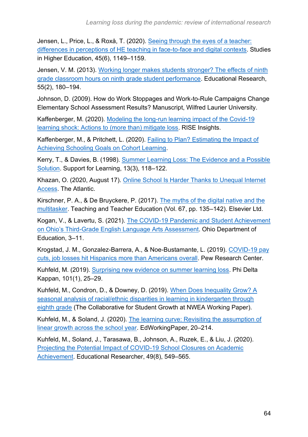Jensen, L., Price, L., & Roxå, T. (2020). [Seeing through the eyes of a teacher:](https://doi.org/10.1080/03075079.2019.1688280)  [differences in perceptions of HE teaching in face-to-face and digital contexts.](https://doi.org/10.1080/03075079.2019.1688280) Studies in Higher Education, 45(6), 1149–1159.

Jensen, V. M. (2013). [Working longer makes students stronger? The effects of ninth](https://doi.org/10.1080/00131881.2013.801244)  [grade classroom hours on ninth grade student performance.](https://doi.org/10.1080/00131881.2013.801244) Educational Research, 55(2), 180–194.

Johnson, D. (2009). How do Work Stoppages and Work-to-Rule Campaigns Change Elementary School Assessment Results? Manuscript, Wilfred Laurier University.

Kaffenberger, M. (2020). [Modeling the long-run learning impact of the Covid-19](https://doi.org/10.1016/j.ijedudev.2020.102326)  [learning shock: Actions to \(more than\) mitigate loss.](https://doi.org/10.1016/j.ijedudev.2020.102326) RISE Insights.

Kaffenberger, M., & Pritchett, L. (2020). [Failing to Plan? Estimating the Impact of](https://doi.org/10.35489/BSG-RISE-WP_2020/038)  [Achieving Schooling Goals on Cohort Learning.](https://doi.org/10.35489/BSG-RISE-WP_2020/038)

Kerry, T., & Davies, B. (1998). [Summer Learning Loss: The Evidence and a Possible](https://doi.org/10.1111/1467-9604.00072)  [Solution.](https://doi.org/10.1111/1467-9604.00072) Support for Learning, 13(3), 118–122.

Khazan, O. (2020, August 17). [Online School Is Harder Thanks to Unequal Internet](https://www.theatlantic.com/technology/archive/2020/08/virtual-learning-when-you-dont-have-internet/615322/)  [Access.](https://www.theatlantic.com/technology/archive/2020/08/virtual-learning-when-you-dont-have-internet/615322/) The Atlantic.

Kirschner, P. A., & De Bruyckere, P. (2017). [The myths of the digital native and the](https://doi.org/10.1016/j.tate.2017.06.001)  [multitasker.](https://doi.org/10.1016/j.tate.2017.06.001) Teaching and Teacher Education (Vol. 67, pp. 135–142). Elsevier Ltd.

Kogan, V., & Lavertu, S. (2021). [The COVID-19 Pandemic and Student Achievement](http://glenn.osu.edu/educational-governance/reports/)  [on Ohio's Third-Grade English Language Arts Assessment.](http://glenn.osu.edu/educational-governance/reports/) Ohio Department of Education, 3–11.

Krogstad, J. M., Gonzalez-Barrera, A., & Noe-Bustamante, L. (2019). [COVID-19 pay](https://www.pewresearch.org/fact-tank/2020/04/03/u-s-latinos-among-hardest-hit-by-pay-cuts-job-losses-due-to-coronavirus/)  [cuts, job losses hit Hispanics more than Americans overall.](https://www.pewresearch.org/fact-tank/2020/04/03/u-s-latinos-among-hardest-hit-by-pay-cuts-job-losses-due-to-coronavirus/) Pew Research Center.

Kuhfeld, M. (2019). [Surprising new evidence on summer learning loss.](https://doi.org/10.1177/0031721719871560) Phi Delta Kappan, 101(1), 25–29.

Kuhfeld, M., Condron, D., & Downey, D. (2019). [When Does Inequality Grow? A](https://www.nwea.org/resource-library/research/when-does-inequality-grow-3)  [seasonal analysis of racial/ethnic disparities in learning in kindergarten through](https://www.nwea.org/resource-library/research/when-does-inequality-grow-3)  [eighth](https://www.nwea.org/resource-library/research/when-does-inequality-grow-3) grade (The Collaborative for Student Growth at NWEA Working Paper).

Kuhfeld, M., & Soland, J. (2020). [The learning curve: Revisiting the assumption of](https://www.edworkingpapers.com/ai20-214)  [linear growth across the school year.](https://www.edworkingpapers.com/ai20-214) EdWorkingPaper, 20–214.

Kuhfeld, M., Soland, J., Tarasawa, B., Johnson, A., Ruzek, E., & Liu, J. (2020). [Projecting the Potential Impact of COVID-19 School Closures on Academic](https://doi.org/10.3102/0013189X20965918)  [Achievement.](https://doi.org/10.3102/0013189X20965918) Educational Researcher, 49(8), 549–565.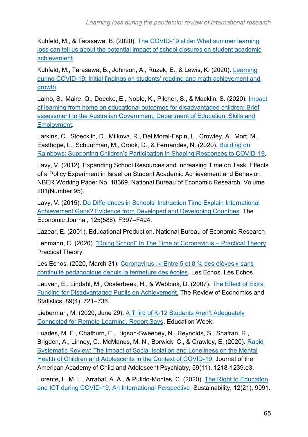Kuhfeld, M., & Tarasawa, B. (2020). [The COVID-19 slide: What summer learning](https://www.nwea.org/research/publication/the-covid-19-slide-what-summer-learning-loss-can-tell-us-about-the-potential-impact-of-school-closures-on-student-academic-achievement/)  [loss can tell us about the potential impact of school closures on student academic](https://www.nwea.org/research/publication/the-covid-19-slide-what-summer-learning-loss-can-tell-us-about-the-potential-impact-of-school-closures-on-student-academic-achievement/)  [achievement.](https://www.nwea.org/research/publication/the-covid-19-slide-what-summer-learning-loss-can-tell-us-about-the-potential-impact-of-school-closures-on-student-academic-achievement/)

Kuhfeld, M., Tarasawa, B., Johnson, A., Ruzek, E., & Lewis, K. (2020). [Learning](https://www.nwea.org/research/publication/learning-during-covid-19-initial-findings-on-students-reading-and-math-achievement-and-growth/)  [during COVID-19: Initial findings on students' reading and math achievement and](https://www.nwea.org/research/publication/learning-during-covid-19-initial-findings-on-students-reading-and-math-achievement-and-growth/)  [growth.](https://www.nwea.org/research/publication/learning-during-covid-19-initial-findings-on-students-reading-and-math-achievement-and-growth/)

Lamb, S., Maire, Q., Doecke, E., Noble, K., Pilcher, S., & Macklin, S. (2020). [Impact](https://www.vu.edu.au/mitchell-institute/schooling/impact-of-learning-from-home-for-disadvantaged-children)  [of learning from home on educational outcomes for disadvantaged children: Brief](https://www.vu.edu.au/mitchell-institute/schooling/impact-of-learning-from-home-for-disadvantaged-children)  [assessment to the Australian Government, Department of Education, Skills and](https://www.vu.edu.au/mitchell-institute/schooling/impact-of-learning-from-home-for-disadvantaged-children)  [Employment.](https://www.vu.edu.au/mitchell-institute/schooling/impact-of-learning-from-home-for-disadvantaged-children)

Larkins, C., Stoecklin, D., Milkova, R., Del Moral-Espin, L., Crowley, A., Mort, M., Easthope, L., Schuurman, M., Crook, D., & Fernandes, N. (2020). [Building on](https://www.uclan.ac.uk/cypp)  [Rainbows: Supporting Children's Participation in Shaping Responses to COVID-19.](https://www.uclan.ac.uk/cypp)

Lavy, V. (2012). Expanding School Resources and Increasing Time on Task: Effects of a Policy Experiment in Israel on Student Academic Achievement and Behavior. NBER Working Paper No. 18369. National Bureau of Economic Research, Volume 201(Number 95).

Lavy, V. (2015). [Do Differences in Schools' Instruction Time Explain International](https://doi.org/10.1111/ecoj.12233)  Achievement Gaps? Evidence from [Developed and Developing Countries.](https://doi.org/10.1111/ecoj.12233) The Economic Journal, 125(588), F397–F424.

Lazear, E. (2001). Educational Production. National Bureau of Economic Research.

Lehmann, C. (2020). ["Doing School" In The Time of Coronavirus –](http://practicaltheory.org/blog/2020/03/26/doing-school-in-the-time-of-coronavirus/) Practical Theory. Practical Theory.

Les Echos. (2020, March 31). Coronavirus : « [Entre 5 et 8 % des élève](https://www.lesechos.fr/politique-societe/societe/coronavirus-5-et-8-des-eleves-sans-continuite-pedagogique-depuis-la-fermeture-des-ecoles-1190583)s » sans [continuité pédagogique depuis la fermeture des écoles.](https://www.lesechos.fr/politique-societe/societe/coronavirus-5-et-8-des-eleves-sans-continuite-pedagogique-depuis-la-fermeture-des-ecoles-1190583) Les Echos. Les Echos.

Leuven, E., Lindahl, M., Oosterbeek, H., & Webbink, D. (2007). [The Effect of Extra](https://www.mitpressjournals.org/doi/pdf/10.1162/rest.89.4.721)  [Funding for Disadvantaged Pupils on Achievement.](https://www.mitpressjournals.org/doi/pdf/10.1162/rest.89.4.721) The Review of Economics and Statistics, 89(4), 721–736.

Lieberman, M. (2020, June 29). [A Third of K-12 Students Aren't Adequately](https://www.edweek.org/technology/a-third-of-k-12-students-arent-adequately-connected-for-remote-learning-report-says/2020/06)  [Connected for Remote Learning, Report Says.](https://www.edweek.org/technology/a-third-of-k-12-students-arent-adequately-connected-for-remote-learning-report-says/2020/06) Education Week.

Loades, M. E., Chatburn, E., Higson-Sweeney, N., Reynolds, S., Shafran, R., Brigden, A., Linney, C., McManus, M. N., Borwick, C., & Crawley, E. (2020). [Rapid](https://doi.org/10.1016/j.jaac.2020.05.009)  [Systematic Review: The Impact of Social Isolation and Loneliness on the Mental](https://doi.org/10.1016/j.jaac.2020.05.009)  Health of Children [and Adolescents in the Context of COVID-19.](https://doi.org/10.1016/j.jaac.2020.05.009) Journal of the American Academy of Child and Adolescent Psychiatry, 59(11), 1218-1239.e3.

Lorente, L. M. L., Arrabal, A. A., & Pulido-Montes, C. (2020). [The Right to Education](https://doi.org/10.3390/su12219091)  [and ICT during COVID-19: An International Perspective.](https://doi.org/10.3390/su12219091) Sustainability, 12(21), 9091.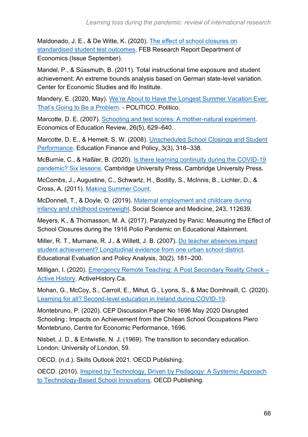Maldonado, J. E., & De Witte, K. (2020). [The effect of school closures on](https://limo.libis.be/primo-explore/fulldisplay?docid=LIRIAS3189074&context=L&vid=Lirias&search_scope=Lirias&tab=default_tab&lang=en_US&fromSitemap=1)  [standardised student test outcomes.](https://limo.libis.be/primo-explore/fulldisplay?docid=LIRIAS3189074&context=L&vid=Lirias&search_scope=Lirias&tab=default_tab&lang=en_US&fromSitemap=1) FEB Research Report Department of Economics (Issue September).

Mandel, P., & Süssmuth, B. (2011). Total instructional time exposure and student achievement: An extreme bounds analysis based on German state-level variation. Center for Economic Studies and Ifo Institute.

Mandery, E. (2020, May). [We're About to Have the Longest Summer Vacation Ever.](https://www.politico.com/news/magazine/2020/05/17/long-summer-students-coronavirus-259201?utm_source)  [That's Going to Be a Problem.](https://www.politico.com/news/magazine/2020/05/17/long-summer-students-coronavirus-259201?utm_source) - POLITICO. Politico.

Marcotte, D. E. (2007). [Schooling and test scores: A mother-natural experiment.](https://doi.org/10.1016/j.econedurev.2006.08.001) Economics of Education Review, 26(5), 629–640.

Marcotte, D. E., & Hemelt, S. W. (2008). [Unscheduled School Closings and Student](https://doi.org/10.1162/edfp.2008.3.3.316)  [Performance.](https://doi.org/10.1162/edfp.2008.3.3.316) Education Finance and Policy, 3(3), 316–338.

McBurnie, C., & Haßler, B. (2020). [Is there learning continuity during the COVID-19](https://www.cambridge.org/partnership/insights/there-learning-continuity-during-covid-19-pandemic-six-lessons/)  [pandemic? Six lessons.](https://www.cambridge.org/partnership/insights/there-learning-continuity-during-covid-19-pandemic-six-lessons/) Cambridge University Press. Cambridge University Press.

McCombs, J., Augustine, C., Schwartz, H., Bodilly, S., McInnis, B., Lichter, D., & Cross, A. (2011). [Making Summer Count.](http://www.rand.org/content/dam/rand/pubs/monographs/2011/RAND_MG996.pdf)

McDonnell, T., & Doyle, O. (2019). [Maternal employment and childcare during](https://doi.org/10.1016/j.socscimed.2019.112639)  [infancy and childhood overweight.](https://doi.org/10.1016/j.socscimed.2019.112639) Social Science and Medicine, 243, 112639.

Meyers, K., & Thomasson, M. A. (2017). Paralyzed by Panic: Measuring the Effect of School Closures during the 1916 Polio Pandemic on Educational Attainment.

Miller, R. T., Murnane, R. J., & Willett, J. B. (2007). [Do teacher absences impact](https://doi.org/10.3102/0162373708318019)  [student achievement? Longitudinal evidence from one urban school district.](https://doi.org/10.3102/0162373708318019) Educational Evaluation and Policy Analysis, 30(2), 181–200.

Milligan, I. (2020). [Emergency Remote Teaching: A Post Secondary Reality Check –](http://activehistory.ca/2020/03/emergency-remote-teaching-a-post-secondary-reality-check/) [Active History.](http://activehistory.ca/2020/03/emergency-remote-teaching-a-post-secondary-reality-check/) ActiveHistory.Ca.

Mohan, G., McCoy, S., Carroll, E., Mihut, G., Lyons, S., & Mac Domhnaill, C. (2020). [Learning for all? Second-level education in Ireland during COVID-19.](https://doi.org/10.26504/sustat92.pdf)

Montebruno, P. (2020). CEP Discussion Paper No 1696 May 2020 Disrupted Schooling : Impacts on Achievement from the Chilean School Occupations Piero Montebruno. Centre for Economic Performance, 1696.

Nisbet, J. D., & Entwistle, N. J. (1969). The transition to secondary education. London: University of London, 59.

OECD. (n.d.). Skills Outlook 2021. OECD Publishing.

OECD. (2010). [Inspired by Technology, Driven by Pedagogy: A Systemic Approach](https://doi.org/10.1787/9789264094437-en)  [to Technology-Based School Innovations.](https://doi.org/10.1787/9789264094437-en) OECD Publishing.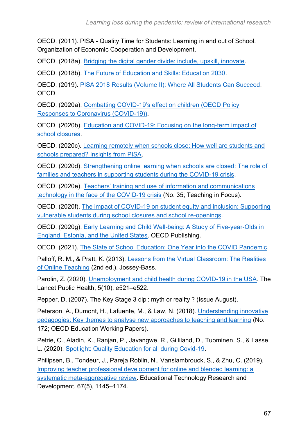OECD. (2011). PISA - Quality Time for Students: Learning in and out of School. Organization of Economic Cooperation and Development.

OECD. (2018a). [Bridging the digital gender divide: include, upskill, innovate.](http://www.oecd.org/digital/bridging-the-digital-gender-divide.pdf)

OECD. (2018b). [The Future of Education and Skills: Education 2030.](http://www.oecd.org/education/2030/E2030%20Position%20Paper%20(05.04.2018).pdf)

OECD. (2019). [PISA 2018 Results \(Volume II\): Where All Students Can Succeed.](https://doi.org/10.1787/b5fd1b8f-en) OECD.

OECD. (2020a). [Combatting COVID-19's effect on children \(OECD Policy](http://www.oecd.org/coronavirus/policy-responses/combatting-covid-19-s-effect-on-children-2e1f3b2f/)  [Responses to Coronavirus \(COVID-19\)\).](http://www.oecd.org/coronavirus/policy-responses/combatting-covid-19-s-effect-on-children-2e1f3b2f/)

OECD. (2020b). [Education and COVID-19: Focusing on the long-term impact of](https://www.oecd.org/coronavirus/policy-responses/education-and-covid-19-focusing-on-the-long-term-impact-of-school-closures-2cea926e/)  [school closures.](https://www.oecd.org/coronavirus/policy-responses/education-and-covid-19-focusing-on-the-long-term-impact-of-school-closures-2cea926e/)

OECD. (2020c). [Learning remotely when schools close: How well are students and](http://www.oecd.org/coronavirus/policy-responses/learning-remotely-when-schools-close-how-well-are-students-and-schools-prepared-insights-from-pisa-3bfda1f7/)  [schools prepared? Insights from PISA.](http://www.oecd.org/coronavirus/policy-responses/learning-remotely-when-schools-close-how-well-are-students-and-schools-prepared-insights-from-pisa-3bfda1f7/)

OECD. (2020d). [Strengthening online learning when schools are closed: The role of](http://www.oecd.org/coronavirus/policy-responses/strengthening-online-learning-when-schools-are-closed-the-role-of-families-and-teachers-in-supporting-students-during-the-covid-19-crisis-c4ecba6c/)  [families and teachers in supporting students during the COVID-19 crisis.](http://www.oecd.org/coronavirus/policy-responses/strengthening-online-learning-when-schools-are-closed-the-role-of-families-and-teachers-in-supporting-students-during-the-covid-19-crisis-c4ecba6c/)

OECD. (2020e). [Teachers' training and use of information and communications](https://doi.org/10.1787/696e0661-en)  [technology in the face of the COVID-19 crisis](https://doi.org/10.1787/696e0661-en) (No. 35; Teaching in Focus).

OECD. (2020f). [The impact of COVID-19 on student equity and inclusion: Supporting](http://www.oecd.org/coronavirus/policy-responses/the-impact-of-covid-19-on-student-equity-and-inclusion-supporting-vulnerable-students-during-school-closures-and-school-re-openings-d593b5c8/)  [vulnerable students during school closures and school re-openings.](http://www.oecd.org/coronavirus/policy-responses/the-impact-of-covid-19-on-student-equity-and-inclusion-supporting-vulnerable-students-during-school-closures-and-school-re-openings-d593b5c8/)

OECD. (2020g). [Early Learning and Child Well-being: A Study of](https://doi.org/10.1787/3990407f-en) Five-year-Olds in [England, Estonia, and the United States.](https://doi.org/10.1787/3990407f-en) OECD Publishing.

OECD. (2021). [The State of School Education: One Year into the COVID Pandemic.](https://doi.org/10.1787/201dde84-en)

Palloff, R. M., & Pratt, K. (2013). [Lessons from the Virtual Classroom: The Realities](https://www.wiley.com/en-gb/Lessons+from+the+Virtual+Classroom%3A+The+Realities+of+Online+Teaching%2C+2nd+Edition-p-9781118123737)  [of Online Teaching](https://www.wiley.com/en-gb/Lessons+from+the+Virtual+Classroom%3A+The+Realities+of+Online+Teaching%2C+2nd+Edition-p-9781118123737) (2nd ed.). Jossey-Bass.

Parolin, Z. (2020). [Unemployment and child health during COVID-19 in the USA.](https://doi.org/10.1016/S2468-2667(20)30207-3) The Lancet Public Health, 5(10), e521–e522.

Pepper, D. (2007). The Key Stage 3 dip : myth or reality ? (Issue August).

Peterson, A., Dumont, H., Lafuente, M., & Law, N. (2018). [Understanding innovative](https://www.oecd-ilibrary.org/education/understanding-innovative-pedagogies_9f843a6e-en)  [pedagogies: Key themes to analyse new approaches to teaching and learning](https://www.oecd-ilibrary.org/education/understanding-innovative-pedagogies_9f843a6e-en) (No. 172; OECD Education Working Papers).

Petrie, C., Aladin, K., Ranjan, P., Javangwe, R., Gilliland, D., Tuominen, S., & Lasse, L. (2020). [Spotlight: Quality Education for all during Covid-19.](https://hundred.org/en/collections/quality-education-for-all-during-coronavirus)

Philipsen, B., Tondeur, J., Pareja Roblin, N., Vanslambrouck, S., & Zhu, C. (2019). [Improving teacher professional development for online and blended learning: a](https://doi.org/10.1007/s11423-019-09645-8)  [systematic meta-aggregative review.](https://doi.org/10.1007/s11423-019-09645-8) Educational Technology Research and Development, 67(5), 1145–1174.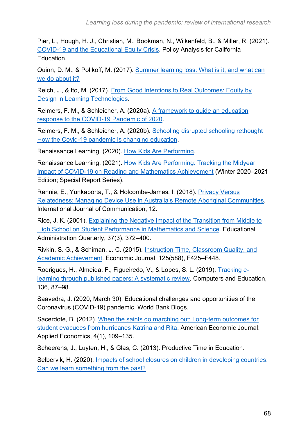Pier, L., Hough, H. J., Christian, M., Bookman, N., Wilkenfeld, B., & Miller, R. (2021). [COVID-19 and the Educational Equity Crisis.](https://edpolicyinca.org/newsroom/covid-19-and-educational-equity-crisis) Policy Analysis for California Education.

Quinn, D. M., & Polikoff, M. (2017). [Summer learning loss: What is it, and what can](https://www.brookings.edu/research/summer-learning-loss-what-is-it-and-what-can-we-do-about-it/)  [we do about it?](https://www.brookings.edu/research/summer-learning-loss-what-is-it-and-what-can-we-do-about-it/)

Reich, J., & Ito, M. (2017). [From Good Intentions to Real Outcomes: Equity by](https://clalliance.org/wp-content/uploads/2017/10/GIROreport_v3_complete.pdf)  [Design in Learning Technologies.](https://clalliance.org/wp-content/uploads/2017/10/GIROreport_v3_complete.pdf)

Reimers, F. M., & Schleicher, A. (2020a). [A framework to guide an education](https://read.oecd-ilibrary.org/view/?ref=126_126988-t63lxosohs&title=A-framework-to-guide-an-education-response-to-the-Covid-19-Pandemic-of-2020)  [response to the COVID-19 Pandemic of 2020.](https://read.oecd-ilibrary.org/view/?ref=126_126988-t63lxosohs&title=A-framework-to-guide-an-education-response-to-the-Covid-19-Pandemic-of-2020)

Reimers, F. M., & Schleicher, A. (2020b). [Schooling disrupted schooling rethought](https://read.oecd-ilibrary.org/view/?ref=133_133390-1rtuknc0hi&title=Schooling-disrupted-schooling-rethought-How-the-Covid-19-pandemic-is-changing-education)  [How the Covid-19 pandemic is changing education.](https://read.oecd-ilibrary.org/view/?ref=133_133390-1rtuknc0hi&title=Schooling-disrupted-schooling-rethought-How-the-Covid-19-pandemic-is-changing-education)

Renaissance Learning. (2020). [How Kids Are Performing.](https://www.renaissance.com/how-kids-are-performing/)

Renaissance Learning. (2021). [How Kids Are Performing: Tracking the Midyear](https://www.renaissance.com/how-kids-are-performing/)  [Impact of COVID-19 on Reading and Mathematics Achievement](https://www.renaissance.com/how-kids-are-performing/) (Winter 2020–2021 Edition; Special Report Series).

Rennie, E., Yunkaporta, T., & Holcombe-James, I. (2018). Privacy Versus [Relatedness: Managing Device Use in Australia's](https://ijoc.org/index.php/ijoc/article/view/7051/2299) Remote Aboriginal Communities. International Journal of Communication, 12.

Rice, J. K. (2001). [Explaining the Negative Impact of the Transition from Middle to](https://doi.org/10.1177/00131610121969352)  [High School on Student Performance in Mathematics and Science.](https://doi.org/10.1177/00131610121969352) Educational Administration Quarterly, 37(3), 372–400.

Rivkin, S. G., & Schiman, J. C. (2015). [Instruction Time, Classroom Quality, and](https://doi.org/10.1111/ecoj.12315)  [Academic Achievement.](https://doi.org/10.1111/ecoj.12315) Economic Journal, 125(588), F425–F448.

Rodrigues, H., Almeida, F., Figueiredo, V., & Lopes, S. L. (2019). [Tracking e](https://doi.org/10.1016/j.compedu.2019.03.007)[learning through published papers: A systematic review.](https://doi.org/10.1016/j.compedu.2019.03.007) Computers and Education, 136, 87–98.

Saavedra, J. (2020, March 30). Educational challenges and opportunities of the Coronavirus (COVID-19) pandemic. World Bank Blogs.

Sacerdote, B. (2012). [When the saints go marching out: Long-term outcomes for](https://doi.org/10.1257/app.4.1.109)  [student evacuees from hurricanes Katrina and Rita.](https://doi.org/10.1257/app.4.1.109) American Economic Journal: Applied Economics, 4(1), 109–135.

Scheerens, J., Luyten, H., & Glas, C. (2013). Productive Time in Education.

Selbervik, H. (2020). [Impacts of school closures on children in developing countries:](https://open.cmi.no/cmi-xmlui/handle/11250/2653654)  [Can we learn something from the past?](https://open.cmi.no/cmi-xmlui/handle/11250/2653654)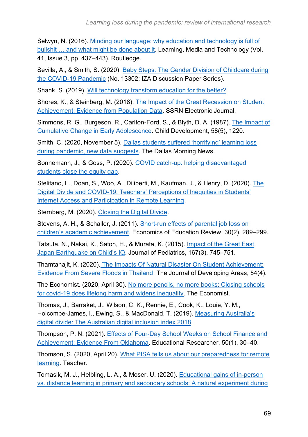Selwyn, N. (2016). [Minding our language: why education and technology is full of](https://doi.org/10.1080/17439884.2015.1012523)  bullshit ... and what might be done about it. Learning, Media and Technology (Vol. 41, Issue 3, pp. 437–443). Routledge.

Sevilla, A., & Smith, S. (2020). [Baby Steps: The Gender Division of Childcare during](https://www.iza.org/publications/dp/13302/baby-steps-the-gender-division-of-childcare-during-the-covid-19-pandemic)  [the COVID-19 Pandemic](https://www.iza.org/publications/dp/13302/baby-steps-the-gender-division-of-childcare-during-the-covid-19-pandemic) (No. 13302; IZA Discussion Paper Series).

Shank, S. (2019). [Will technology transform education for the better?](https://learningportal.iiep.unesco.org/en/library/will-technology-transform-education-for-the-better)

Shores, K., & Steinberg, M. (2018). [The Impact of the Great Recession on Student](https://doi.org/10.2139/ssrn.3026151)  [Achievement: Evidence from](https://doi.org/10.2139/ssrn.3026151) Population Data. SSRN Electronic Journal.

Simmons, R. G., Burgeson, R., Carlton-Ford, S., & Blyth, D. A. (1987). [The Impact of](https://doi.org/10.2307/1130616)  [Cumulative Change in Early Adolescence.](https://doi.org/10.2307/1130616) Child Development, 58(5), 1220.

Smith, C. (2020, November 5). [Dallas students suffered 'horrifying' learning loss](https://www.dallasnews.com/news/education/2020/11/05/dallas-students-suffered-horrifying-learning-loss-during-pandemic-new-tests-suggests/)  [during pandemic, new data suggests.](https://www.dallasnews.com/news/education/2020/11/05/dallas-students-suffered-horrifying-learning-loss-during-pandemic-new-tests-suggests/) The Dallas Morning News.

Sonnemann, J., & Goss, P. (2020). [COVID catch-up: helping disadvantaged](https://grattan.edu.au/report/covid-catch-up/)  [students close the equity gap.](https://grattan.edu.au/report/covid-catch-up/)

Stelitano, L., Doan, S., Woo, A., Diliberti, M., Kaufman, J., & Henry, D. (2020). [The](https://doi.org/10.7249/rra134-3)  [Digital Divide and COVID-19: Teachers' Perceptions of Inequities in Students'](https://doi.org/10.7249/rra134-3)  [Internet Access and Participation in Remote Learning.](https://doi.org/10.7249/rra134-3)

Sternberg, M. (2020). [Closing the Digital Divide.](https://www.waltonfamilyfoundation.org/stories/k-12-education/closing-the-digital-divide)

Stevens, A. H., & Schaller, J. (2011). [Short-run effects of parental job loss on](https://doi.org/10.1016/j.econedurev.2010.10.002)  [children's academic achievement.](https://doi.org/10.1016/j.econedurev.2010.10.002) Economics of Education Review, 30(2), 289–299.

Tatsuta, N., Nakai, K., Satoh, H., & Murata, K. (2015). [Impact of the Great East](https://doi.org/10.1016/j.jpeds.2015.06.033)  [Japan Earthquake on Child's IQ.](https://doi.org/10.1016/j.jpeds.2015.06.033) Journal of Pediatrics, 167(3), 745–751.

Thamtanajit, K. (2020). [The Impacts Of Natural Disaster On Student Achievement:](https://doi.org/10.1353/jda.2020.0042)  [Evidence From Severe Floods in Thailand.](https://doi.org/10.1353/jda.2020.0042) The Journal of Developing Areas, 54(4).

The Economist. (2020, April 30). [No more pencils, no more books: Closing schools](https://www.economist.com/international/2020/04/30/closing-schools-for-covid-19-does-lifelong-harm-and-widens-inequality)  [for covid-19 does lifelong harm and widens inequality.](https://www.economist.com/international/2020/04/30/closing-schools-for-covid-19-does-lifelong-harm-and-widens-inequality) The Economist.

Thomas, J., Barraket, J., Wilson, C. K., Rennie, E., Cook, K., Louie, Y. M., Holcombe-James, I., Ewing, S., & MacDonald, T. (2019). [Measuring Australia's](https://doi.org/10.25916/5b594e4475a00)  [digital divide: The Australian digital inclusion index 2018.](https://doi.org/10.25916/5b594e4475a00)

Thompson, P. N. (2021). [Effects of Four-Day School Weeks on School Finance and](https://doi.org/10.3102/0013189X20948023)  [Achievement: Evidence From Oklahoma.](https://doi.org/10.3102/0013189X20948023) Educational Researcher, 50(1), 30–40.

Thomson, S. (2020, April 20). [What PISA tells us about our preparedness for remote](https://www.teachermagazine.com/au_en/articles/what-pisa-tells-us-about-our-preparedness-for-remote-learning)  [learning.](https://www.teachermagazine.com/au_en/articles/what-pisa-tells-us-about-our-preparedness-for-remote-learning) Teacher.

Tomasik, M. J., Helbling, L. A., & Moser, U. (2020). [Educational gains of in-person](https://doi.org/10.1002/ijop.12728)  [vs. distance learning in primary and secondary schools: A natural experiment during](https://doi.org/10.1002/ijop.12728)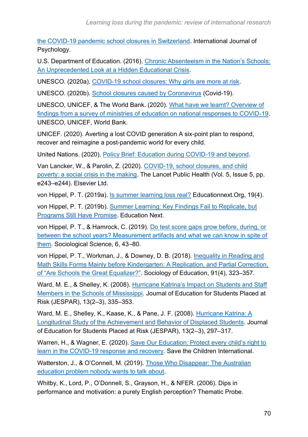[the COVID-19 pandemic school closures in Switzerland.](https://doi.org/10.1002/ijop.12728) International Journal of Psychology.

U.S. Department of Education. (2016). [Chronic Absenteeism in the Nation's Schools:](https://www2.ed.gov/datastory/chronicabsenteeism.html)  [An Unprecedented Look at a Hidden Educational Crisis.](https://www2.ed.gov/datastory/chronicabsenteeism.html)

UNESCO. (2020a). [COVID-19 school closures: Why girls are more at risk.](http://www.iiep.unesco.org/en/covid-19-school-closures-why-girls-are-more-risk-13406)

UNESCO. (2020b). [School closures caused by Coronavirus](https://en.unesco.org/covid19/educationresponse) (Covid-19).

UNESCO, UNICEF, & The World Bank. (2020). [What have we learnt? Overview of](http://www.unesco.org/open-access/terms-use-ccbysa-en)  [findings from a survey of ministries of education on national responses to COVID-19.](http://www.unesco.org/open-access/terms-use-ccbysa-en) UNESCO, UNICEF, World Bank.

UNICEF. (2020). Averting a lost COVID generation A six-point plan to respond, recover and reimagine a post-pandemic world for every child.

United Nations. (2020). [Policy Brief: Education during COVID-19 and beyond.](https://unsdg.un.org/resources/policy-brief-education-during-covid-19-and-beyond)

Van Lancker, W., & Parolin, Z. (2020). [COVID-19, school closures, and child](https://doi.org/10.1016/S2468-2667(20)30084-0)  [poverty: a social crisis in the making.](https://doi.org/10.1016/S2468-2667(20)30084-0) The Lancet Public Health (Vol. 5, Issue 5, pp. e243–e244). Elsevier Ltd.

von Hippel, P. T. (2019a). [Is summer learning loss real?](https://www.educationnext.org/is-summer-learning-loss-real-how-i-lost-faith-education-research-results/) Educationnext Org, 19(4).

von Hippel, P. T. (2019b). [Summer Learning: Key Findings Fail to Replicate, but](https://www.educationnext.org/summer-learning-key-findings-fail-replicate-but-programs-still-promise/)  [Programs Still Have Promise.](https://www.educationnext.org/summer-learning-key-findings-fail-replicate-but-programs-still-promise/) Education Next.

von Hippel, P. T., & Hamrock, C. (2019). [Do test score gaps grow before, during, or](https://doi.org/10.15195/V6.A3)  [between the school years? Measurement artifacts and what we can know in spite of](https://doi.org/10.15195/V6.A3)  [them.](https://doi.org/10.15195/V6.A3) Sociological Science, 6, 43–80.

von Hippel, P. T., Workman, J., & Downey, D. B. (2018). [Inequality in Reading and](https://doi.org/10.1177/0038040718801760)  [Math Skills Forms Mainly before Kindergarten: A Replication, and Partial Correction,](https://doi.org/10.1177/0038040718801760)  [of "Are Schools the Great Equalizer?".](https://doi.org/10.1177/0038040718801760) Sociology of Education, 91(4), 323–357.

Ward, M. E., & Shelley, K. (2008). [Hurricane Katrina's Impact on Students and Staff](https://doi.org/10.1080/10824660802350474)  [Members in the Schools of Mississippi.](https://doi.org/10.1080/10824660802350474) Journal of Education for Students Placed at Risk (JESPAR), 13(2–3), 335–353.

Ward, M. E., Shelley, K., Kaase, K., & Pane, J. F. (2008). [Hurricane Katrina: A](https://doi.org/10.1080/10824660802350391)  [Longitudinal Study of the Achievement and Behavior of Displaced Students.](https://doi.org/10.1080/10824660802350391) Journal of Education for Students Placed at Risk (JESPAR), 13(2–3), 297–317.

Warren, H., & Wagner, E. (2020). [Save Our Education: Protect every child's right to](https://resourcecentre.savethechildren.net/node/17871/pdf/save_our_education_0.pdf)  [learn in the COVID-19 response and recovery.](https://resourcecentre.savethechildren.net/node/17871/pdf/save_our_education_0.pdf) Save the Children International.

Watterston, J., & O'Connell, M. (2019). [Those Who Disappear: The Australian](https://education.unimelb.edu.au/mgse-industry-reports/report-1-those-who-disappear)  [education problem nobody wants to talk about.](https://education.unimelb.edu.au/mgse-industry-reports/report-1-those-who-disappear)

Whitby, K., Lord, P., O'Donnell, S., Grayson, H., & NFER. (2006). Dips in performance and motivation: a purely English perception? Thematic Probe.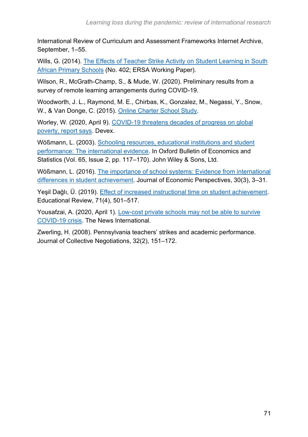International Review of Curriculum and Assessment Frameworks Internet Archive, September, 1–55.

Wills, G. (2014). [The Effects of Teacher Strike Activity on Student Learning in South](https://www.econrsa.org/publications/working-papers/effects-teacher-strike-activity-student-learning-south-african-primary)  [African Primary Schools](https://www.econrsa.org/publications/working-papers/effects-teacher-strike-activity-student-learning-south-african-primary) (No. 402; ERSA Working Paper).

Wilson, R., McGrath-Champ, S., & Mude, W. (2020). Preliminary results from a survey of remote learning arrangements during COVID-19.

Woodworth, J. L., Raymond, M. E., Chirbas, K., Gonzalez, M., Negassi, Y., Snow, W., & Van Donge, C. (2015). [Online Charter School Study.](https://charterschoolcenter.ed.gov/sites/default/files/files/field_publication_attachment/Online%20Charter%20Study%20Final.pdf)

Worley, W. (2020, April 9). [COVID-19 threatens decades of progress on global](https://www.devex.com/news/covid-19-threatens-decades-of-progress-on-global-poverty-report-says-96965)  [poverty, report says.](https://www.devex.com/news/covid-19-threatens-decades-of-progress-on-global-poverty-report-says-96965) Devex.

Wößmann, L. (2003). [Schooling resources, educational institutions and student](https://doi.org/10.1111/1468-0084.00045)  [performance: The international evidence.](https://doi.org/10.1111/1468-0084.00045) In Oxford Bulletin of Economics and Statistics (Vol. 65, Issue 2, pp. 117–170). John Wiley & Sons, Ltd.

Wößmann, L. (2016). [The importance of school systems: Evidence from international](https://doi.org/10.1257/jep.30.3.3)  [differences in student achievement.](https://doi.org/10.1257/jep.30.3.3) Journal of Economic Perspectives, 30(3), 3–31.

Yeşil Dağlı, Ü. (2019). [Effect of increased instructional time on student achievement.](https://doi.org/10.1080/00131911.2018.1441808) Educational Review, 71(4), 501–517.

Yousafzai, A. (2020, April 1). Low-cost private schools may not be able to survive [COVID-19 crisis.](https://www.thenews.com.pk/print/637486-low-cost-private-schools-may-not-be-able-to-survive-covid-19-crisis) The News International.

Zwerling, H. (2008). Pennsylvania teachers' strikes and academic performance. Journal of Collective Negotiations, 32(2), 151–172.